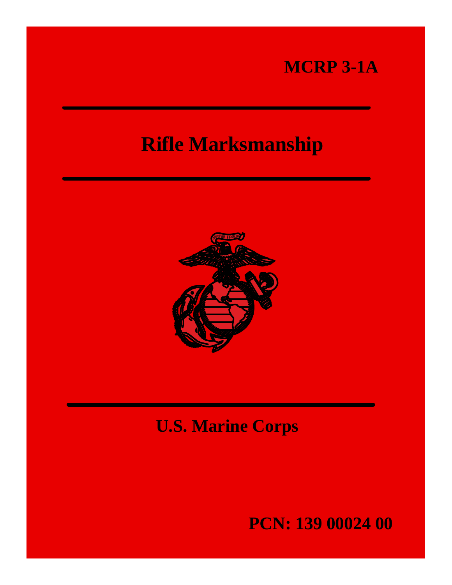

# **Rifle Marksmanship**



# **U.S. Marine Corps**

**PCN: 139 00024 00**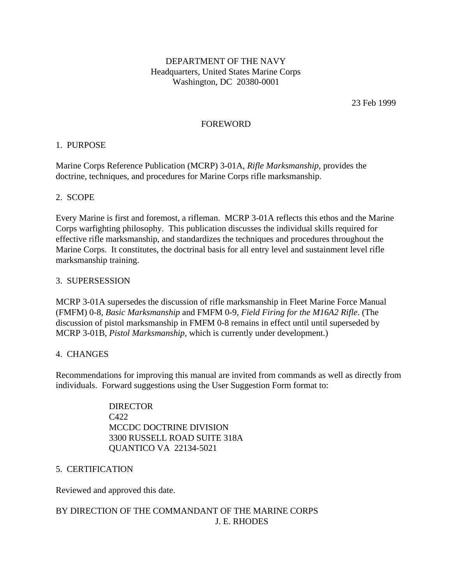#### DEPARTMENT OF THE NAVY Headquarters, United States Marine Corps Washington, DC 20380-0001

23 Feb 1999

#### FOREWORD

#### 1. PURPOSE

Marine Corps Reference Publication (MCRP) 3-01A, *Rifle Marksmanship,* provides the doctrine, techniques, and procedures for Marine Corps rifle marksmanship.

#### 2. SCOPE

Every Marine is first and foremost, a rifleman. MCRP 3-01A reflects this ethos and the Marine Corps warfighting philosophy. This publication discusses the individual skills required for effective rifle marksmanship, and standardizes the techniques and procedures throughout the Marine Corps. It constitutes, the doctrinal basis for all entry level and sustainment level rifle marksmanship training.

#### 3. SUPERSESSION

MCRP 3-01A supersedes the discussion of rifle marksmanship in Fleet Marine Force Manual (FMFM) 0-8, *Basic Marksmanship* and FMFM 0-9, *Field Firing for the M16A2 Rifle*. (The discussion of pistol marksmanship in FMFM 0-8 remains in effect until until superseded by MCRP 3-01B, *Pistol Marksmanship*, which is currently under development.)

#### 4. CHANGES

Recommendations for improving this manual are invited from commands as well as directly from individuals. Forward suggestions using the User Suggestion Form format to:

> **DIRECTOR** C422 MCCDC DOCTRINE DIVISION 3300 RUSSELL ROAD SUITE 318A QUANTICO VA 22134-5021

#### 5. CERTIFICATION

Reviewed and approved this date.

#### BY DIRECTION OF THE COMMANDANT OF THE MARINE CORPS J. E. RHODES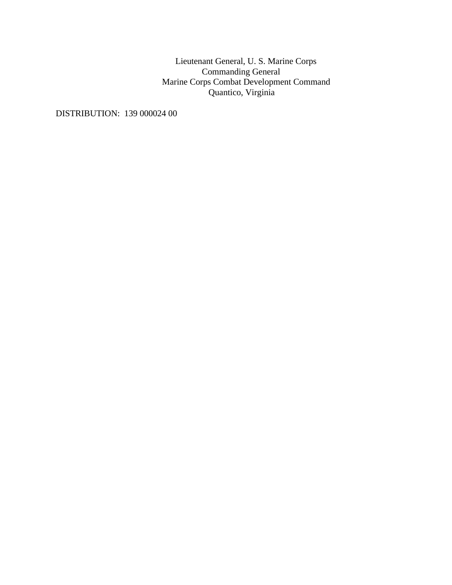Lieutenant General, U. S. Marine Corps Commanding General Marine Corps Combat Development Command Quantico, Virginia

DISTRIBUTION: 139 000024 00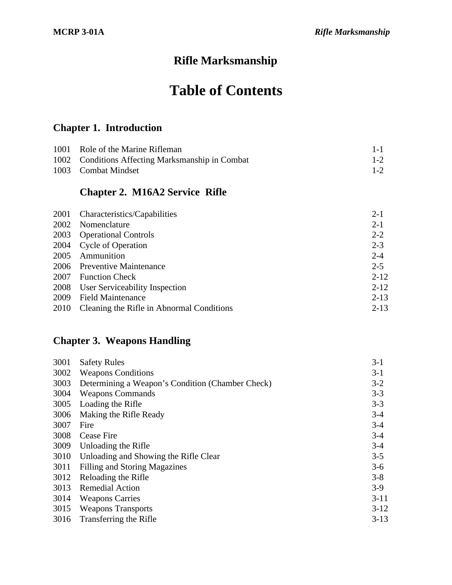# **Rifle Marksmanship**

# **Table of Contents**

# **Chapter 1. Introduction**

| 1001 Role of the Marine Rifleman                 |         |
|--------------------------------------------------|---------|
| 1002 Conditions Affecting Marksmanship in Combat | $1 - 2$ |
| 1003 Combat Mindset                              | $1-2$   |

## **Chapter 2. M16A2 Service Rifle**

| 2001 Characteristics/Capabilities              | $2 - 1$  |
|------------------------------------------------|----------|
| 2002 Nomenclature                              | $2 - 1$  |
| 2003 Operational Controls                      | $2 - 2$  |
| 2004 Cycle of Operation                        | $2 - 3$  |
| 2005 Ammunition                                | $2 - 4$  |
| 2006 Preventive Maintenance                    | $2 - 5$  |
| 2007 Function Check                            | $2 - 12$ |
| 2008 User Serviceability Inspection            | $2 - 12$ |
| 2009 Field Maintenance                         | $2 - 13$ |
| 2010 Cleaning the Rifle in Abnormal Conditions | $2 - 13$ |

## **Chapter 3. Weapons Handling**

| 3001 | <b>Safety Rules</b>                              | $3-1$    |
|------|--------------------------------------------------|----------|
| 3002 | <b>Weapons Conditions</b>                        | $3-1$    |
| 3003 | Determining a Weapon's Condition (Chamber Check) | $3 - 2$  |
| 3004 | <b>Weapons Commands</b>                          | $3 - 3$  |
| 3005 | Loading the Rifle                                | $3 - 3$  |
| 3006 | Making the Rifle Ready                           | $3-4$    |
| 3007 | Fire                                             | $3 - 4$  |
| 3008 | Cease Fire                                       | $3 - 4$  |
| 3009 | Unloading the Rifle                              | $3-4$    |
| 3010 | Unloading and Showing the Rifle Clear            | $3 - 5$  |
| 3011 | Filling and Storing Magazines                    | $3-6$    |
| 3012 | Reloading the Rifle                              | $3 - 8$  |
| 3013 | <b>Remedial Action</b>                           | $3-9$    |
| 3014 | <b>Weapons Carries</b>                           | $3 - 11$ |
| 3015 | <b>Weapons Transports</b>                        | $3 - 12$ |
| 3016 | Transferring the Rifle                           | $3 - 13$ |
|      |                                                  |          |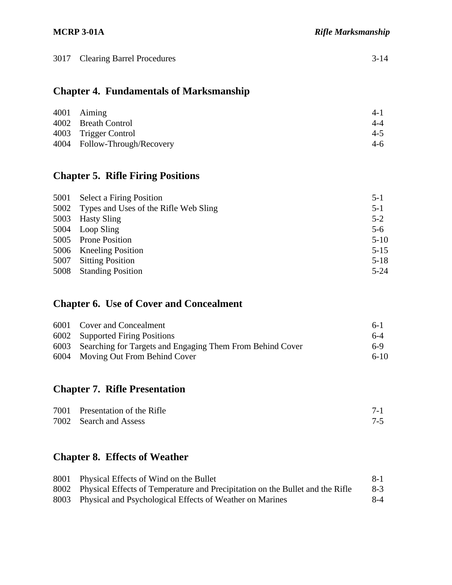3017 Clearing Barrel Procedures 3-14

## **Chapter 4. Fundamentals of Marksmanship**

| 4001 Aiming                  | $4 - 1$ |
|------------------------------|---------|
| 4002 Breath Control          | $4 - 4$ |
| 4003 Trigger Control         | $4 - 5$ |
| 4004 Follow-Through/Recovery | $4-6$   |
|                              |         |

## **Chapter 5. Rifle Firing Positions**

| 5001 Select a Firing Position              | $5-1$    |
|--------------------------------------------|----------|
| 5002 Types and Uses of the Rifle Web Sling | $5-1$    |
| 5003 Hasty Sling                           | $5 - 2$  |
| 5004 Loop Sling                            | $5-6$    |
| 5005 Prone Position                        | $5 - 10$ |
| 5006 Kneeling Position                     | $5 - 15$ |
| 5007 Sitting Position                      | $5 - 18$ |
| 5008 Standing Position                     | $5 - 24$ |

## **Chapter 6. Use of Cover and Concealment**

| 6001 Cover and Concealment                                     | $6-1$  |
|----------------------------------------------------------------|--------|
| 6002 Supported Firing Positions                                | $6-4$  |
| 6003 Searching for Targets and Engaging Them From Behind Cover | $6-9$  |
| 6004 Moving Out From Behind Cover                              | $6-10$ |

## **Chapter 7. Rifle Presentation**

| 7001 Presentation of the Rifle | $7-1$   |
|--------------------------------|---------|
| 7002 Search and Assess         | $7 - 5$ |

# **Chapter 8. Effects of Weather**

| 8001 Physical Effects of Wind on the Bullet                                        | $8-1$ |
|------------------------------------------------------------------------------------|-------|
| 8002 Physical Effects of Temperature and Precipitation on the Bullet and the Rifle | $8-3$ |
| 8003 Physical and Psychological Effects of Weather on Marines                      | $8-4$ |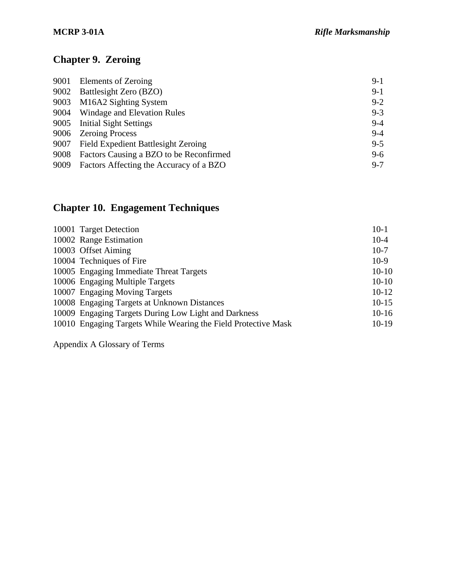# **Chapter 9. Zeroing**

| 9001 Elements of Zeroing                     | $9-1$   |
|----------------------------------------------|---------|
| 9002 Battlesight Zero (BZO)                  | $9-1$   |
| 9003 M16A2 Sighting System                   | $9 - 2$ |
| 9004 Windage and Elevation Rules             | $9 - 3$ |
| 9005 Initial Sight Settings                  | $9-4$   |
| 9006 Zeroing Process                         | $9-4$   |
| 9007 Field Expedient Battlesight Zeroing     | $9 - 5$ |
| 9008 Factors Causing a BZO to be Reconfirmed | $9-6$   |
| 9009 Factors Affecting the Accuracy of a BZO | $9 - 7$ |

# **Chapter 10. Engagement Techniques**

| 10001 Target Detection                                         | $10-1$    |
|----------------------------------------------------------------|-----------|
| 10002 Range Estimation                                         | $10 - 4$  |
| 10003 Offset Aiming                                            | $10-7$    |
| 10004 Techniques of Fire                                       | $10-9$    |
| 10005 Engaging Immediate Threat Targets                        | $10 - 10$ |
| 10006 Engaging Multiple Targets                                | $10 - 10$ |
| 10007 Engaging Moving Targets                                  | $10-12$   |
| 10008 Engaging Targets at Unknown Distances                    | $10-15$   |
| 10009 Engaging Targets During Low Light and Darkness           | $10-16$   |
| 10010 Engaging Targets While Wearing the Field Protective Mask | $10-19$   |
|                                                                |           |

Appendix A Glossary of Terms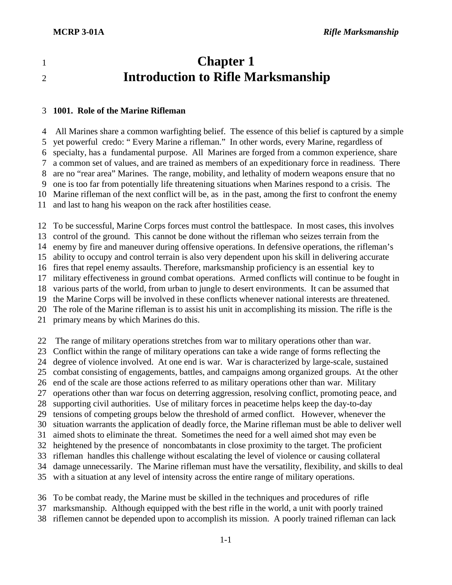#### **Chapter 1 Introduction to Rifle Marksmanship**

#### **1001. Role of the Marine Rifleman**

 yet powerful credo: " Every Marine a rifleman." In other words, every Marine, regardless of specialty, has a fundamental purpose. All Marines are forged from a common experience, share are no "rear area" Marines. The range, mobility, and lethality of modern weapons ensure that no one is too far from potentially life threatening situations when Marines respond to a crisis. The Marine rifleman of the next conflict will be, as in the past, among the first to confront the enemy and last to hang his weapon on the rack after hostilities cease. All Marines share a common warfighting belief. The essence of this belief is captured by a simple a common set of values, and are trained as members of an expeditionary force in readiness. There

To be successful, Marine Corps forces must control the battlespace. In most cases, this involves

control of the ground. This cannot be done without the rifleman who seizes terrain from the

enemy by fire and maneuver during offensive operations. In defensive operations, the rifleman's

 ability to occupy and control terrain is also very dependent upon his skill in delivering accurate fires that repel enemy assaults. Therefore, marksmanship proficiency is an essential key to

military effectiveness in ground combat operations. Armed conflicts will continue to be fought in

various parts of the world, from urban to jungle to desert environments. It can be assumed that

the Marine Corps will be involved in these conflicts whenever national interests are threatened.

The role of the Marine rifleman is to assist his unit in accomplishing its mission. The rifle is the

 primary means by which Marines do this.

 The range of military operations stretches from war to military operations other than war.

Conflict within the range of military operations can take a wide range of forms reflecting the

degree of violence involved. At one end is war. War is characterized by large-scale, sustained

combat consisting of engagements, battles, and campaigns among organized groups. At the other

end of the scale are those actions referred to as military operations other than war. Military

operations other than war focus on deterring aggression, resolving conflict, promoting peace, and

supporting civil authorities. Use of military forces in peacetime helps keep the day-to-day

tensions of competing groups below the threshold of armed conflict. However, whenever the

situation warrants the application of deadly force, the Marine rifleman must be able to deliver well

 aimed shots to eliminate the threat. Sometimes the need for a well aimed shot may even be heightened by the presence of noncombatants in close proximity to the target. The proficient

rifleman handles this challenge without escalating the level of violence or causing collateral

damage unnecessarily. The Marine rifleman must have the versatility, flexibility, and skills to deal

with a situation at any level of intensity across the entire range of military operations.

To be combat ready, the Marine must be skilled in the techniques and procedures of rifle

marksmanship. Although equipped with the best rifle in the world, a unit with poorly trained

riflemen cannot be depended upon to accomplish its mission. A poorly trained rifleman can lack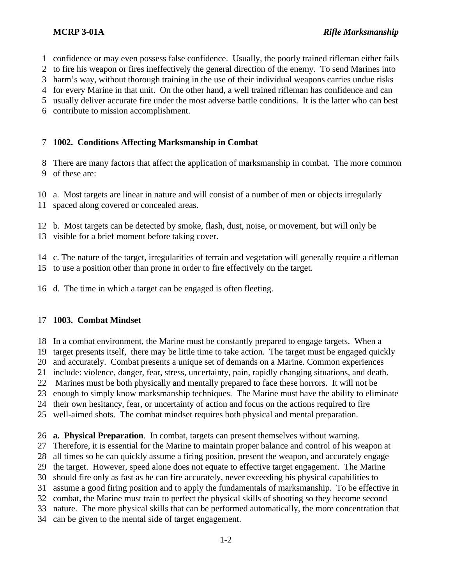- confidence or may even possess false confidence. Usually, the poorly trained rifleman either fails
- to fire his weapon or fires ineffectively the general direction of the enemy. To send Marines into
- harm's way, without thorough training in the use of their individual weapons carries undue risks
- for every Marine in that unit. On the other hand, a well trained rifleman has confidence and can
- usually deliver accurate fire under the most adverse battle conditions. It is the latter who can best
- contribute to mission accomplishment.

#### **1002. Conditions Affecting Marksmanship in Combat**

 There are many factors that affect the application of marksmanship in combat. The more common of these are:

- a. Most targets are linear in nature and will consist of a number of men or objects irregularly spaced along covered or concealed areas.
- b. Most targets can be detected by smoke, flash, dust, noise, or movement, but will only be
- visible for a brief moment before taking cover.

 c. The nature of the target, irregularities of terrain and vegetation will generally require a rifleman to use a position other than prone in order to fire effectively on the target.

d. The time in which a target can be engaged is often fleeting.

#### **1003. Combat Mindset**

In a combat environment, the Marine must be constantly prepared to engage targets. When a

target presents itself, there may be little time to take action. The target must be engaged quickly

and accurately. Combat presents a unique set of demands on a Marine. Common experiences

include: violence, danger, fear, stress, uncertainty, pain, rapidly changing situations, and death.

Marines must be both physically and mentally prepared to face these horrors. It will not be

enough to simply know marksmanship techniques. The Marine must have the ability to eliminate

their own hesitancy, fear, or uncertainty of action and focus on the actions required to fire

well-aimed shots. The combat mindset requires both physical and mental preparation.

**a. Physical Preparation**. In combat, targets can present themselves without warning.

Therefore, it is essential for the Marine to maintain proper balance and control of his weapon at

all times so he can quickly assume a firing position, present the weapon, and accurately engage

- the target. However, speed alone does not equate to effective target engagement. The Marine
- should fire only as fast as he can fire accurately, never exceeding his physical capabilities to
- assume a good firing position and to apply the fundamentals of marksmanship. To be effective in
- combat, the Marine must train to perfect the physical skills of shooting so they become second
- nature. The more physical skills that can be performed automatically, the more concentration that
- can be given to the mental side of target engagement.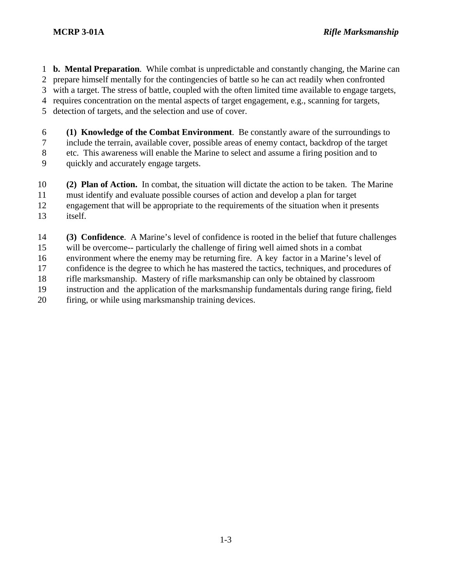**b. Mental Preparation**. While combat is unpredictable and constantly changing, the Marine can prepare himself mentally for the contingencies of battle so he can act readily when confronted with a target. The stress of battle, coupled with the often limited time available to engage targets, requires concentration on the mental aspects of target engagement, e.g., scanning for targets,

5 detection of targets, and the selection and use of cover.

6 7 **(1) Knowledge of the Combat Environment**. Be constantly aware of the surroundings to include the terrain, available cover, possible areas of enemy contact, backdrop of the target

8 etc. This awareness will enable the Marine to select and assume a firing position and to

9 quickly and accurately engage targets.

10 11 **(2) Plan of Action.** In combat, the situation will dictate the action to be taken. The Marine must identify and evaluate possible courses of action and develop a plan for target

12 13 engagement that will be appropriate to the requirements of the situation when it presents itself.

14 15 16 17 18 19 20 **(3) Confidence**. A Marine's level of confidence is rooted in the belief that future challenges will be overcome-- particularly the challenge of firing well aimed shots in a combat environment where the enemy may be returning fire. A key factor in a Marine's level of confidence is the degree to which he has mastered the tactics, techniques, and procedures of rifle marksmanship. Mastery of rifle marksmanship can only be obtained by classroom instruction and the application of the marksmanship fundamentals during range firing, field firing, or while using marksmanship training devices.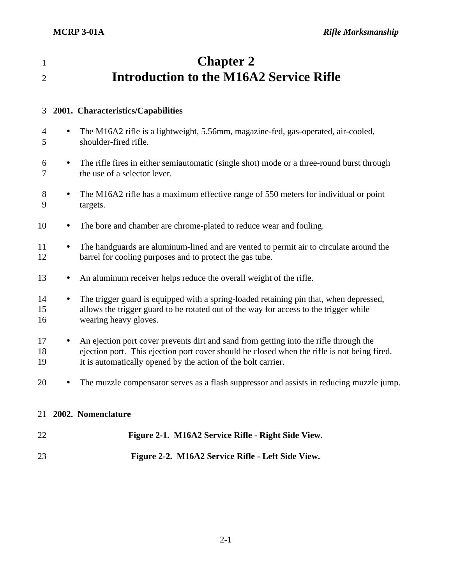| 1<br>$\overline{2}$ |           | <b>Chapter 2</b><br><b>Introduction to the M16A2 Service Rifle</b>                                                                                                                                                                                    |
|---------------------|-----------|-------------------------------------------------------------------------------------------------------------------------------------------------------------------------------------------------------------------------------------------------------|
| 3                   |           | 2001. Characteristics/Capabilities                                                                                                                                                                                                                    |
| 4<br>5              | $\bullet$ | The M16A2 rifle is a lightweight, 5.56mm, magazine-fed, gas-operated, air-cooled,<br>shoulder-fired rifle.                                                                                                                                            |
| 6<br>7              | $\bullet$ | The rifle fires in either semiautomatic (single shot) mode or a three-round burst through<br>the use of a selector lever.                                                                                                                             |
| $8\,$<br>9          | $\bullet$ | The M16A2 rifle has a maximum effective range of 550 meters for individual or point<br>targets.                                                                                                                                                       |
| 10                  | ٠         | The bore and chamber are chrome-plated to reduce wear and fouling.                                                                                                                                                                                    |
| 11<br>12            | $\bullet$ | The handguards are aluminum-lined and are vented to permit air to circulate around the<br>barrel for cooling purposes and to protect the gas tube.                                                                                                    |
| 13                  | ٠         | An aluminum receiver helps reduce the overall weight of the rifle.                                                                                                                                                                                    |
| 14<br>15<br>16      | $\bullet$ | The trigger guard is equipped with a spring-loaded retaining pin that, when depressed,<br>allows the trigger guard to be rotated out of the way for access to the trigger while<br>wearing heavy gloves.                                              |
| 17<br>18<br>19      | $\bullet$ | An ejection port cover prevents dirt and sand from getting into the rifle through the<br>ejection port. This ejection port cover should be closed when the rifle is not being fired.<br>It is automatically opened by the action of the bolt carrier. |
| 20                  |           | The muzzle compensator serves as a flash suppressor and assists in reducing muzzle jump.                                                                                                                                                              |
| 21                  |           | 2002. Nomenclature                                                                                                                                                                                                                                    |
| 22                  |           | Figure 2-1. M16A2 Service Rifle - Right Side View.                                                                                                                                                                                                    |

#### 23 **Figure 2-2. M16A2 Service Rifle - Left Side View.**

2-1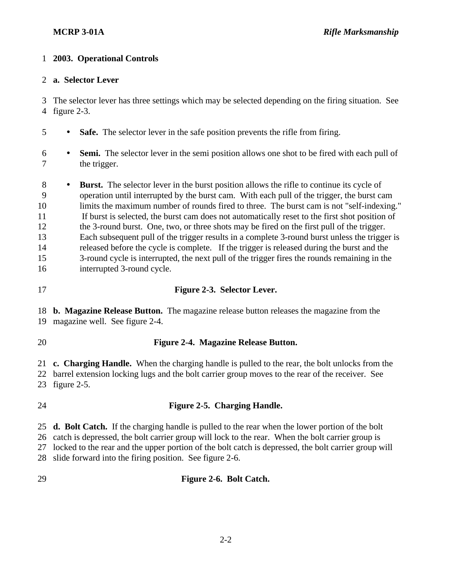#### **2003. Operational Controls**

#### **a. Selector Lever**

 The selector lever has three settings which may be selected depending on the firing situation. See figure 2-3.

- ü **Safe.** The selector lever in the safe position prevents the rifle from firing.
- Semi. The selector lever in the semi position allows one shot to be fired with each pull of the trigger.

 ü **Burst.** The selector lever in the burst position allows the rifle to continue its cycle of operation until interrupted by the burst cam. With each pull of the trigger, the burst cam limits the maximum number of rounds fired to three. The burst cam is not "self-indexing." If burst is selected, the burst cam does not automatically reset to the first shot position of the 3-round burst. One, two, or three shots may be fired on the first pull of the trigger. Each subsequent pull of the trigger results in a complete 3-round burst unless the trigger is released before the cycle is complete. If the trigger is released during the burst and the 3-round cycle is interrupted, the next pull of the trigger fires the rounds remaining in the interrupted 3-round cycle.

 **Figure 2-3. Selector Lever.**

 **b. Magazine Release Button.** The magazine release button releases the magazine from the magazine well. See figure 2-4.

#### **Figure 2-4. Magazine Release Button.**

 **c. Charging Handle.** When the charging handle is pulled to the rear, the bolt unlocks from the barrel extension locking lugs and the bolt carrier group moves to the rear of the receiver. See figure 2-5.

- 
- 

#### **Figure 2-5. Charging Handle.**

**d. Bolt Catch.** If the charging handle is pulled to the rear when the lower portion of the bolt

catch is depressed, the bolt carrier group will lock to the rear. When the bolt carrier group is

locked to the rear and the upper portion of the bolt catch is depressed, the bolt carrier group will

slide forward into the firing position. See figure 2-6.

### **Figure 2-6. Bolt Catch.**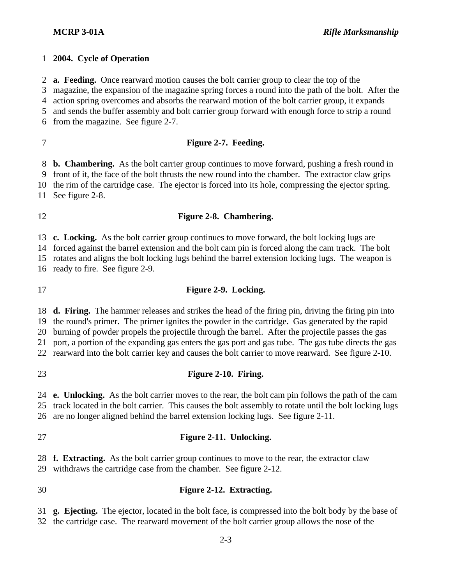#### **2004. Cycle of Operation**

**a. Feeding.** Once rearward motion causes the bolt carrier group to clear the top of the

magazine, the expansion of the magazine spring forces a round into the path of the bolt. After the

action spring overcomes and absorbs the rearward motion of the bolt carrier group, it expands

and sends the buffer assembly and bolt carrier group forward with enough force to strip a round

from the magazine. See figure 2-7.

#### **Figure 2-7. Feeding.**

 **b. Chambering.** As the bolt carrier group continues to move forward, pushing a fresh round in front of it, the face of the bolt thrusts the new round into the chamber. The extractor claw grips the rim of the cartridge case. The ejector is forced into its hole, compressing the ejector spring. See figure 2-8.

#### **Figure 2-8. Chambering.**

**c. Locking.** As the bolt carrier group continues to move forward, the bolt locking lugs are

forced against the barrel extension and the bolt cam pin is forced along the cam track. The bolt

rotates and aligns the bolt locking lugs behind the barrel extension locking lugs. The weapon is

ready to fire. See figure 2-9.

#### **Figure 2-9. Locking.**

 **d. Firing.** The hammer releases and strikes the head of the firing pin, driving the firing pin into the round's primer. The primer ignites the powder in the cartridge. Gas generated by the rapid burning of powder propels the projectile through the barrel. After the projectile passes the gas port, a portion of the expanding gas enters the gas port and gas tube. The gas tube directs the gas rearward into the bolt carrier key and causes the bolt carrier to move rearward. See figure 2-10.

 **Figure 2-10. Firing.**

 **e. Unlocking.** As the bolt carrier moves to the rear, the bolt cam pin follows the path of the cam track located in the bolt carrier. This causes the bolt assembly to rotate until the bolt locking lugs are no longer aligned behind the barrel extension locking lugs. See figure 2-11.

#### **Figure 2-11. Unlocking.**

 **f. Extracting.** As the bolt carrier group continues to move to the rear, the extractor claw withdraws the cartridge case from the chamber. See figure 2-12.

 **Figure 2-12. Extracting.**

 **g. Ejecting.** The ejector, located in the bolt face, is compressed into the bolt body by the base of the cartridge case. The rearward movement of the bolt carrier group allows the nose of the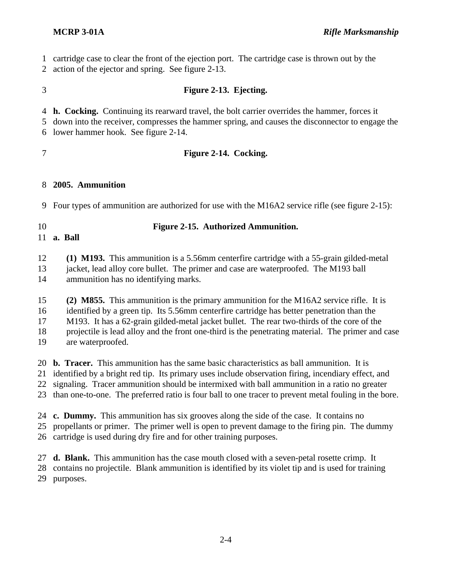cartridge case to clear the front of the ejection port. The cartridge case is thrown out by the

action of the ejector and spring. See figure 2-13.

### **Figure 2-13. Ejecting.**

**h. Cocking.** Continuing its rearward travel, the bolt carrier overrides the hammer, forces it

down into the receiver, compresses the hammer spring, and causes the disconnector to engage the

lower hammer hook. See figure 2-14.

### **Figure 2-14. Cocking.**

#### **2005. Ammunition**

Four types of ammunition are authorized for use with the M16A2 service rifle (see figure 2-15):

**Figure 2-15. Authorized Ammunition.**

**a. Ball**

 **(1) M193.** This ammunition is a 5.56mm centerfire cartridge with a 55-grain gilded-metal jacket, lead alloy core bullet. The primer and case are waterproofed. The M193 ball

 ammunition has no identifying marks.

 **(2) M855.** This ammunition is the primary ammunition for the M16A2 service rifle. It is

 identified by a green tip. Its 5.56mm centerfire cartridge has better penetration than the

 M193. It has a 62-grain gilded-metal jacket bullet. The rear two-thirds of the core of the

 projectile is lead alloy and the front one-third is the penetrating material. The primer and case

 are waterproofed.

**b. Tracer.** This ammunition has the same basic characteristics as ball ammunition. It is

identified by a bright red tip. Its primary uses include observation firing, incendiary effect, and

signaling. Tracer ammunition should be intermixed with ball ammunition in a ratio no greater

than one-to-one. The preferred ratio is four ball to one tracer to prevent metal fouling in the bore.

**c. Dummy.** This ammunition has six grooves along the side of the case. It contains no

propellants or primer. The primer well is open to prevent damage to the firing pin. The dummy

cartridge is used during dry fire and for other training purposes.

**d. Blank.** This ammunition has the case mouth closed with a seven-petal rosette crimp. It

contains no projectile. Blank ammunition is identified by its violet tip and is used for training

purposes.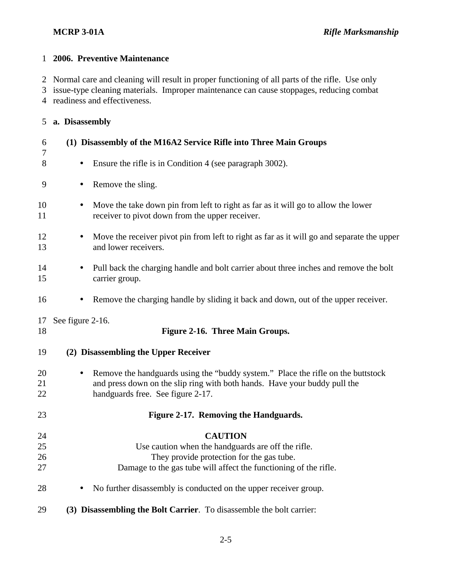#### 1 **2006. Preventive Maintenance**

2 Normal care and cleaning will result in proper functioning of all parts of the rifle. Use only

3 issue-type cleaning materials. Improper maintenance can cause stoppages, reducing combat 4 readiness and effectiveness.

#### 5 **a. Disassembly**

| 6<br>7         |                  | (1) Disassembly of the M16A2 Service Rifle into Three Main Groups                                                                                                                                  |
|----------------|------------------|----------------------------------------------------------------------------------------------------------------------------------------------------------------------------------------------------|
| 8              |                  | Ensure the rifle is in Condition 4 (see paragraph 3002).                                                                                                                                           |
| 9              | $\bullet$        | Remove the sling.                                                                                                                                                                                  |
| 10<br>11       | $\bullet$        | Move the take down pin from left to right as far as it will go to allow the lower<br>receiver to pivot down from the upper receiver.                                                               |
| 12<br>13       |                  | Move the receiver pivot pin from left to right as far as it will go and separate the upper<br>and lower receivers.                                                                                 |
| 14<br>15       |                  | Pull back the charging handle and bolt carrier about three inches and remove the bolt<br>carrier group.                                                                                            |
| 16             |                  | Remove the charging handle by sliding it back and down, out of the upper receiver.                                                                                                                 |
| 17<br>18       | See figure 2-16. | Figure 2-16. Three Main Groups.                                                                                                                                                                    |
| 19             |                  | (2) Disassembling the Upper Receiver                                                                                                                                                               |
| 20<br>21<br>22 | $\bullet$        | Remove the handguards using the "buddy system." Place the rifle on the buttstock<br>and press down on the slip ring with both hands. Have your buddy pull the<br>handguards free. See figure 2-17. |
| 23             |                  | Figure 2-17. Removing the Handguards.                                                                                                                                                              |
| 24             |                  | <b>CAUTION</b>                                                                                                                                                                                     |
| 25             |                  | Use caution when the handguards are off the rifle.                                                                                                                                                 |
| 26             |                  | They provide protection for the gas tube.                                                                                                                                                          |
| 27             |                  | Damage to the gas tube will affect the functioning of the rifle.                                                                                                                                   |
| 28             | $\bullet$        | No further disassembly is conducted on the upper receiver group.                                                                                                                                   |
| 29             |                  | (3) Disassembling the Bolt Carrier. To disassemble the bolt carrier:                                                                                                                               |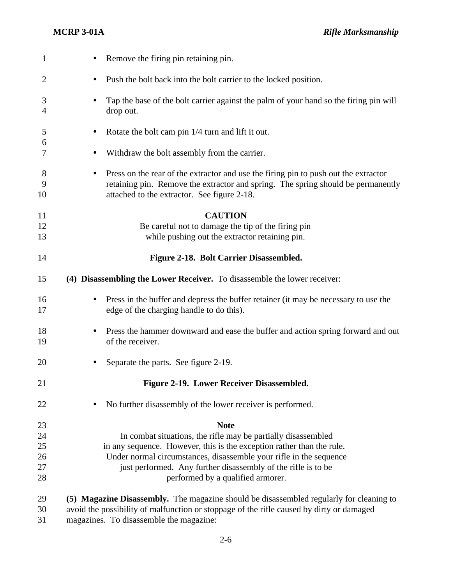**MCRP 3-01A** *Rifle Marksmanship*

| $\mathbf{1}$   | Remove the firing pin retaining pin.                                                                                                                                                                                        |
|----------------|-----------------------------------------------------------------------------------------------------------------------------------------------------------------------------------------------------------------------------|
| $\overline{2}$ | Push the bolt back into the bolt carrier to the locked position.<br>٠                                                                                                                                                       |
| 3<br>4         | Tap the base of the bolt carrier against the palm of your hand so the firing pin will<br>drop out.                                                                                                                          |
| 5              | Rotate the bolt cam pin 1/4 turn and lift it out.<br>٠                                                                                                                                                                      |
| 6<br>7         | Withdraw the bolt assembly from the carrier.<br>٠                                                                                                                                                                           |
| 8<br>9<br>10   | Press on the rear of the extractor and use the firing pin to push out the extractor<br>٠<br>retaining pin. Remove the extractor and spring. The spring should be permanently<br>attached to the extractor. See figure 2-18. |
|                | <b>CAUTION</b>                                                                                                                                                                                                              |
| 11<br>12       |                                                                                                                                                                                                                             |
| 13             | Be careful not to damage the tip of the firing pin                                                                                                                                                                          |
|                | while pushing out the extractor retaining pin.                                                                                                                                                                              |
| 14             | Figure 2-18. Bolt Carrier Disassembled.                                                                                                                                                                                     |
| 15             | (4) Disassembling the Lower Receiver. To disassemble the lower receiver:                                                                                                                                                    |
| 16             | Press in the buffer and depress the buffer retainer (it may be necessary to use the                                                                                                                                         |
| 17             | edge of the charging handle to do this).                                                                                                                                                                                    |
|                | ٠                                                                                                                                                                                                                           |
| 18             | Press the hammer downward and ease the buffer and action spring forward and out<br>of the receiver.                                                                                                                         |
| 19             |                                                                                                                                                                                                                             |
| 20             | Separate the parts. See figure 2-19.                                                                                                                                                                                        |
| 21             | Figure 2-19. Lower Receiver Disassembled.                                                                                                                                                                                   |
| 22             | No further disassembly of the lower receiver is performed.                                                                                                                                                                  |
| 23             | <b>Note</b>                                                                                                                                                                                                                 |
| 24             | In combat situations, the rifle may be partially disassembled                                                                                                                                                               |
| 25             | in any sequence. However, this is the exception rather than the rule.                                                                                                                                                       |
| 26             | Under normal circumstances, disassemble your rifle in the sequence                                                                                                                                                          |
| 27             | just performed. Any further disassembly of the rifle is to be                                                                                                                                                               |
| 28             | performed by a qualified armorer.                                                                                                                                                                                           |
|                |                                                                                                                                                                                                                             |
| 29             | (5) Magazine Disassembly. The magazine should be disassembled regularly for cleaning to                                                                                                                                     |
| 30             | avoid the possibility of malfunction or stoppage of the rifle caused by dirty or damaged                                                                                                                                    |

31 magazines. To disassemble the magazine: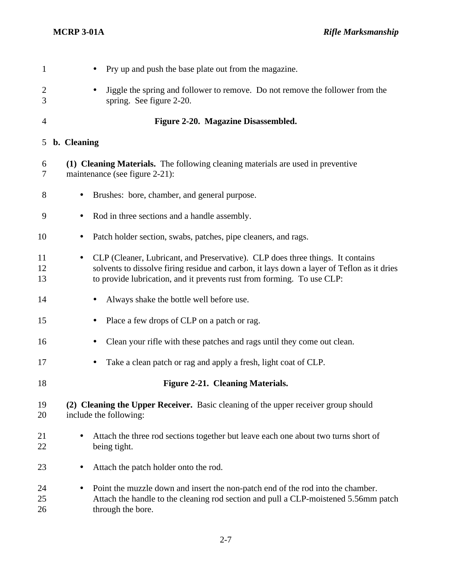| $\mathbf{1}$        | Pry up and push the base plate out from the magazine.                                                                                                                                                                                                               |
|---------------------|---------------------------------------------------------------------------------------------------------------------------------------------------------------------------------------------------------------------------------------------------------------------|
| $\overline{c}$<br>3 | Jiggle the spring and follower to remove. Do not remove the follower from the<br>spring. See figure 2-20.                                                                                                                                                           |
| 4                   | Figure 2-20. Magazine Disassembled.                                                                                                                                                                                                                                 |
| 5                   | b. Cleaning                                                                                                                                                                                                                                                         |
| 6<br>7              | (1) Cleaning Materials. The following cleaning materials are used in preventive<br>maintenance (see figure 2-21):                                                                                                                                                   |
| 8                   | Brushes: bore, chamber, and general purpose.<br>٠                                                                                                                                                                                                                   |
| 9                   | Rod in three sections and a handle assembly.                                                                                                                                                                                                                        |
| 10                  | Patch holder section, swabs, patches, pipe cleaners, and rags.<br>٠                                                                                                                                                                                                 |
| 11<br>12<br>13      | CLP (Cleaner, Lubricant, and Preservative). CLP does three things. It contains<br>$\bullet$<br>solvents to dissolve firing residue and carbon, it lays down a layer of Teflon as it dries<br>to provide lubrication, and it prevents rust from forming. To use CLP: |
| 14                  | Always shake the bottle well before use.                                                                                                                                                                                                                            |
| 15                  | Place a few drops of CLP on a patch or rag.                                                                                                                                                                                                                         |
| 16                  | Clean your rifle with these patches and rags until they come out clean.<br>٠                                                                                                                                                                                        |
| 17                  | Take a clean patch or rag and apply a fresh, light coat of CLP.<br>٠                                                                                                                                                                                                |
| 18                  | Figure 2-21. Cleaning Materials.                                                                                                                                                                                                                                    |
| 19<br>20            | (2) Cleaning the Upper Receiver. Basic cleaning of the upper receiver group should<br>include the following:                                                                                                                                                        |
| 21<br>22            | Attach the three rod sections together but leave each one about two turns short of<br>٠<br>being tight.                                                                                                                                                             |
| 23                  | Attach the patch holder onto the rod.<br>٠                                                                                                                                                                                                                          |
| 24<br>25<br>26      | Point the muzzle down and insert the non-patch end of the rod into the chamber.<br>٠<br>Attach the handle to the cleaning rod section and pull a CLP-moistened 5.56mm patch<br>through the bore.                                                                    |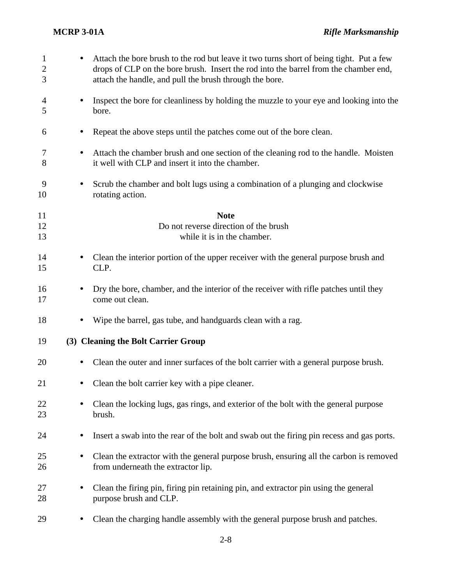| $\mathbf{1}$<br>$\overline{2}$<br>3 |           | Attach the bore brush to the rod but leave it two turns short of being tight. Put a few<br>drops of CLP on the bore brush. Insert the rod into the barrel from the chamber end,<br>attach the handle, and pull the brush through the bore. |
|-------------------------------------|-----------|--------------------------------------------------------------------------------------------------------------------------------------------------------------------------------------------------------------------------------------------|
| 4<br>5                              |           | Inspect the bore for cleanliness by holding the muzzle to your eye and looking into the<br>bore.                                                                                                                                           |
| 6                                   |           | Repeat the above steps until the patches come out of the bore clean.                                                                                                                                                                       |
| 7<br>8                              | $\bullet$ | Attach the chamber brush and one section of the cleaning rod to the handle. Moisten<br>it well with CLP and insert it into the chamber.                                                                                                    |
| 9<br>10                             | $\bullet$ | Scrub the chamber and bolt lugs using a combination of a plunging and clockwise<br>rotating action.                                                                                                                                        |
|                                     |           | <b>Note</b>                                                                                                                                                                                                                                |
| 11                                  |           | Do not reverse direction of the brush                                                                                                                                                                                                      |
| 12                                  |           |                                                                                                                                                                                                                                            |
| 13                                  |           | while it is in the chamber.                                                                                                                                                                                                                |
| 14                                  |           | Clean the interior portion of the upper receiver with the general purpose brush and                                                                                                                                                        |
| 15                                  |           | CLP.                                                                                                                                                                                                                                       |
|                                     |           |                                                                                                                                                                                                                                            |
| 16                                  |           | Dry the bore, chamber, and the interior of the receiver with rifle patches until they                                                                                                                                                      |
| 17                                  |           | come out clean.                                                                                                                                                                                                                            |
|                                     |           |                                                                                                                                                                                                                                            |
| 18                                  |           | Wipe the barrel, gas tube, and handguards clean with a rag.                                                                                                                                                                                |
| 19                                  |           | (3) Cleaning the Bolt Carrier Group                                                                                                                                                                                                        |
| 20                                  | ٠         | Clean the outer and inner surfaces of the bolt carrier with a general purpose brush.                                                                                                                                                       |
| 21                                  |           | • Clean the bolt carrier key with a pipe cleaner.                                                                                                                                                                                          |
| 22                                  |           | Clean the locking lugs, gas rings, and exterior of the bolt with the general purpose                                                                                                                                                       |
| 23                                  |           | brush.                                                                                                                                                                                                                                     |
|                                     |           |                                                                                                                                                                                                                                            |
| 24                                  |           | Insert a swab into the rear of the bolt and swab out the firing pin recess and gas ports.                                                                                                                                                  |
|                                     |           |                                                                                                                                                                                                                                            |
| 25                                  |           | Clean the extractor with the general purpose brush, ensuring all the carbon is removed                                                                                                                                                     |
| 26                                  |           | from underneath the extractor lip.                                                                                                                                                                                                         |
| 27                                  |           | Clean the firing pin, firing pin retaining pin, and extractor pin using the general                                                                                                                                                        |
| 28                                  |           | purpose brush and CLP.                                                                                                                                                                                                                     |
|                                     |           |                                                                                                                                                                                                                                            |
| 29                                  |           | Clean the charging handle assembly with the general purpose brush and patches.                                                                                                                                                             |
|                                     |           |                                                                                                                                                                                                                                            |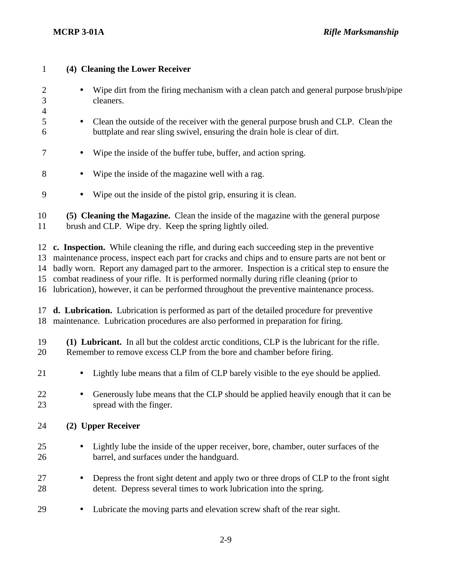| $\mathbf{1}$                                  | (4) Cleaning the Lower Receiver                                                                                                                                                                                                                                                                                                                                                                                                                                                                    |
|-----------------------------------------------|----------------------------------------------------------------------------------------------------------------------------------------------------------------------------------------------------------------------------------------------------------------------------------------------------------------------------------------------------------------------------------------------------------------------------------------------------------------------------------------------------|
| $\mathbf{2}$<br>3<br>$\overline{\mathcal{L}}$ | Wipe dirt from the firing mechanism with a clean patch and general purpose brush/pipe<br>cleaners.                                                                                                                                                                                                                                                                                                                                                                                                 |
| 5<br>6                                        | Clean the outside of the receiver with the general purpose brush and CLP. Clean the<br>$\bullet$<br>buttplate and rear sling swivel, ensuring the drain hole is clear of dirt.                                                                                                                                                                                                                                                                                                                     |
| 7                                             | Wipe the inside of the buffer tube, buffer, and action spring.                                                                                                                                                                                                                                                                                                                                                                                                                                     |
| 8                                             | Wipe the inside of the magazine well with a rag.                                                                                                                                                                                                                                                                                                                                                                                                                                                   |
| 9                                             | Wipe out the inside of the pistol grip, ensuring it is clean.                                                                                                                                                                                                                                                                                                                                                                                                                                      |
| 10<br>11                                      | (5) Cleaning the Magazine. Clean the inside of the magazine with the general purpose<br>brush and CLP. Wipe dry. Keep the spring lightly oiled.                                                                                                                                                                                                                                                                                                                                                    |
| 13<br>14                                      | 12 c. Inspection. While cleaning the rifle, and during each succeeding step in the preventive<br>maintenance process, inspect each part for cracks and chips and to ensure parts are not bent or<br>badly worn. Report any damaged part to the armorer. Inspection is a critical step to ensure the<br>15 combat readiness of your rifle. It is performed normally during rifle cleaning (prior to<br>16 lubrication), however, it can be performed throughout the preventive maintenance process. |
|                                               | 17 <b>d. Lubrication.</b> Lubrication is performed as part of the detailed procedure for preventive<br>18 maintenance. Lubrication procedures are also performed in preparation for firing.                                                                                                                                                                                                                                                                                                        |
| 19<br>20                                      | (1) Lubricant. In all but the coldest arctic conditions, CLP is the lubricant for the rifle.<br>Remember to remove excess CLP from the bore and chamber before firing.                                                                                                                                                                                                                                                                                                                             |
| 21                                            | Lightly lube means that a film of CLP barely visible to the eye should be applied.<br>٠                                                                                                                                                                                                                                                                                                                                                                                                            |
| 22<br>23                                      | • Generously lube means that the CLP should be applied heavily enough that it can be<br>spread with the finger.                                                                                                                                                                                                                                                                                                                                                                                    |
| 24                                            | (2) Upper Receiver                                                                                                                                                                                                                                                                                                                                                                                                                                                                                 |
| 25<br>26                                      | Lightly lube the inside of the upper receiver, bore, chamber, outer surfaces of the<br>٠<br>barrel, and surfaces under the handguard.                                                                                                                                                                                                                                                                                                                                                              |
| 27<br>28                                      | Depress the front sight detent and apply two or three drops of CLP to the front sight<br>detent. Depress several times to work lubrication into the spring.                                                                                                                                                                                                                                                                                                                                        |
| 29                                            | Lubricate the moving parts and elevation screw shaft of the rear sight.<br>٠                                                                                                                                                                                                                                                                                                                                                                                                                       |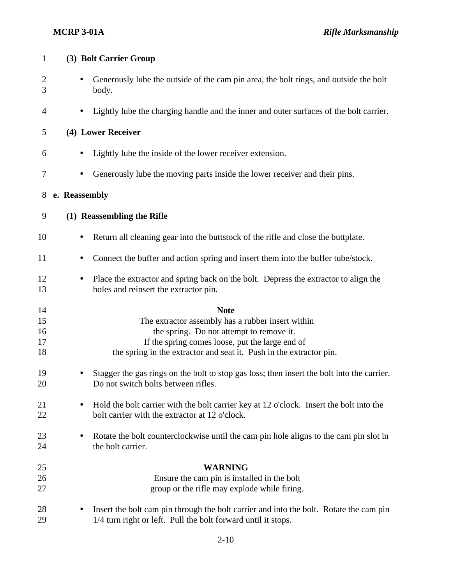| $\mathbf{1}$        |               | (3) Bolt Carrier Group                                                                                                                                  |
|---------------------|---------------|---------------------------------------------------------------------------------------------------------------------------------------------------------|
| $\overline{c}$<br>3 |               | Generously lube the outside of the cam pin area, the bolt rings, and outside the bolt<br>body.                                                          |
| 4                   |               | Lightly lube the charging handle and the inner and outer surfaces of the bolt carrier.                                                                  |
| 5                   |               | (4) Lower Receiver                                                                                                                                      |
| 6                   |               | Lightly lube the inside of the lower receiver extension.                                                                                                |
| 7                   |               | Generously lube the moving parts inside the lower receiver and their pins.                                                                              |
| 8                   | e. Reassembly |                                                                                                                                                         |
| 9                   |               | (1) Reassembling the Rifle                                                                                                                              |
| 10                  |               | Return all cleaning gear into the buttstock of the rifle and close the buttplate.                                                                       |
| 11                  |               | Connect the buffer and action spring and insert them into the buffer tube/stock.                                                                        |
| 12<br>13            |               | Place the extractor and spring back on the bolt. Depress the extractor to align the<br>$\bullet$<br>holes and reinsert the extractor pin.               |
| 14                  |               | <b>Note</b>                                                                                                                                             |
| 15                  |               | The extractor assembly has a rubber insert within                                                                                                       |
| 16                  |               | the spring. Do not attempt to remove it.                                                                                                                |
| 17                  |               | If the spring comes loose, put the large end of                                                                                                         |
| 18                  |               | the spring in the extractor and seat it. Push in the extractor pin.                                                                                     |
| 19<br>20            |               | Stagger the gas rings on the bolt to stop gas loss; then insert the bolt into the carrier.<br>Do not switch bolts between rifles.                       |
| 21                  |               | Hold the bolt carrier with the bolt carrier key at 12 o'clock. Insert the bolt into the                                                                 |
| 22                  |               | bolt carrier with the extractor at 12 o'clock.                                                                                                          |
| 23                  |               | Rotate the bolt counterclockwise until the cam pin hole aligns to the cam pin slot in<br>٠                                                              |
| 24                  |               | the bolt carrier.                                                                                                                                       |
| 25                  |               | <b>WARNING</b>                                                                                                                                          |
| 26                  |               | Ensure the cam pin is installed in the bolt                                                                                                             |
| 27                  |               | group or the rifle may explode while firing.                                                                                                            |
| 28<br>29            |               | Insert the bolt cam pin through the bolt carrier and into the bolt. Rotate the cam pin<br>1/4 turn right or left. Pull the bolt forward until it stops. |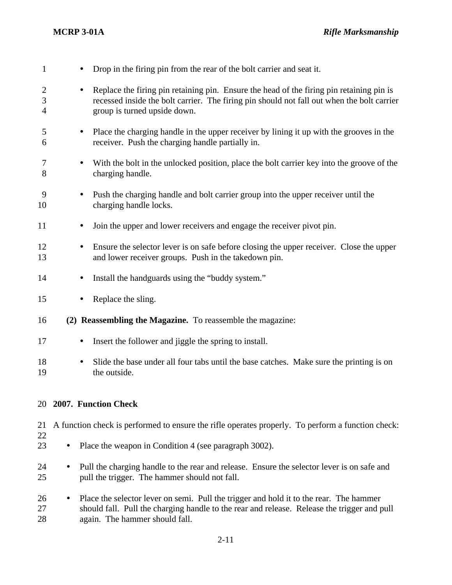| 1                                     |           | Drop in the firing pin from the rear of the bolt carrier and seat it.                                                                                                                                                  |
|---------------------------------------|-----------|------------------------------------------------------------------------------------------------------------------------------------------------------------------------------------------------------------------------|
| $\overline{2}$<br>3<br>$\overline{4}$ | $\bullet$ | Replace the firing pin retaining pin. Ensure the head of the firing pin retaining pin is<br>recessed inside the bolt carrier. The firing pin should not fall out when the bolt carrier<br>group is turned upside down. |
| 5<br>6                                | $\bullet$ | Place the charging handle in the upper receiver by lining it up with the grooves in the<br>receiver. Push the charging handle partially in.                                                                            |
| 7<br>8                                |           | With the bolt in the unlocked position, place the bolt carrier key into the groove of the<br>charging handle.                                                                                                          |
| 9<br>10                               |           | Push the charging handle and bolt carrier group into the upper receiver until the<br>charging handle locks.                                                                                                            |
| 11                                    | $\bullet$ | Join the upper and lower receivers and engage the receiver pivot pin.                                                                                                                                                  |
| 12<br>13                              | $\bullet$ | Ensure the selector lever is on safe before closing the upper receiver. Close the upper<br>and lower receiver groups. Push in the takedown pin.                                                                        |
| 14                                    |           | Install the handguards using the "buddy system."                                                                                                                                                                       |
| 15                                    | ٠         | Replace the sling.                                                                                                                                                                                                     |
| 16                                    |           | (2) Reassembling the Magazine. To reassemble the magazine:                                                                                                                                                             |
| 17                                    |           | Insert the follower and jiggle the spring to install.                                                                                                                                                                  |
| 18<br>19                              | ٠         | Slide the base under all four tabs until the base catches. Make sure the printing is on<br>the outside.                                                                                                                |

#### 20 **2007. Function Check**

21 A function check is performed to ensure the rifle operates properly. To perform a function check: 22

- 23 • Place the weapon in Condition 4 (see paragraph 3002).
- 24 25 • Pull the charging handle to the rear and release. Ensure the selector lever is on safe and pull the trigger. The hammer should not fall.
- 26 27 28 • Place the selector lever on semi. Pull the trigger and hold it to the rear. The hammer should fall. Pull the charging handle to the rear and release. Release the trigger and pull again. The hammer should fall.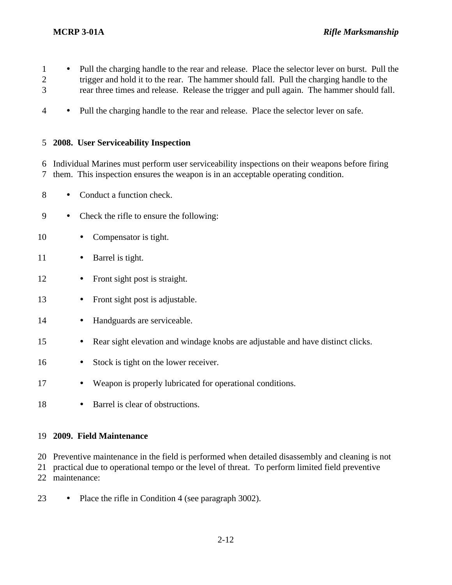1 2 3 ü Pull the charging handle to the rear and release. Place the selector lever on burst. Pull the trigger and hold it to the rear. The hammer should fall. Pull the charging handle to the rear three times and release. Release the trigger and pull again. The hammer should fall.

4 ü Pull the charging handle to the rear and release. Place the selector lever on safe.

#### 5 **2008. User Serviceability Inspection**

6 Individual Marines must perform user serviceability inspections on their weapons before firing 7 them. This inspection ensures the weapon is in an acceptable operating condition.

- 8 • Conduct a function check.
- 9 • Check the rifle to ensure the following:
- 10 • Compensator is tight.
- 11 • Barrel is tight.
- 12 • Front sight post is straight.
- 13 • Front sight post is adjustable.
- 14 • Handguards are serviceable.
- 15 ü Rear sight elevation and windage knobs are adjustable and have distinct clicks.
- 16 • Stock is tight on the lower receiver.
- 17 ü Weapon is properly lubricated for operational conditions.
- 18 • Barrel is clear of obstructions.

#### 19 **2009. Field Maintenance**

20 Preventive maintenance in the field is performed when detailed disassembly and cleaning is not 21 practical due to operational tempo or the level of threat. To perform limited field preventive 22 maintenance:

23 • Place the rifle in Condition 4 (see paragraph 3002).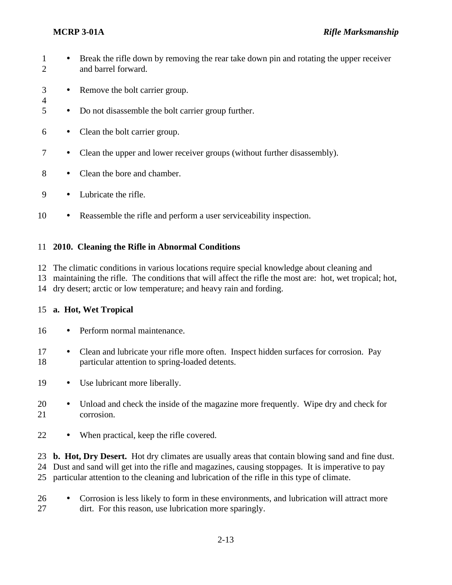- 1 2 ü Break the rifle down by removing the rear take down pin and rotating the upper receiver and barrel forward.
- 3 • Remove the bolt carrier group.
- 4
- 5 • Do not disassemble the bolt carrier group further.
- 6 • Clean the bolt carrier group.
- 7 ü Clean the upper and lower receiver groups (without further disassembly).
- 8 • Clean the bore and chamber.
- 9 • Lubricate the rifle.
- 10 ü Reassemble the rifle and perform a user serviceability inspection.

#### 11 **2010. Cleaning the Rifle in Abnormal Conditions**

- 12 The climatic conditions in various locations require special knowledge about cleaning and
- 13 maintaining the rifle. The conditions that will affect the rifle the most are: hot, wet tropical; hot,
- 14 dry desert; arctic or low temperature; and heavy rain and fording.

#### 15 **a. Hot, Wet Tropical**

- 16 • Perform normal maintenance.
- 17 18 • Clean and lubricate your rifle more often. Inspect hidden surfaces for corrosion. Pay particular attention to spring-loaded detents.
- 19 • Use lubricant more liberally.
- 20 21 ü Unload and check the inside of the magazine more frequently. Wipe dry and check for corrosion.
- 22 • When practical, keep the rifle covered.

23 24 Dust and sand will get into the rifle and magazines, causing stoppages. It is imperative to pay 25 **b. Hot, Dry Desert.** Hot dry climates are usually areas that contain blowing sand and fine dust. particular attention to the cleaning and lubrication of the rifle in this type of climate.

26 27 ü Corrosion is less likely to form in these environments, and lubrication will attract more dirt. For this reason, use lubrication more sparingly.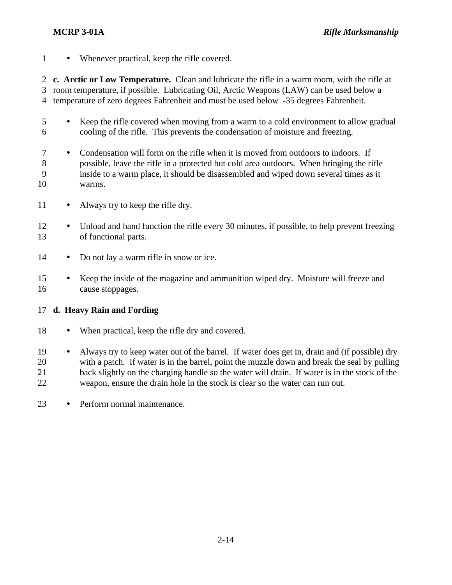1 Whenever practical, keep the rifle covered.

2 **c. Arctic or Low Temperature.** Clean and lubricate the rifle in a warm room, with the rifle at 3 4 temperature of zero degrees Fahrenheit and must be used below -35 degrees Fahrenheit. room temperature, if possible. Lubricating Oil, Arctic Weapons (LAW) can be used below a

- 5 6 ü Keep the rifle covered when moving from a warm to a cold environment to allow gradual cooling of the rifle. This prevents the condensation of moisture and freezing.
- 7 8 9 10 ü Condensation will form on the rifle when it is moved from outdoors to indoors. If possible, leave the rifle in a protected but cold area outdoors. When bringing the rifle inside to a warm place, it should be disassembled and wiped down several times as it warms.
- 11 • Always try to keep the rifle dry.
- 12 13 • Unload and hand function the rifle every 30 minutes, if possible, to help prevent freezing of functional parts.
- 14 • Do not lay a warm rifle in snow or ice.
- 15 16 Keep the inside of the magazine and ammunition wiped dry. Moisture will freeze and cause stoppages.

#### 17 **d. Heavy Rain and Fording**

- 18 When practical, keep the rifle dry and covered.
- 19 20 21 22 • Always try to keep water out of the barrel. If water does get in, drain and (if possible) dry with a patch. If water is in the barrel, point the muzzle down and break the seal by pulling back slightly on the charging handle so the water will drain. If water is in the stock of the weapon, ensure the drain hole in the stock is clear so the water can run out.
- 23 • Perform normal maintenance.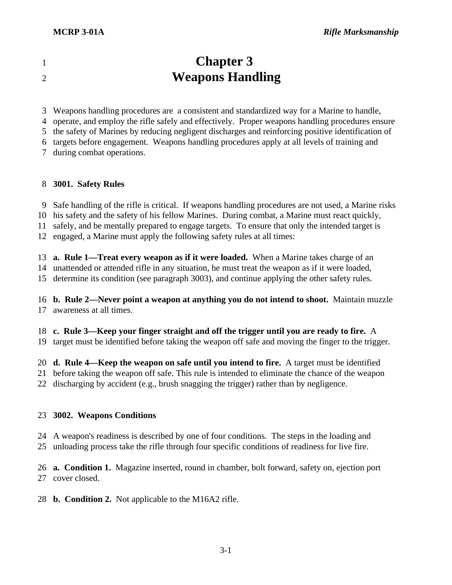| $\mathbf{1}$<br>$\mathcal{D}_{\mathcal{L}}$ | <b>Chapter 3</b><br><b>Weapons Handling</b>                                                         |
|---------------------------------------------|-----------------------------------------------------------------------------------------------------|
|                                             | 3 Weapons handling procedures are a consistent and standardized way for a Marine to handle,         |
|                                             | 4 operate, and employ the rifle safely and effectively. Proper weapons handling procedures ensure   |
|                                             | 5 the safety of Marines by reducing negligent discharges and reinforcing positive identification of |
|                                             | 6 targets before engagement. Weapons handling procedures apply at all levels of training and        |
|                                             | 7 during combat operations.                                                                         |

### **3001. Safety Rules**

Safe handling of the rifle is critical. If weapons handling procedures are not used, a Marine risks

his safety and the safety of his fellow Marines. During combat, a Marine must react quickly,

safely, and be mentally prepared to engage targets. To ensure that only the intended target is

engaged, a Marine must apply the following safety rules at all times:

**a. Rule 1—Treat every weapon as if it were loaded.** When a Marine takes charge of an

unattended or attended rifle in any situation, he must treat the weapon as if it were loaded,

determine its condition (see paragraph 3003), and continue applying the other safety rules.

 **b. Rule 2—Never point a weapon at anything you do not intend to shoot.** Maintain muzzle awareness at all times.

**c. Rule 3—Keep your finger straight and off the trigger until you are ready to fire.** A

target must be identified before taking the weapon off safe and moving the finger to the trigger.

**d. Rule 4—Keep the weapon on safe until you intend to fire.** A target must be identified

before taking the weapon off safe. This rule is intended to eliminate the chance of the weapon

discharging by accident (e.g., brush snagging the trigger) rather than by negligence.

### **3002. Weapons Conditions**

- A weapon's readiness is described by one of four conditions. The steps in the loading and
- unloading process take the rifle through four specific conditions of readiness for live fire.

 **a. Condition 1.** Magazine inserted, round in chamber, bolt forward, safety on, ejection port cover closed.

### **b. Condition 2.** Not applicable to the M16A2 rifle.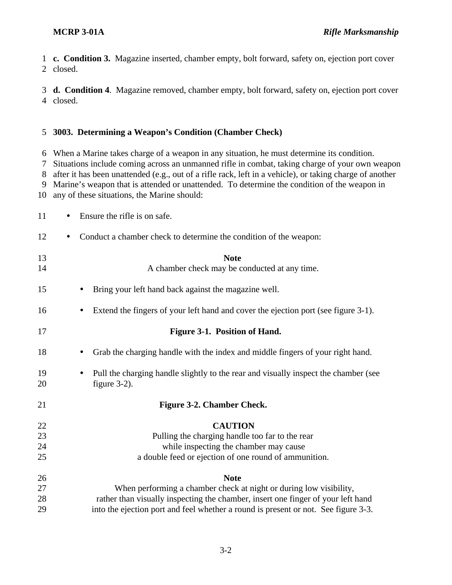1 **c. Condition 3.** Magazine inserted, chamber empty, bolt forward, safety on, ejection port cover 2 closed.

3 **d. Condition 4**. Magazine removed, chamber empty, bolt forward, safety on, ejection port cover 4 closed.

#### 5 **3003. Determining a Weapon's Condition (Chamber Check)**

6 When a Marine takes charge of a weapon in any situation, he must determine its condition.

7 Situations include coming across an unmanned rifle in combat, taking charge of your own weapon

8 after it has been unattended (e.g., out of a rifle rack, left in a vehicle), or taking charge of another

9 Marine's weapon that is attended or unattended. To determine the condition of the weapon in 10 any of these situations, the Marine should:

| 11                   | Ensure the rifle is on safe.                                      |                                                                                                                                                                      |
|----------------------|-------------------------------------------------------------------|----------------------------------------------------------------------------------------------------------------------------------------------------------------------|
| 12                   | Conduct a chamber check to determine the condition of the weapon: |                                                                                                                                                                      |
| 13<br>14             |                                                                   | <b>Note</b><br>A chamber check may be conducted at any time.                                                                                                         |
| 15                   | Bring your left hand back against the magazine well.              |                                                                                                                                                                      |
| 16                   |                                                                   | Extend the fingers of your left hand and cover the ejection port (see figure 3-1).                                                                                   |
| 17                   |                                                                   | Figure 3-1. Position of Hand.                                                                                                                                        |
| 18                   | ٠                                                                 | Grab the charging handle with the index and middle fingers of your right hand.                                                                                       |
| 19<br>20             | $\bullet$<br>figure $3-2$ ).                                      | Pull the charging handle slightly to the rear and visually inspect the chamber (see                                                                                  |
| 21                   | <b>Figure 3-2. Chamber Check.</b>                                 |                                                                                                                                                                      |
| 22<br>23<br>24<br>25 |                                                                   | <b>CAUTION</b><br>Pulling the charging handle too far to the rear<br>while inspecting the chamber may cause<br>a double feed or ejection of one round of ammunition. |
| 26                   |                                                                   | <b>Note</b>                                                                                                                                                          |
| 27                   |                                                                   | When performing a chamber check at night or during low visibility,                                                                                                   |
| 28                   |                                                                   | rather than visually inspecting the chamber, insert one finger of your left hand                                                                                     |
| 29                   |                                                                   | into the ejection port and feel whether a round is present or not. See figure 3-3.                                                                                   |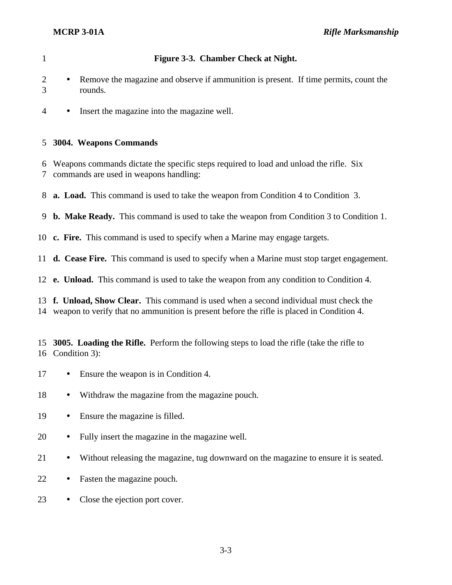| $\mathbf{1}$        | Figure 3-3. Chamber Check at Night.                                                                                                                                                    |
|---------------------|----------------------------------------------------------------------------------------------------------------------------------------------------------------------------------------|
| $\overline{2}$<br>3 | Remove the magazine and observe if ammunition is present. If time permits, count the<br>$\bullet$<br>rounds.                                                                           |
| $\overline{4}$      | Insert the magazine into the magazine well.<br>٠                                                                                                                                       |
|                     | 5 3004. Weapons Commands                                                                                                                                                               |
| 6<br>7              | Weapons commands dictate the specific steps required to load and unload the rifle. Six<br>commands are used in weapons handling:                                                       |
|                     | 8 <b>a. Load.</b> This command is used to take the weapon from Condition 4 to Condition 3.                                                                                             |
|                     | 9 <b>b. Make Ready.</b> This command is used to take the weapon from Condition 3 to Condition 1.                                                                                       |
|                     | 10 c. Fire. This command is used to specify when a Marine may engage targets.                                                                                                          |
|                     | 11 d. Cease Fire. This command is used to specify when a Marine must stop target engagement.                                                                                           |
|                     | 12 <b>e. Unload.</b> This command is used to take the weapon from any condition to Condition 4.                                                                                        |
|                     | 13 f. Unload, Show Clear. This command is used when a second individual must check the<br>14 weapon to verify that no ammunition is present before the rifle is placed in Condition 4. |
|                     | 15 3005. Loading the Rifle. Perform the following steps to load the rifle (take the rifle to<br>16 Condition 3):                                                                       |
| 17                  | Ensure the weapon is in Condition 4.<br>٠                                                                                                                                              |
| 18                  | Withdraw the magazine from the magazine pouch.                                                                                                                                         |
| 19                  | Ensure the magazine is filled.<br>٠                                                                                                                                                    |
| 20                  | Fully insert the magazine in the magazine well.<br>٠                                                                                                                                   |
| 21                  | Without releasing the magazine, tug downward on the magazine to ensure it is seated.<br>٠                                                                                              |

- 22 • Fasten the magazine pouch.
- 23 • Close the ejection port cover.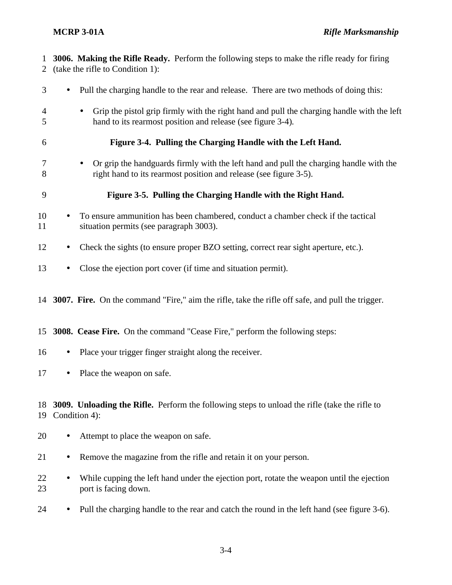| 1<br>2              | 3006. Making the Rifle Ready. Perform the following steps to make the rifle ready for firing<br>(take the rifle to Condition 1):                                 |
|---------------------|------------------------------------------------------------------------------------------------------------------------------------------------------------------|
| 3                   | Pull the charging handle to the rear and release. There are two methods of doing this:<br>$\bullet$                                                              |
| $\overline{4}$<br>5 | Grip the pistol grip firmly with the right hand and pull the charging handle with the left<br>hand to its rearmost position and release (see figure 3-4).        |
| 6                   | Figure 3-4. Pulling the Charging Handle with the Left Hand.                                                                                                      |
| $\tau$<br>8         | Or grip the handguards firmly with the left hand and pull the charging handle with the<br>٠<br>right hand to its rearmost position and release (see figure 3-5). |
| 9                   | Figure 3-5. Pulling the Charging Handle with the Right Hand.                                                                                                     |
| 10<br>11            | To ensure ammunition has been chambered, conduct a chamber check if the tactical<br>$\bullet$<br>situation permits (see paragraph 3003).                         |
| 12                  | Check the sights (to ensure proper BZO setting, correct rear sight aperture, etc.).<br>$\bullet$                                                                 |
| 13                  | Close the ejection port cover (if time and situation permit).<br>٠                                                                                               |
|                     | 14 <b>3007. Fire.</b> On the command "Fire," aim the rifle, take the rifle off safe, and pull the trigger.                                                       |
| 15                  | <b>3008. Cease Fire.</b> On the command "Cease Fire," perform the following steps:                                                                               |
| 16                  | Place your trigger finger straight along the receiver.<br>٠                                                                                                      |
| 17                  | Place the weapon on safe.                                                                                                                                        |
| 18<br>19            | 3009. Unloading the Rifle. Perform the following steps to unload the rifle (take the rifle to<br>Condition 4):                                                   |
| 20                  | Attempt to place the weapon on safe.<br>٠                                                                                                                        |
| 21                  | Remove the magazine from the rifle and retain it on your person.<br>٠                                                                                            |
| 22<br>23            | While cupping the left hand under the ejection port, rotate the weapon until the ejection<br>$\bullet$<br>port is facing down.                                   |
| 24                  | Pull the charging handle to the rear and catch the round in the left hand (see figure 3-6).<br>$\bullet$                                                         |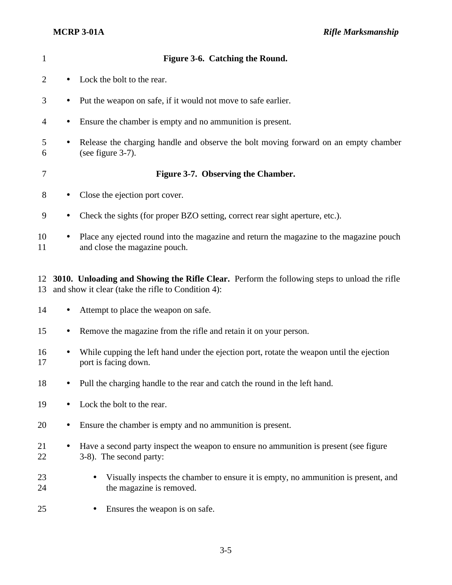| $\mathbf{1}$   |   | Figure 3-6. Catching the Round.                                                                                                                       |
|----------------|---|-------------------------------------------------------------------------------------------------------------------------------------------------------|
| $\overline{2}$ | ٠ | Lock the bolt to the rear.                                                                                                                            |
| 3              | ٠ | Put the weapon on safe, if it would not move to safe earlier.                                                                                         |
| 4              | ٠ | Ensure the chamber is empty and no ammunition is present.                                                                                             |
| 5<br>6         | ٠ | Release the charging handle and observe the bolt moving forward on an empty chamber<br>(see figure 3-7).                                              |
| 7              |   | Figure 3-7. Observing the Chamber.                                                                                                                    |
| 8              | ٠ | Close the ejection port cover.                                                                                                                        |
| 9              | ٠ | Check the sights (for proper BZO setting, correct rear sight aperture, etc.).                                                                         |
| 10<br>11       |   | Place any ejected round into the magazine and return the magazine to the magazine pouch<br>and close the magazine pouch.                              |
| 13             |   | 12 3010. Unloading and Showing the Rifle Clear. Perform the following steps to unload the rifle<br>and show it clear (take the rifle to Condition 4): |
| 14             | ٠ | Attempt to place the weapon on safe.                                                                                                                  |
| 15             | ٠ | Remove the magazine from the rifle and retain it on your person.                                                                                      |
| 16<br>17       |   | While cupping the left hand under the ejection port, rotate the weapon until the ejection<br>port is facing down.                                     |
| 18             |   | Pull the charging handle to the rear and catch the round in the left hand.                                                                            |
| 19             |   | Lock the bolt to the rear.                                                                                                                            |
| 20             | ٠ | Ensure the chamber is empty and no ammunition is present.                                                                                             |
| 21<br>22       |   | Have a second party inspect the weapon to ensure no ammunition is present (see figure<br>3-8). The second party:                                      |
| 23<br>24       |   | Visually inspects the chamber to ensure it is empty, no ammunition is present, and<br>٠<br>the magazine is removed.                                   |
| 25             |   | Ensures the weapon is on safe.                                                                                                                        |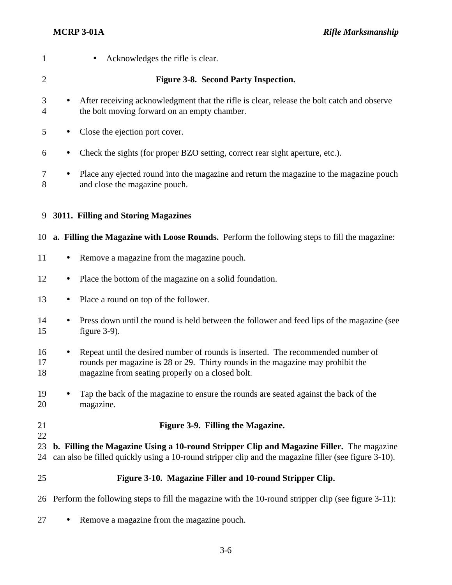| $\mathbf{1}$   | Acknowledges the rifle is clear.                                                                                                                                                                                                     |
|----------------|--------------------------------------------------------------------------------------------------------------------------------------------------------------------------------------------------------------------------------------|
| $\overline{2}$ | Figure 3-8. Second Party Inspection.                                                                                                                                                                                                 |
| 3<br>4         | After receiving acknowledgment that the rifle is clear, release the bolt catch and observe<br>$\bullet$<br>the bolt moving forward on an empty chamber.                                                                              |
| 5              | Close the ejection port cover.<br>$\bullet$                                                                                                                                                                                          |
| 6              | Check the sights (for proper BZO setting, correct rear sight aperture, etc.).<br>$\bullet$                                                                                                                                           |
| 7<br>8         | Place any ejected round into the magazine and return the magazine to the magazine pouch<br>$\bullet$<br>and close the magazine pouch.                                                                                                |
| 9              | 3011. Filling and Storing Magazines                                                                                                                                                                                                  |
| 10             | a. Filling the Magazine with Loose Rounds. Perform the following steps to fill the magazine:                                                                                                                                         |
| 11             | Remove a magazine from the magazine pouch.                                                                                                                                                                                           |
| 12             | Place the bottom of the magazine on a solid foundation.<br>$\bullet$                                                                                                                                                                 |
| 13             | Place a round on top of the follower.<br>$\bullet$                                                                                                                                                                                   |
| 14<br>15       | Press down until the round is held between the follower and feed lips of the magazine (see<br>$\bullet$<br>figure $3-9$ ).                                                                                                           |
| 16<br>17<br>18 | Repeat until the desired number of rounds is inserted. The recommended number of<br>$\bullet$<br>rounds per magazine is 28 or 29. Thirty rounds in the magazine may prohibit the<br>magazine from seating properly on a closed bolt. |
| 19<br>20       | Tap the back of the magazine to ensure the rounds are seated against the back of the<br>magazine.                                                                                                                                    |
| 21             | Figure 3-9. Filling the Magazine.                                                                                                                                                                                                    |
| 22<br>23<br>24 | b. Filling the Magazine Using a 10-round Stripper Clip and Magazine Filler. The magazine<br>can also be filled quickly using a 10-round stripper clip and the magazine filler (see figure 3-10).                                     |
| 25             | Figure 3-10. Magazine Filler and 10-round Stripper Clip.                                                                                                                                                                             |
| 26             | Perform the following steps to fill the magazine with the 10-round stripper clip (see figure 3-11):                                                                                                                                  |
| 27             | Remove a magazine from the magazine pouch.                                                                                                                                                                                           |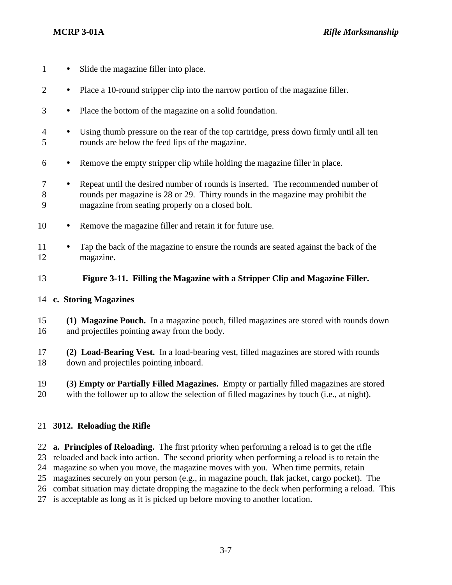- 1 • Slide the magazine filler into place.
- 2 ü Place a 10-round stripper clip into the narrow portion of the magazine filler.
- 3 • Place the bottom of the magazine on a solid foundation.
- 4 5 ü Using thumb pressure on the rear of the top cartridge, press down firmly until all ten rounds are below the feed lips of the magazine.
- 6 • Remove the empty stripper clip while holding the magazine filler in place.
- 7 8 9 ü Repeat until the desired number of rounds is inserted. The recommended number of rounds per magazine is 28 or 29. Thirty rounds in the magazine may prohibit the magazine from seating properly on a closed bolt.
- 10 • Remove the magazine filler and retain it for future use.
- 11 12 ü Tap the back of the magazine to ensure the rounds are seated against the back of the magazine.

#### 13 **Figure 3-11. Filling the Magazine with a Stripper Clip and Magazine Filler.**

#### 14 **c. Storing Magazines**

- 15 16 **(1) Magazine Pouch.** In a magazine pouch, filled magazines are stored with rounds down and projectiles pointing away from the body.
- 17 18 **(2) Load-Bearing Vest.** In a load-bearing vest, filled magazines are stored with rounds down and projectiles pointing inboard.
- 19 20 **(3) Empty or Partially Filled Magazines.** Empty or partially filled magazines are stored with the follower up to allow the selection of filled magazines by touch (i.e., at night).

#### 21 **3012. Reloading the Rifle**

22 **a. Principles of Reloading.** The first priority when performing a reload is to get the rifle

23 reloaded and back into action. The second priority when performing a reload is to retain the

24 magazine so when you move, the magazine moves with you. When time permits, retain

- 25 magazines securely on your person (e.g., in magazine pouch, flak jacket, cargo pocket). The
- 26 combat situation may dictate dropping the magazine to the deck when performing a reload. This

27 is acceptable as long as it is picked up before moving to another location.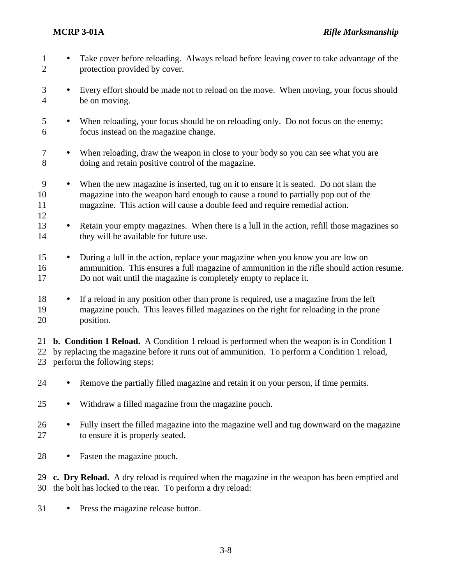- 1 2 3 4 5 6 7 8 9 10 11 12 13 14 15 16 17 18 19 20 21 22 Take cover before reloading. Always reload before leaving cover to take advantage of the protection provided by cover. • Every effort should be made not to reload on the move. When moving, your focus should be on moving. ü When reloading, your focus should be on reloading only. Do not focus on the enemy; focus instead on the magazine change. ü When reloading, draw the weapon in close to your body so you can see what you are doing and retain positive control of the magazine. ü When the new magazine is inserted, tug on it to ensure it is seated. Do not slam the magazine into the weapon hard enough to cause a round to partially pop out of the magazine. This action will cause a double feed and require remedial action. ü Retain your empty magazines. When there is a lull in the action, refill those magazines so they will be available for future use. ü During a lull in the action, replace your magazine when you know you are low on ammunition. This ensures a full magazine of ammunition in the rifle should action resume. Do not wait until the magazine is completely empty to replace it. If a reload in any position other than prone is required, use a magazine from the left magazine pouch. This leaves filled magazines on the right for reloading in the prone position. **b. Condition 1 Reload.** A Condition 1 reload is performed when the weapon is in Condition 1 by replacing the magazine before it runs out of ammunition. To perform a Condition 1 reload,
- 23 perform the following steps:
- 24 ü Remove the partially filled magazine and retain it on your person, if time permits.
- 25 ü Withdraw a filled magazine from the magazine pouch.
- 26 27 ü Fully insert the filled magazine into the magazine well and tug downward on the magazine to ensure it is properly seated.
- 28 • Fasten the magazine pouch.

29 **c. Dry Reload.** A dry reload is required when the magazine in the weapon has been emptied and 30 the bolt has locked to the rear. To perform a dry reload:

31 Press the magazine release button.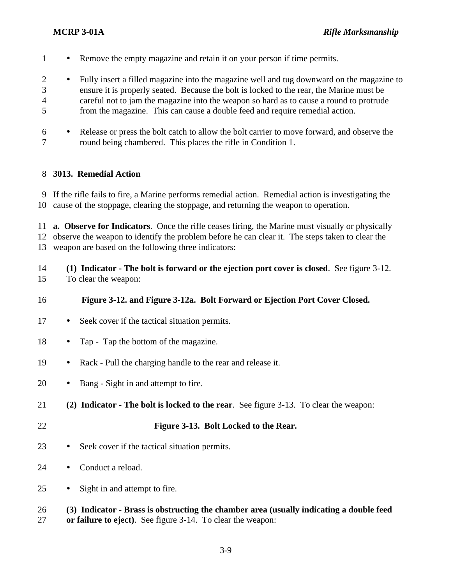- 1 • Remove the empty magazine and retain it on your person if time permits.
- 2 3 4 5 ü Fully insert a filled magazine into the magazine well and tug downward on the magazine to ensure it is properly seated. Because the bolt is locked to the rear, the Marine must be careful not to jam the magazine into the weapon so hard as to cause a round to protrude from the magazine. This can cause a double feed and require remedial action.
- 6 7 ü Release or press the bolt catch to allow the bolt carrier to move forward, and observe the round being chambered. This places the rifle in Condition 1.

#### 8 **3013. Remedial Action**

9 If the rifle fails to fire, a Marine performs remedial action. Remedial action is investigating the 10 cause of the stoppage, clearing the stoppage, and returning the weapon to operation.

11 **a. Observe for Indicators**. Once the rifle ceases firing, the Marine must visually or physically 12 observe the weapon to identify the problem before he can clear it. The steps taken to clear the 13 weapon are based on the following three indicators:

14 15 **(1) Indicator - The bolt is forward or the ejection port cover is closed**. See figure 3-12. To clear the weapon:

#### 16 **Figure 3-12. and Figure 3-12a. Bolt Forward or Ejection Port Cover Closed.**

- 17 • Seek cover if the tactical situation permits.
- 18 • Tap - Tap the bottom of the magazine.
- 19 • Rack - Pull the charging handle to the rear and release it.
- 20 • Bang - Sight in and attempt to fire.
- 21 **(2) Indicator - The bolt is locked to the rear**. See figure 3-13. To clear the weapon:
- 22

#### **Figure 3-13. Bolt Locked to the Rear.**

- 23 • Seek cover if the tactical situation permits.
- 24 • Conduct a reload.
- 25 • Sight in and attempt to fire.
- 26 27 **(3) Indicator - Brass is obstructing the chamber area (usually indicating a double feed or failure to eject)**. See figure 3-14. To clear the weapon: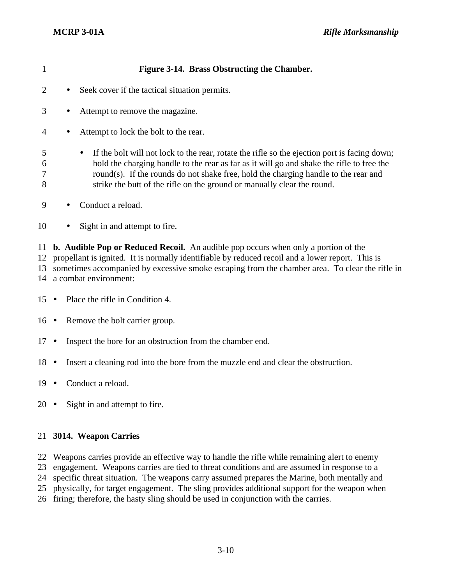| $\mathbf{1}$     | Figure 3-14. Brass Obstructing the Chamber.                                                                                                                                                                                                                                                                                                                 |
|------------------|-------------------------------------------------------------------------------------------------------------------------------------------------------------------------------------------------------------------------------------------------------------------------------------------------------------------------------------------------------------|
| 2                | Seek cover if the tactical situation permits.<br>$\bullet$                                                                                                                                                                                                                                                                                                  |
| 3                | Attempt to remove the magazine.<br>٠                                                                                                                                                                                                                                                                                                                        |
| 4                | Attempt to lock the bolt to the rear.<br>٠                                                                                                                                                                                                                                                                                                                  |
| 5<br>6<br>7<br>8 | If the bolt will not lock to the rear, rotate the rifle so the ejection port is facing down;<br>hold the charging handle to the rear as far as it will go and shake the rifle to free the<br>round(s). If the rounds do not shake free, hold the charging handle to the rear and<br>strike the butt of the rifle on the ground or manually clear the round. |
| 9                | Conduct a reload.                                                                                                                                                                                                                                                                                                                                           |
| 10               | Sight in and attempt to fire.                                                                                                                                                                                                                                                                                                                               |
| 11<br>12<br>13   | <b>b.</b> Audible Pop or Reduced Recoil. An audible pop occurs when only a portion of the<br>propellant is ignited. It is normally identifiable by reduced recoil and a lower report. This is<br>sometimes accompanied by excessive smoke escaping from the chamber area. To clear the rifle in<br>14 a combat environment:                                 |
| 15               | Place the rifle in Condition 4.<br>$\bullet$                                                                                                                                                                                                                                                                                                                |
| 16               | Remove the bolt carrier group.                                                                                                                                                                                                                                                                                                                              |
| 17               | Inspect the bore for an obstruction from the chamber end.<br>$\bullet$                                                                                                                                                                                                                                                                                      |
| 18               | Insert a cleaning rod into the bore from the muzzle end and clear the obstruction.<br>$\bullet$                                                                                                                                                                                                                                                             |
| 19               | Conduct a reload.                                                                                                                                                                                                                                                                                                                                           |
| 20               | Sight in and attempt to fire.                                                                                                                                                                                                                                                                                                                               |
|                  | 21 3014. Weapon Carries                                                                                                                                                                                                                                                                                                                                     |

- 22 Weapons carries provide an effective way to handle the rifle while remaining alert to enemy
- 23 engagement. Weapons carries are tied to threat conditions and are assumed in response to a
- 24 specific threat situation. The weapons carry assumed prepares the Marine, both mentally and
- 25 physically, for target engagement. The sling provides additional support for the weapon when
- 26 firing; therefore, the hasty sling should be used in conjunction with the carries.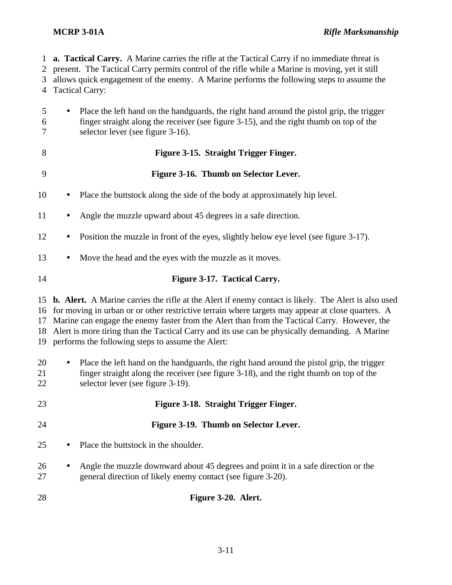1 **a. Tactical Carry.** A Marine carries the rifle at the Tactical Carry if no immediate threat is

- 2 present. The Tactical Carry permits control of the rifle while a Marine is moving, yet it still
- 3 allows quick engagement of the enemy. A Marine performs the following steps to assume the
- 4 Tactical Carry:

| 5<br>6<br>7    | Place the left hand on the handguards, the right hand around the pistol grip, the trigger<br>$\bullet$<br>finger straight along the receiver (see figure 3-15), and the right thumb on top of the<br>selector lever (see figure 3-16).                                                                                                                                                                                                                                              |
|----------------|-------------------------------------------------------------------------------------------------------------------------------------------------------------------------------------------------------------------------------------------------------------------------------------------------------------------------------------------------------------------------------------------------------------------------------------------------------------------------------------|
| 8              | Figure 3-15. Straight Trigger Finger.                                                                                                                                                                                                                                                                                                                                                                                                                                               |
| 9              | Figure 3-16. Thumb on Selector Lever.                                                                                                                                                                                                                                                                                                                                                                                                                                               |
| 10             | Place the buttstock along the side of the body at approximately hip level.                                                                                                                                                                                                                                                                                                                                                                                                          |
| 11             | Angle the muzzle upward about 45 degrees in a safe direction.<br>$\bullet$                                                                                                                                                                                                                                                                                                                                                                                                          |
| 12             | Position the muzzle in front of the eyes, slightly below eye level (see figure 3-17).<br>$\bullet$                                                                                                                                                                                                                                                                                                                                                                                  |
| 13             | Move the head and the eyes with the muzzle as it moves.<br>$\bullet$                                                                                                                                                                                                                                                                                                                                                                                                                |
| 14             | Figure 3-17. Tactical Carry.                                                                                                                                                                                                                                                                                                                                                                                                                                                        |
| 15             | <b>b. Alert.</b> A Marine carries the rifle at the Alert if enemy contact is likely. The Alert is also used<br>16 for moving in urban or or other restrictive terrain where targets may appear at close quarters. A<br>17 Marine can engage the enemy faster from the Alert than from the Tactical Carry. However, the<br>18 Alert is more tiring than the Tactical Carry and its use can be physically demanding. A Marine<br>19 performs the following steps to assume the Alert: |
| 20<br>21<br>22 | Place the left hand on the handguards, the right hand around the pistol grip, the trigger<br>$\bullet$<br>finger straight along the receiver (see figure 3-18), and the right thumb on top of the<br>selector lever (see figure 3-19).                                                                                                                                                                                                                                              |
| 23             | Figure 3-18. Straight Trigger Finger.                                                                                                                                                                                                                                                                                                                                                                                                                                               |
| 24             | Figure 3-19. Thumb on Selector Lever.                                                                                                                                                                                                                                                                                                                                                                                                                                               |
| 25             | Place the buttstock in the shoulder.                                                                                                                                                                                                                                                                                                                                                                                                                                                |
| 26<br>27       | Angle the muzzle downward about 45 degrees and point it in a safe direction or the<br>$\bullet$<br>general direction of likely enemy contact (see figure 3-20).                                                                                                                                                                                                                                                                                                                     |
| 28             | Figure 3-20. Alert.                                                                                                                                                                                                                                                                                                                                                                                                                                                                 |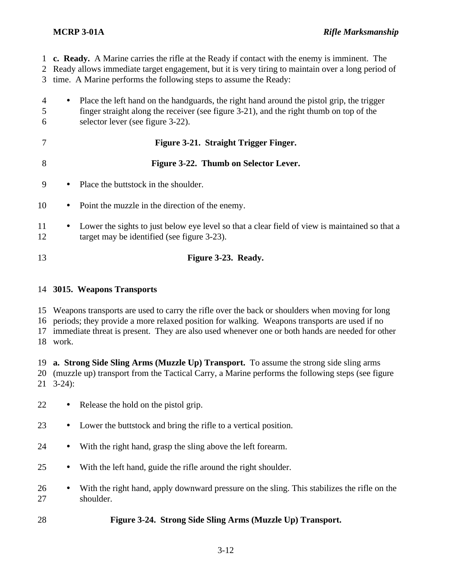- 1 **c. Ready.** A Marine carries the rifle at the Ready if contact with the enemy is imminent. The
- 2 Ready allows immediate target engagement, but it is very tiring to maintain over a long period of 3 time. A Marine performs the following steps to assume the Ready:

| 4<br>5<br>6 | Place the left hand on the handguards, the right hand around the pistol grip, the trigger<br>$\bullet$<br>finger straight along the receiver (see figure 3-21), and the right thumb on top of the<br>selector lever (see figure 3-22). |
|-------------|----------------------------------------------------------------------------------------------------------------------------------------------------------------------------------------------------------------------------------------|
|             | Figure 3-21. Straight Trigger Finger.                                                                                                                                                                                                  |
| 8           | Figure 3-22. Thumb on Selector Lever.                                                                                                                                                                                                  |
| 9           | Place the buttstock in the shoulder.                                                                                                                                                                                                   |
| 10          | Point the muzzle in the direction of the enemy.<br>$\bullet$                                                                                                                                                                           |
| 11<br>12    | Lower the sights to just below eye level so that a clear field of view is maintained so that a<br>٠<br>target may be identified (see figure 3-23).                                                                                     |
| 13          | Figure 3-23. Ready.                                                                                                                                                                                                                    |

#### 14 **3015. Weapons Transports**

28

 Weapons transports are used to carry the rifle over the back or shoulders when moving for long periods; they provide a more relaxed position for walking. Weapons transports are used if no immediate threat is present. They are also used whenever one or both hands are needed for other 18 work.

19 **a. Strong Side Sling Arms (Muzzle Up) Transport.** To assume the strong side sling arms 20 (muzzle up) transport from the Tactical Carry, a Marine performs the following steps (see figure 21 3-24):

- 22 • Release the hold on the pistol grip.
- 23 • Lower the buttstock and bring the rifle to a vertical position.
- 24 ü With the right hand, grasp the sling above the left forearm.
- 25 ü With the left hand, guide the rifle around the right shoulder.
- 26 27 ü With the right hand, apply downward pressure on the sling. This stabilizes the rifle on the shoulder.
	- **Figure 3-24. Strong Side Sling Arms (Muzzle Up) Transport.**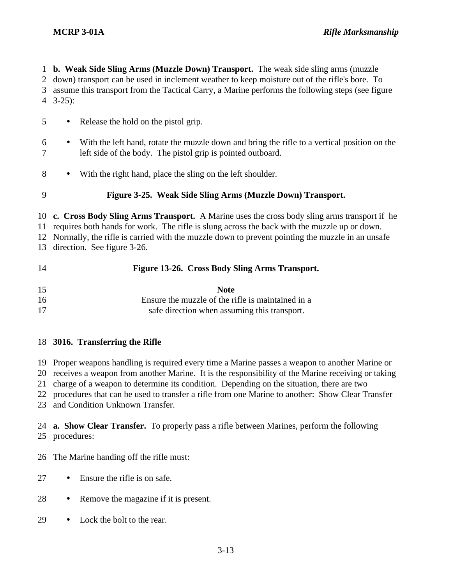**b. Weak Side Sling Arms (Muzzle Down) Transport.** The weak side sling arms (muzzle down) transport can be used in inclement weather to keep moisture out of the rifle's bore. To assume this transport from the Tactical Carry, a Marine performs the following steps (see figure 3-25):

- • Release the hold on the pistol grip.
- ü With the left hand, rotate the muzzle down and bring the rifle to a vertical position on the left side of the body. The pistol grip is pointed outboard.
- ü With the right hand, place the sling on the left shoulder.

#### **Figure 3-25. Weak Side Sling Arms (Muzzle Down) Transport.**

 **c. Cross Body Sling Arms Transport.** A Marine uses the cross body sling arms transport if he requires both hands for work. The rifle is slung across the back with the muzzle up or down. Normally, the rifle is carried with the muzzle down to prevent pointing the muzzle in an unsafe

direction. See figure 3-26.

| Figure 13-26. Cross Body Sling Arms Transport.    |
|---------------------------------------------------|
| <b>Note</b>                                       |
| Ensure the muzzle of the rifle is maintained in a |
| safe direction when assuming this transport.      |
|                                                   |

#### **3016. Transferring the Rifle**

Proper weapons handling is required every time a Marine passes a weapon to another Marine or

receives a weapon from another Marine. It is the responsibility of the Marine receiving or taking

charge of a weapon to determine its condition. Depending on the situation, there are two

procedures that can be used to transfer a rifle from one Marine to another: Show Clear Transfer

and Condition Unknown Transfer.

#### **a. Show Clear Transfer.** To properly pass a rifle between Marines, perform the following procedures:

- The Marine handing off the rifle must:
- Ensure the rifle is on safe.
- • Remove the magazine if it is present.
- • Lock the bolt to the rear.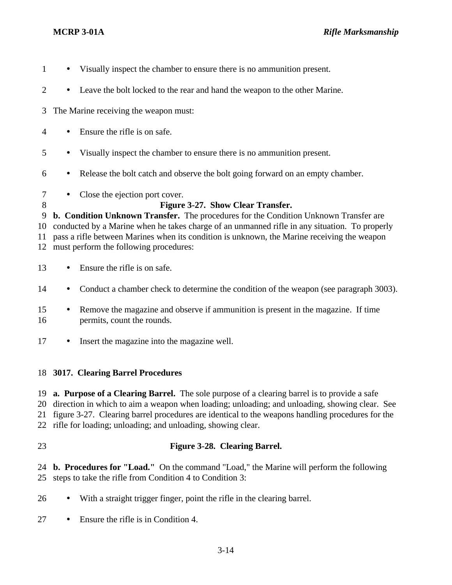8

1 ü Visually inspect the chamber to ensure there is no ammunition present.

- 2 ü Leave the bolt locked to the rear and hand the weapon to the other Marine.
- 3 The Marine receiving the weapon must:
- 4 • Ensure the rifle is on safe.
- 5 ü Visually inspect the chamber to ensure there is no ammunition present.
- 6 ü Release the bolt catch and observe the bolt going forward on an empty chamber.
- 7 • Close the ejection port cover.

#### **Figure 3-27. Show Clear Transfer.**

9 **b. Condition Unknown Transfer.** The procedures for the Condition Unknown Transfer are 10 conducted by a Marine when he takes charge of an unmanned rifle in any situation. To properly 11 pass a rifle between Marines when its condition is unknown, the Marine receiving the weapon

12 must perform the following procedures:

- 13 • Ensure the rifle is on safe.
- 14 • Conduct a chamber check to determine the condition of the weapon (see paragraph 3003).
- 15 16 ü Remove the magazine and observe if ammunition is present in the magazine. If time permits, count the rounds.
- 17 • Insert the magazine into the magazine well.

#### 18 **3017. Clearing Barrel Procedures**

 **a. Purpose of a Clearing Barrel.** The sole purpose of a clearing barrel is to provide a safe direction in which to aim a weapon when loading; unloading; and unloading, showing clear. See figure 3-27. Clearing barrel procedures are identical to the weapons handling procedures for the rifle for loading; unloading; and unloading, showing clear.

#### 23 **Figure 3-28. Clearing Barrel.**

24 **b. Procedures for "Load."** On the command "Load," the Marine will perform the following 25 steps to take the rifle from Condition 4 to Condition 3:

- 26 With a straight trigger finger, point the rifle in the clearing barrel.
- 27 • Ensure the rifle is in Condition 4.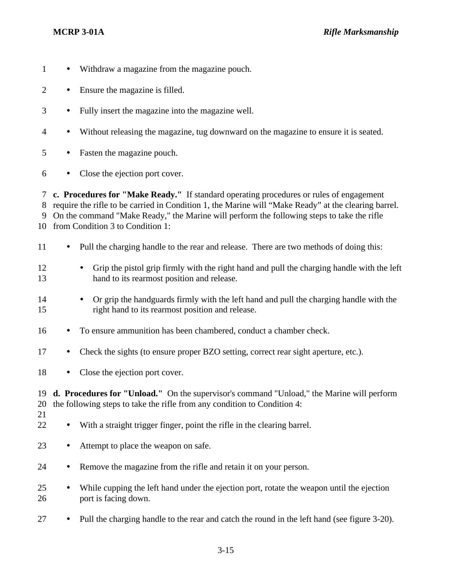1 2 3 4 5 6 7 **c. Procedures for "Make Ready."** If standard operating procedures or rules of engagement 8 require the rifle to be carried in Condition 1, the Marine will "Make Ready" at the clearing barrel. 9 On the command "Make Ready," the Marine will perform the following steps to take the rifle 10 from Condition 3 to Condition 1: 11 12 13 14 15 16 17 18 19 20 21 22 23 24 25 26 27 ü Withdraw a magazine from the magazine pouch. • Ensure the magazine is filled. ü Fully insert the magazine into the magazine well. ü Without releasing the magazine, tug downward on the magazine to ensure it is seated. • Fasten the magazine pouch. Close the ejection port cover. Pull the charging handle to the rear and release. There are two methods of doing this: ü Grip the pistol grip firmly with the right hand and pull the charging handle with the left hand to its rearmost position and release*.* ü Or grip the handguards firmly with the left hand and pull the charging handle with the right hand to its rearmost position and release. ü To ensure ammunition has been chambered, conduct a chamber check. ü Check the sights (to ensure proper BZO setting, correct rear sight aperture, etc.). • Close the ejection port cover. **d. Procedures for "Unload."** On the supervisor's command "Unload," the Marine will perform the following steps to take the rifle from any condition to Condition 4: ü With a straight trigger finger, point the rifle in the clearing barrel. • Attempt to place the weapon on safe. • Remove the magazine from the rifle and retain it on your person. ü While cupping the left hand under the ejection port, rotate the weapon until the ejection port is facing down. • Pull the charging handle to the rear and catch the round in the left hand (see figure 3-20).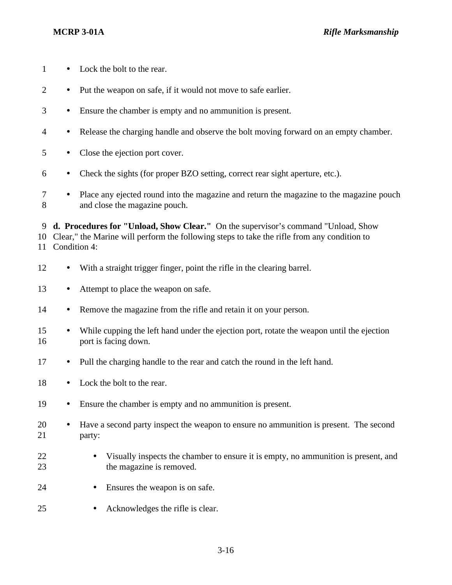| $\mathbf{1}$   |              | Lock the bolt to the rear.                                                                                                                                                       |  |
|----------------|--------------|----------------------------------------------------------------------------------------------------------------------------------------------------------------------------------|--|
| $\overline{2}$ | $\bullet$    | Put the weapon on safe, if it would not move to safe earlier.                                                                                                                    |  |
| 3              | $\bullet$    | Ensure the chamber is empty and no ammunition is present.                                                                                                                        |  |
| 4              | $\bullet$    | Release the charging handle and observe the bolt moving forward on an empty chamber.                                                                                             |  |
| 5              | $\bullet$    | Close the ejection port cover.                                                                                                                                                   |  |
| 6              | $\bullet$    | Check the sights (for proper BZO setting, correct rear sight aperture, etc.).                                                                                                    |  |
| 7<br>8         | $\bullet$    | Place any ejected round into the magazine and return the magazine to the magazine pouch<br>and close the magazine pouch.                                                         |  |
| 9<br>10<br>11  | Condition 4: | d. Procedures for "Unload, Show Clear." On the supervisor's command "Unload, Show<br>Clear," the Marine will perform the following steps to take the rifle from any condition to |  |
| 12             | $\bullet$    | With a straight trigger finger, point the rifle in the clearing barrel.                                                                                                          |  |
| 13             | $\bullet$    | Attempt to place the weapon on safe.                                                                                                                                             |  |
| 14             | $\bullet$    | Remove the magazine from the rifle and retain it on your person.                                                                                                                 |  |
| 15<br>16       | $\bullet$    | While cupping the left hand under the ejection port, rotate the weapon until the ejection<br>port is facing down.                                                                |  |
| 17             | $\bullet$    | Pull the charging handle to the rear and catch the round in the left hand.                                                                                                       |  |
| 18             | ٠            | Lock the bolt to the rear.                                                                                                                                                       |  |
| 19             |              | Ensure the chamber is empty and no ammunition is present.                                                                                                                        |  |
| 20<br>21       | $\bullet$    | Have a second party inspect the weapon to ensure no ammunition is present. The second<br>party:                                                                                  |  |
| 22<br>23       |              | Visually inspects the chamber to ensure it is empty, no ammunition is present, and<br>the magazine is removed.                                                                   |  |
| 24             |              | Ensures the weapon is on safe.                                                                                                                                                   |  |
| 25             |              | Acknowledges the rifle is clear.                                                                                                                                                 |  |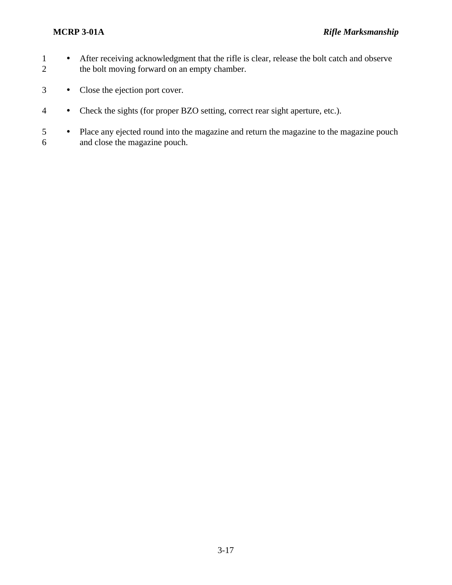- 1 2 ü After receiving acknowledgment that the rifle is clear, release the bolt catch and observe the bolt moving forward on an empty chamber.
- 3 • Close the ejection port cover.
- 4 • Check the sights (for proper BZO setting, correct rear sight aperture, etc.).
- 5 6 ü Place any ejected round into the magazine and return the magazine to the magazine pouch and close the magazine pouch.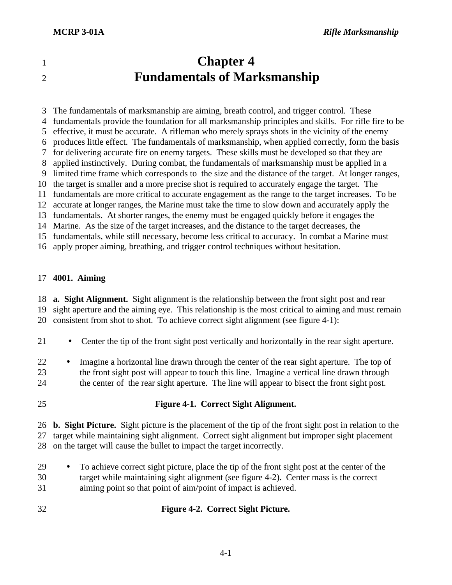# **Chapter 4 Fundamentals of Marksmanship**

 The fundamentals of marksmanship are aiming, breath control, and trigger control. These fundamentals provide the foundation for all marksmanship principles and skills. For rifle fire to be effective, it must be accurate. A rifleman who merely sprays shots in the vicinity of the enemy produces little effect. The fundamentals of marksmanship, when applied correctly, form the basis applied instinctively. During combat, the fundamentals of marksmanship must be applied in a limited time frame which corresponds to the size and the distance of the target. At longer ranges, the target is smaller and a more precise shot is required to accurately engage the target. The fundamentals are more critical to accurate engagement as the range to the target increases. To be accurate at longer ranges, the Marine must take the time to slow down and accurately apply the fundamentals. At shorter ranges, the enemy must be engaged quickly before it engages the Marine. As the size of the target increases, and the distance to the target decreases, the fundamentals, while still necessary, become less critical to accuracy. In combat a Marine must for delivering accurate fire on enemy targets. These skills must be developed so that they are

apply proper aiming, breathing, and trigger control techniques without hesitation.

#### **4001. Aiming**

 consistent from shot to shot. To achieve correct sight alignment (see figure 4-1): **a. Sight Alignment.** Sight alignment is the relationship between the front sight post and rear sight aperture and the aiming eye. This relationship is the most critical to aiming and must remain

 ü Center the tip of the front sight post vertically and horizontally in the rear sight aperture.

 ü Imagine a horizontal line drawn through the center of the rear sight aperture. The top of the front sight post will appear to touch this line. Imagine a vertical line drawn through

 the center of the rear sight aperture. The line will appear to bisect the front sight post.

#### **Figure 4-1. Correct Sight Alignment.**

 **b. Sight Picture.** Sight picture is the placement of the tip of the front sight post in relation to the target while maintaining sight alignment. Correct sight alignment but improper sight placement on the target will cause the bullet to impact the target incorrectly.

- ü To achieve correct sight picture, place the tip of the front sight post at the center of the target while maintaining sight alignment (see figure 4-2). Center mass is the correct aiming point so that point of aim/point of impact is achieved.
	- **Figure 4-2. Correct Sight Picture.**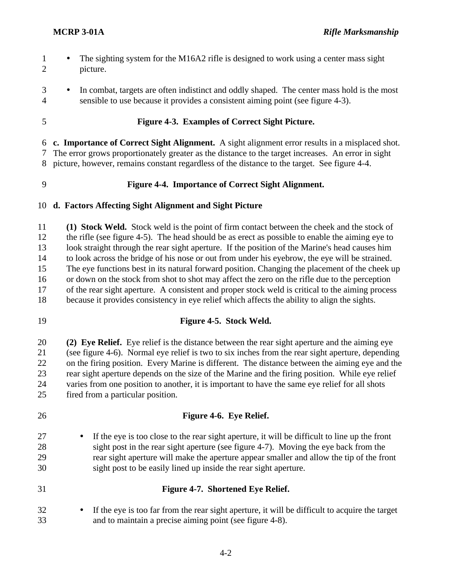- 1 2 The sighting system for the M16A2 rifle is designed to work using a center mass sight picture.
- 3 4 • In combat, targets are often indistinct and oddly shaped. The center mass hold is the most sensible to use because it provides a consistent aiming point (see figure 4-3).
- 5

#### **Figure 4-3. Examples of Correct Sight Picture.**

6 **c. Importance of Correct Sight Alignment.** A sight alignment error results in a misplaced shot. 7 The error grows proportionately greater as the distance to the target increases. An error in sight

8 picture, however, remains constant regardless of the distance to the target. See figure 4-4.

9

#### **Figure 4-4. Importance of Correct Sight Alignment.**

#### 10 **d. Factors Affecting Sight Alignment and Sight Picture**

11 12 13 14 15 16 17 18 **(1) Stock Weld.** Stock weld is the point of firm contact between the cheek and the stock of the rifle (see figure 4-5). The head should be as erect as possible to enable the aiming eye to look straight through the rear sight aperture. If the position of the Marine's head causes him to look across the bridge of his nose or out from under his eyebrow, the eye will be strained. The eye functions best in its natural forward position. Changing the placement of the cheek up or down on the stock from shot to shot may affect the zero on the rifle due to the perception of the rear sight aperture. A consistent and proper stock weld is critical to the aiming process because it provides consistency in eye relief which affects the ability to align the sights.

#### 19 **Figure 4-5. Stock Weld.**

20 21 22 23 24 25 **(2) Eye Relief.** Eye relief is the distance between the rear sight aperture and the aiming eye (see figure 4-6). Normal eye relief is two to six inches from the rear sight aperture, depending on the firing position. Every Marine is different. The distance between the aiming eye and the rear sight aperture depends on the size of the Marine and the firing position. While eye relief varies from one position to another, it is important to have the same eye relief for all shots fired from a particular position.

- 27 28 29 30 **Figure 4-6. Eye Relief.** ü If the eye is too close to the rear sight aperture, it will be difficult to line up the front sight post in the rear sight aperture (see figure 4-7). Moving the eye back from the rear sight aperture will make the aperture appear smaller and allow the tip of the front sight post to be easily lined up inside the rear sight aperture.
- 31

26

#### **Figure 4-7. Shortened Eye Relief.**

32 33 ü If the eye is too far from the rear sight aperture, it will be difficult to acquire the target and to maintain a precise aiming point (see figure 4-8).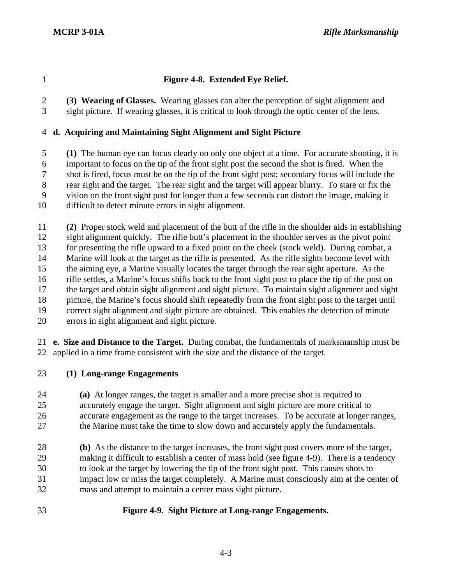1

### **Figure 4-8. Extended Eye Relief.**

2 3 **(3) Wearing of Glasses.** Wearing glasses can alter the perception of sight alignment and sight picture. If wearing glasses, it is critical to look through the optic center of the lens.

#### 4 **d. Acquiring and Maintaining Sight Alignment and Sight Picture**

5 6 7 8 9 10 **(1)** The human eye can focus clearly on only one object at a time. For accurate shooting, it is important to focus on the tip of the front sight post the second the shot is fired. When the shot is fired, focus must be on the tip of the front sight post; secondary focus will include the rear sight and the target. The rear sight and the target will appear blurry. To stare or fix the vision on the front sight post for longer than a few seconds can distort the image, making it difficult to detect minute errors in sight alignment.

11 12 13 14 15 16 17 18 19 20 **(2)** Proper stock weld and placement of the butt of the rifle in the shoulder aids in establishing sight alignment quickly. The rifle butt's placement in the shoulder serves as the pivot point for presenting the rifle upward to a fixed point on the cheek (stock weld). During combat, a Marine will look at the target as the rifle is presented. As the rifle sights become level with the aiming eye, a Marine visually locates the target through the rear sight aperture. As the rifle settles, a Marine's focus shifts back to the front sight post to place the tip of the post on the target and obtain sight alignment and sight picture. To maintain sight alignment and sight picture, the Marine's focus should shift repeatedly from the front sight post to the target until correct sight alignment and sight picture are obtained. This enables the detection of minute errors in sight alignment and sight picture.

21 22 applied in a time frame consistent with the size and the distance of the target. **e. Size and Distance to the Target.** During combat, the fundamentals of marksmanship must be

#### 23 **(1) Long-range Engagements**

24 25 26 27 **(a)** At longer ranges, the target is smaller and a more precise shot is required to accurately engage the target. Sight alignment and sight picture are more critical to accurate engagement as the range to the target increases. To be accurate at longer ranges, the Marine must take the time to slow down and accurately apply the fundamentals.

- 28 29 30 31 32 **(b)** As the distance to the target increases, the front sight post covers more of the target, making it difficult to establish a center of mass hold (see figure 4-9). There is a tendency to look at the target by lowering the tip of the front sight post. This causes shots to impact low or miss the target completely. A Marine must consciously aim at the center of mass and attempt to maintain a center mass sight picture.
- 33

#### **Figure 4-9. Sight Picture at Long-range Engagements.**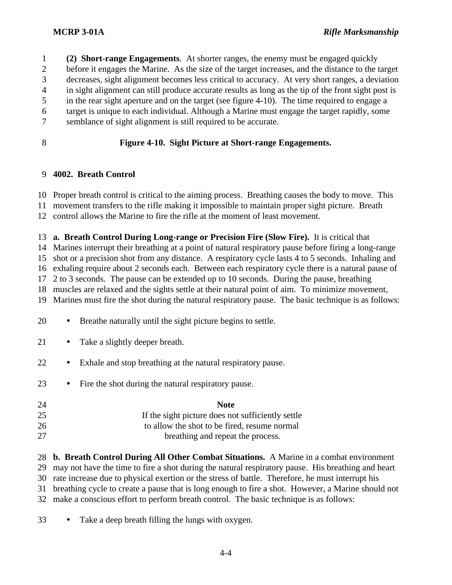**(2) Short-range Engagements**. At shorter ranges, the enemy must be engaged quickly before it engages the Marine. As the size of the target increases, and the distance to the target decreases, sight alignment becomes less critical to accuracy. At very short ranges, a deviation in sight alignment can still produce accurate results as long as the tip of the front sight post is in the rear sight aperture and on the target (see figure 4-10). The time required to engage a target is unique to each individual. Although a Marine must engage the target rapidly, some semblance of sight alignment is still required to be accurate.

#### **Figure 4-10. Sight Picture at Short-range Engagements.**

#### **4002. Breath Control**

Proper breath control is critical to the aiming process. Breathing causes the body to move. This

movement transfers to the rifle making it impossible to maintain proper sight picture. Breath

control allows the Marine to fire the rifle at the moment of least movement.

**a. Breath Control During Long-range or Precision Fire (Slow Fire).** It is critical that

Marines interrupt their breathing at a point of natural respiratory pause before firing a long-range

shot or a precision shot from any distance. A respiratory cycle lasts 4 to 5 seconds. Inhaling and

exhaling require about 2 seconds each. Between each respiratory cycle there is a natural pause of

2 to 3 seconds. The pause can be extended up to 10 seconds. During the pause, breathing

muscles are relaxed and the sights settle at their natural point of aim. To minimize movement,

Marines must fire the shot during the natural respiratory pause. The basic technique is as follows:

- Breathe naturally until the sight picture begins to settle.
- • Take a slightly deeper breath.
- ü Exhale and stop breathing at the natural respiratory pause.
- • Fire the shot during the natural respiratory pause.
- **Note** If the sight picture does not sufficiently settle to allow the shot to be fired, resume normal breathing and repeat the process.

 **b. Breath Control During All Other Combat Situations.** A Marine in a combat environment may not have the time to fire a shot during the natural respiratory pause. His breathing and heart rate increase due to physical exertion or the stress of battle. Therefore, he must interrupt his breathing cycle to create a pause that is long enough to fire a shot. However, a Marine should not make a conscious effort to perform breath control. The basic technique is as follows:

 • Take a deep breath filling the lungs with oxygen.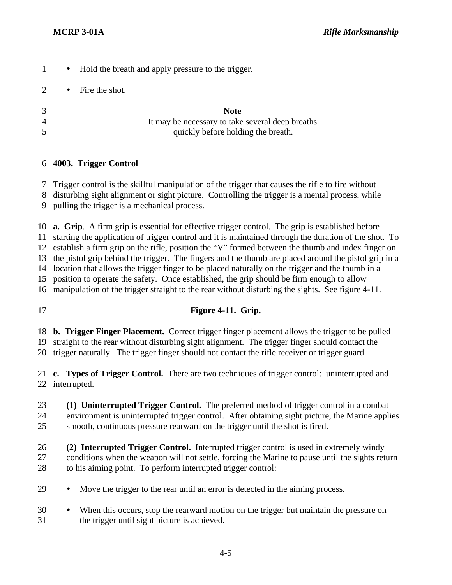| $\mathbf{1}$   | • Hold the breath and apply pressure to the trigger. |  |
|----------------|------------------------------------------------------|--|
|                | 2 • Fire the shot.                                   |  |
| 3              | <b>Note</b>                                          |  |
| $\overline{4}$ | It may be necessary to take several deep breaths     |  |
| 5              | quickly before holding the breath.                   |  |

#### **4003. Trigger Control**

Trigger control is the skillful manipulation of the trigger that causes the rifle to fire without

disturbing sight alignment or sight picture. Controlling the trigger is a mental process, while

pulling the trigger is a mechanical process.

**a. Grip**. A firm grip is essential for effective trigger control. The grip is established before

starting the application of trigger control and it is maintained through the duration of the shot. To

establish a firm grip on the rifle, position the "V" formed between the thumb and index finger on

the pistol grip behind the trigger. The fingers and the thumb are placed around the pistol grip in a

location that allows the trigger finger to be placed naturally on the trigger and the thumb in a

position to operate the safety. Once established, the grip should be firm enough to allow

manipulation of the trigger straight to the rear without disturbing the sights. See figure 4-11.

#### 

### **Figure 4-11. Grip.**

**b. Trigger Finger Placement.** Correct trigger finger placement allows the trigger to be pulled

straight to the rear without disturbing sight alignment. The trigger finger should contact the

trigger naturally. The trigger finger should not contact the rifle receiver or trigger guard.

 **c. Types of Trigger Control.** There are two techniques of trigger control: uninterrupted and interrupted.

 **(1) Uninterrupted Trigger Control.** The preferred method of trigger control in a combat environment is uninterrupted trigger control. After obtaining sight picture, the Marine applies smooth, continuous pressure rearward on the trigger until the shot is fired.

 **(2) Interrupted Trigger Control.** Interrupted trigger control is used in extremely windy conditions when the weapon will not settle, forcing the Marine to pause until the sights return to his aiming point. To perform interrupted trigger control:

- Move the trigger to the rear until an error is detected in the aiming process.
- ü When this occurs, stop the rearward motion on the trigger but maintain the pressure on the trigger until sight picture is achieved.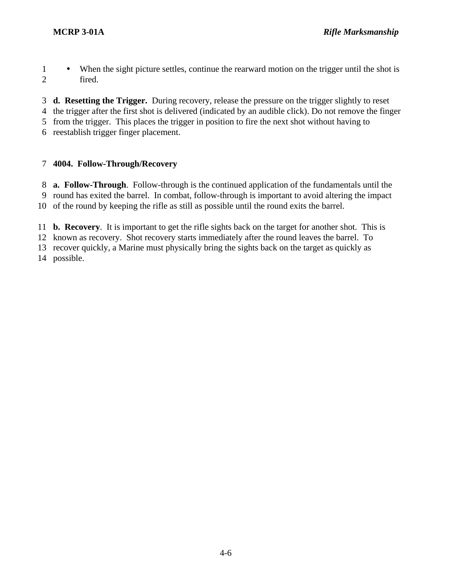ü When the sight picture settles, continue the rearward motion on the trigger until the shot is fired.

 **d. Resetting the Trigger.** During recovery, release the pressure on the trigger slightly to reset the trigger after the first shot is delivered (indicated by an audible click). Do not remove the finger from the trigger. This places the trigger in position to fire the next shot without having to

reestablish trigger finger placement.

#### **4004. Follow-Through/Recovery**

 **a. Follow-Through**. Follow-through is the continued application of the fundamentals until the round has exited the barrel. In combat, follow-through is important to avoid altering the impact of the round by keeping the rifle as still as possible until the round exits the barrel.

**b. Recovery**. It is important to get the rifle sights back on the target for another shot. This is

known as recovery. Shot recovery starts immediately after the round leaves the barrel. To

recover quickly, a Marine must physically bring the sights back on the target as quickly as

possible.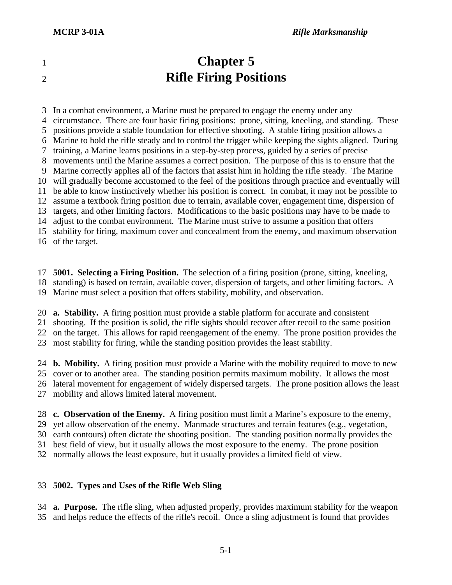# **Chapter 5 Rifle Firing Positions**

- 
- 

In a combat environment, a Marine must be prepared to engage the enemy under any

circumstance. There are four basic firing positions: prone, sitting, kneeling, and standing. These

positions provide a stable foundation for effective shooting. A stable firing position allows a

Marine to hold the rifle steady and to control the trigger while keeping the sights aligned. During

training, a Marine learns positions in a step-by-step process, guided by a series of precise

movements until the Marine assumes a correct position. The purpose of this is to ensure that the

 Marine correctly applies all of the factors that assist him in holding the rifle steady. The Marine will gradually become accustomed to the feel of the positions through practice and eventually will

be able to know instinctively whether his position is correct. In combat, it may not be possible to

assume a textbook firing position due to terrain, available cover, engagement time, dispersion of

targets, and other limiting factors. Modifications to the basic positions may have to be made to

adjust to the combat environment. The Marine must strive to assume a position that offers

stability for firing, maximum cover and concealment from the enemy, and maximum observation

of the target.

 standing) is based on terrain, available cover, dispersion of targets, and other limiting factors. A **5001. Selecting a Firing Position.** The selection of a firing position (prone, sitting, kneeling,

Marine must select a position that offers stability, mobility, and observation.

**a. Stability.** A firing position must provide a stable platform for accurate and consistent

shooting. If the position is solid, the rifle sights should recover after recoil to the same position

on the target. This allows for rapid reengagement of the enemy. The prone position provides the

most stability for firing, while the standing position provides the least stability.

**b. Mobility.** A firing position must provide a Marine with the mobility required to move to new

cover or to another area. The standing position permits maximum mobility. It allows the most

lateral movement for engagement of widely dispersed targets. The prone position allows the least

mobility and allows limited lateral movement.

**c. Observation of the Enemy.** A firing position must limit a Marine's exposure to the enemy,

yet allow observation of the enemy. Manmade structures and terrain features (e.g., vegetation,

earth contours) often dictate the shooting position. The standing position normally provides the

best field of view, but it usually allows the most exposure to the enemy. The prone position

normally allows the least exposure, but it usually provides a limited field of view.

### **5002. Types and Uses of the Rifle Web Sling**

 **a. Purpose.** The rifle sling, when adjusted properly, provides maximum stability for the weapon and helps reduce the effects of the rifle's recoil. Once a sling adjustment is found that provides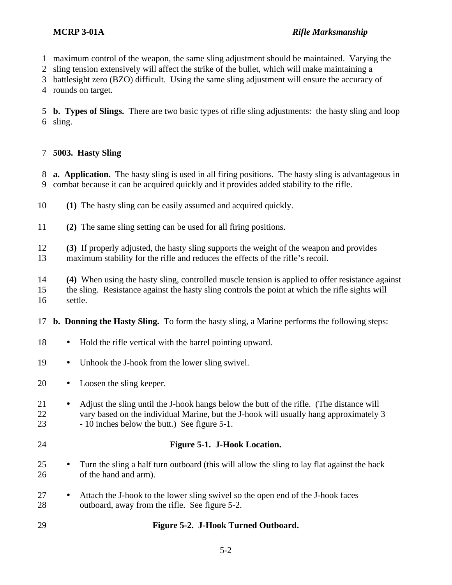1 maximum control of the weapon, the same sling adjustment should be maintained. Varying the

2 sling tension extensively will affect the strike of the bullet, which will make maintaining a

3 battlesight zero (BZO) difficult. Using the same sling adjustment will ensure the accuracy of

4 rounds on target.

5 **b. Types of Slings.** There are two basic types of rifle sling adjustments: the hasty sling and loop 6 sling.

#### 7 **5003. Hasty Sling**

8 **a. Application.** The hasty sling is used in all firing positions. The hasty sling is advantageous in 9 combat because it can be acquired quickly and it provides added stability to the rifle.

- 10 **(1)** The hasty sling can be easily assumed and acquired quickly.
- 11 **(2)** The same sling setting can be used for all firing positions.
- 12 13 **(3)** If properly adjusted, the hasty sling supports the weight of the weapon and provides maximum stability for the rifle and reduces the effects of the rifle's recoil.
- 14 15 16 **(4)** When using the hasty sling, controlled muscle tension is applied to offer resistance against the sling. Resistance against the hasty sling controls the point at which the rifle sights will settle.
- 17 **b. Donning the Hasty Sling.** To form the hasty sling, a Marine performs the following steps:
- 18 • Hold the rifle vertical with the barrel pointing upward.
- 19 • Unhook the J-hook from the lower sling swivel.
- 20 • Loosen the sling keeper.
- 21 22 23 • Adjust the sling until the J-hook hangs below the butt of the rifle. (The distance will vary based on the individual Marine, but the J-hook will usually hang approximately 3 - 10 inches below the butt.) See figure 5-1.
- 24

29

#### **Figure 5-1. J-Hook Location.**

- 25 26 • Turn the sling a half turn outboard (this will allow the sling to lay flat against the back of the hand and arm).
- 27 28 ü Attach the J-hook to the lower sling swivel so the open end of the J-hook faces outboard, away from the rifle. See figure 5-2.
	- **Figure 5-2. J-Hook Turned Outboard.**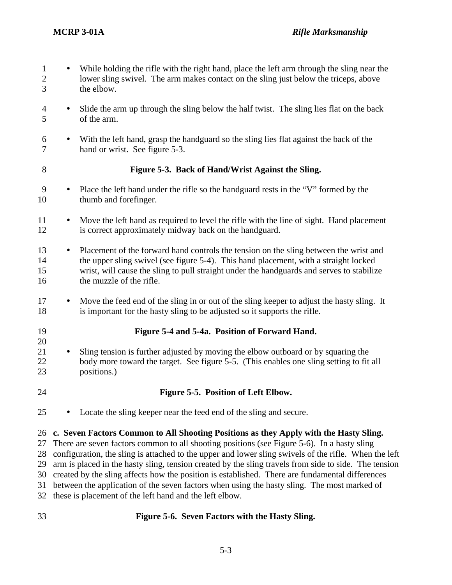- 1  $\mathcal{L}$ 3 4 5 6 7 8 9 10 11 12 13 14 15 16 17 18 19 20 21 22 23 24 25 26 **c. Seven Factors Common to All Shooting Positions as they Apply with the Hasty Sling.** 27 There are seven factors common to all shooting positions (see Figure 5-6). In a hasty sling 28 configuration, the sling is attached to the upper and lower sling swivels of the rifle. When the left 29 arm is placed in the hasty sling, tension created by the sling travels from side to side. The tension ü While holding the rifle with the right hand, place the left arm through the sling near the lower sling swivel. The arm makes contact on the sling just below the triceps, above the elbow. • Slide the arm up through the sling below the half twist. The sling lies flat on the back of the arm. ü With the left hand, grasp the handguard so the sling lies flat against the back of the hand or wrist. See figure 5-3. **Figure 5-3. Back of Hand/Wrist Against the Sling.** ü Place the left hand under the rifle so the handguard rests in the "V" formed by the thumb and forefinger. • Move the left hand as required to level the rifle with the line of sight. Hand placement is correct approximately midway back on the handguard. • Placement of the forward hand controls the tension on the sling between the wrist and the upper sling swivel (see figure 5-4). This hand placement, with a straight locked wrist, will cause the sling to pull straight under the handguards and serves to stabilize the muzzle of the rifle. • Move the feed end of the sling in or out of the sling keeper to adjust the hasty sling. It is important for the hasty sling to be adjusted so it supports the rifle. **Figure 5-4 and 5-4a. Position of Forward Hand.** ü Sling tension is further adjusted by moving the elbow outboard or by squaring the body more toward the target. See figure 5-5. (This enables one sling setting to fit all positions.) **Figure 5-5. Position of Left Elbow.** ü Locate the sling keeper near the feed end of the sling and secure.
- 30 created by the sling affects how the position is established. There are fundamental differences
- 31 between the application of the seven factors when using the hasty sling. The most marked of
- 32 these is placement of the left hand and the left elbow.
- 33

#### **Figure 5-6. Seven Factors with the Hasty Sling.**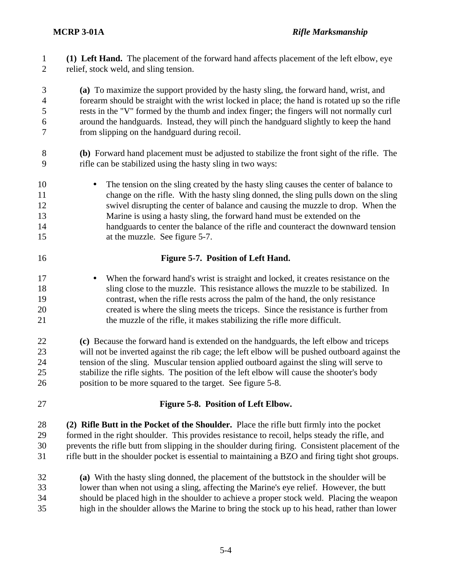| $\mathbf{1}$<br>$\overline{2}$ | (1) Left Hand. The placement of the forward hand affects placement of the left elbow, eye<br>relief, stock weld, and sling tension.                      |  |
|--------------------------------|----------------------------------------------------------------------------------------------------------------------------------------------------------|--|
| 3                              | (a) To maximize the support provided by the hasty sling, the forward hand, wrist, and                                                                    |  |
| $\overline{4}$                 | forearm should be straight with the wrist locked in place; the hand is rotated up so the rifle                                                           |  |
| 5                              | rests in the "V" formed by the thumb and index finger; the fingers will not normally curl                                                                |  |
| 6                              | around the handguards. Instead, they will pinch the handguard slightly to keep the hand                                                                  |  |
| 7                              | from slipping on the handguard during recoil.                                                                                                            |  |
| 8<br>9                         | (b) Forward hand placement must be adjusted to stabilize the front sight of the rifle. The<br>rifle can be stabilized using the hasty sling in two ways: |  |
| 10                             | The tension on the sling created by the hasty sling causes the center of balance to                                                                      |  |
| 11                             | change on the rifle. With the hasty sling donned, the sling pulls down on the sling                                                                      |  |
| 12                             | swivel disrupting the center of balance and causing the muzzle to drop. When the                                                                         |  |
| 13                             | Marine is using a hasty sling, the forward hand must be extended on the                                                                                  |  |
| 14<br>15                       | handguards to center the balance of the rifle and counteract the downward tension<br>at the muzzle. See figure 5-7.                                      |  |
|                                |                                                                                                                                                          |  |
| 16                             | Figure 5-7. Position of Left Hand.                                                                                                                       |  |
| 17                             | When the forward hand's wrist is straight and locked, it creates resistance on the                                                                       |  |
| 18                             | sling close to the muzzle. This resistance allows the muzzle to be stabilized. In                                                                        |  |
| 19                             | contrast, when the rifle rests across the palm of the hand, the only resistance                                                                          |  |
| 20                             | created is where the sling meets the triceps. Since the resistance is further from                                                                       |  |
| 21                             | the muzzle of the rifle, it makes stabilizing the rifle more difficult.                                                                                  |  |
| 22                             | (c) Because the forward hand is extended on the handguards, the left elbow and triceps                                                                   |  |
| 23                             | will not be inverted against the rib cage; the left elbow will be pushed outboard against the                                                            |  |
| 24                             | tension of the sling. Muscular tension applied outboard against the sling will serve to                                                                  |  |
| 25<br>26                       | stabilize the rifle sights. The position of the left elbow will cause the shooter's body<br>position to be more squared to the target. See figure 5-8.   |  |
|                                |                                                                                                                                                          |  |
| 27                             | Figure 5-8. Position of Left Elbow.                                                                                                                      |  |
| 28                             | (2) Rifle Butt in the Pocket of the Shoulder. Place the rifle butt firmly into the pocket                                                                |  |
| 29                             | formed in the right shoulder. This provides resistance to recoil, helps steady the rifle, and                                                            |  |
| 30                             | prevents the rifle butt from slipping in the shoulder during firing. Consistent placement of the                                                         |  |
| 31                             | rifle butt in the shoulder pocket is essential to maintaining a BZO and firing tight shot groups.                                                        |  |
| 32                             | (a) With the hasty sling donned, the placement of the buttstock in the shoulder will be                                                                  |  |
| 33                             | lower than when not using a sling, affecting the Marine's eye relief. However, the butt                                                                  |  |
| 34                             | should be placed high in the shoulder to achieve a proper stock weld. Placing the weapon                                                                 |  |
| 35                             | high in the shoulder allows the Marine to bring the stock up to his head, rather than lower                                                              |  |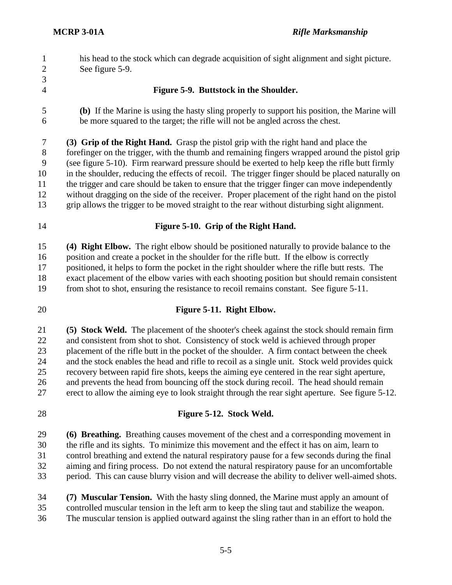1 2 his head to the stock which can degrade acquisition of sight alignment and sight picture. See figure 5-9.

3 4

**Figure 5-9. Buttstock in the Shoulder.**

5 6 **(b)** If the Marine is using the hasty sling properly to support his position, the Marine will be more squared to the target; the rifle will not be angled across the chest.

7 8 9 10 11 12 13 **(3) Grip of the Right Hand.** Grasp the pistol grip with the right hand and place the forefinger on the trigger, with the thumb and remaining fingers wrapped around the pistol grip (see figure 5-10). Firm rearward pressure should be exerted to help keep the rifle butt firmly in the shoulder, reducing the effects of recoil. The trigger finger should be placed naturally on the trigger and care should be taken to ensure that the trigger finger can move independently without dragging on the side of the receiver. Proper placement of the right hand on the pistol grip allows the trigger to be moved straight to the rear without disturbing sight alignment.

14

#### **Figure 5-10. Grip of the Right Hand.**

15 16 17 18 19 **(4) Right Elbow.** The right elbow should be positioned naturally to provide balance to the position and create a pocket in the shoulder for the rifle butt. If the elbow is correctly positioned, it helps to form the pocket in the right shoulder where the rifle butt rests. The exact placement of the elbow varies with each shooting position but should remain consistent from shot to shot, ensuring the resistance to recoil remains constant. See figure 5-11.

#### 20 **Figure 5-11. Right Elbow.**

21 22 23 24 25 26 27 **(5) Stock Weld.** The placement of the shooter's cheek against the stock should remain firm and consistent from shot to shot. Consistency of stock weld is achieved through proper placement of the rifle butt in the pocket of the shoulder. A firm contact between the cheek and the stock enables the head and rifle to recoil as a single unit. Stock weld provides quick recovery between rapid fire shots, keeps the aiming eye centered in the rear sight aperture, and prevents the head from bouncing off the stock during recoil. The head should remain erect to allow the aiming eye to look straight through the rear sight aperture. See figure 5-12.

28

#### **Figure 5-12. Stock Weld.**

29 30 31 32 33 **(6) Breathing.** Breathing causes movement of the chest and a corresponding movement in the rifle and its sights. To minimize this movement and the effect it has on aim, learn to control breathing and extend the natural respiratory pause for a few seconds during the final aiming and firing process. Do not extend the natural respiratory pause for an uncomfortable period. This can cause blurry vision and will decrease the ability to deliver well-aimed shots.

34 35 36 **(7) Muscular Tension.** With the hasty sling donned, the Marine must apply an amount of controlled muscular tension in the left arm to keep the sling taut and stabilize the weapon. The muscular tension is applied outward against the sling rather than in an effort to hold the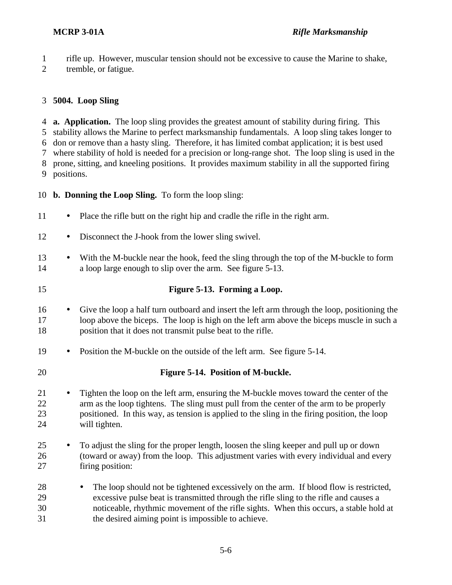1 rifle up. However, muscular tension should not be excessive to cause the Marine to shake,

2 tremble, or fatigue.

#### 3 **5004. Loop Sling**

4 **a. Application.** The loop sling provides the greatest amount of stability during firing. This 5 stability allows the Marine to perfect marksmanship fundamentals. A loop sling takes longer to 6 don or remove than a hasty sling. Therefore, it has limited combat application; it is best used 7 8 prone, sitting, and kneeling positions. It provides maximum stability in all the supported firing 9 10 **b. Donning the Loop Sling.** To form the loop sling: 11 12 where stability of hold is needed for a precision or long-range shot. The loop sling is used in the positions. Place the rifle butt on the right hip and cradle the rifle in the right arm. • Disconnect the J-hook from the lower sling swivel.

- 13 14 ü With the M-buckle near the hook, feed the sling through the top of the M-buckle to form a loop large enough to slip over the arm. See figure 5-13.
- 15 16 **Figure 5-13. Forming a Loop.** ü Give the loop a half turn outboard and insert the left arm through the loop, positioning the
- 17 18 loop above the biceps. The loop is high on the left arm above the biceps muscle in such a position that it does not transmit pulse beat to the rifle.
- 19 • Position the M-buckle on the outside of the left arm. See figure 5-14.
- 20

#### **Figure 5-14. Position of M-buckle.**

- 21 22 23 24 • Tighten the loop on the left arm, ensuring the M-buckle moves toward the center of the arm as the loop tightens. The sling must pull from the center of the arm to be properly positioned. In this way, as tension is applied to the sling in the firing position, the loop will tighten.
- 25 26 27 ü To adjust the sling for the proper length, loosen the sling keeper and pull up or down (toward or away) from the loop. This adjustment varies with every individual and every firing position:
- 28 29 30 31 • The loop should not be tightened excessively on the arm. If blood flow is restricted, excessive pulse beat is transmitted through the rifle sling to the rifle and causes a noticeable, rhythmic movement of the rifle sights. When this occurs, a stable hold at the desired aiming point is impossible to achieve.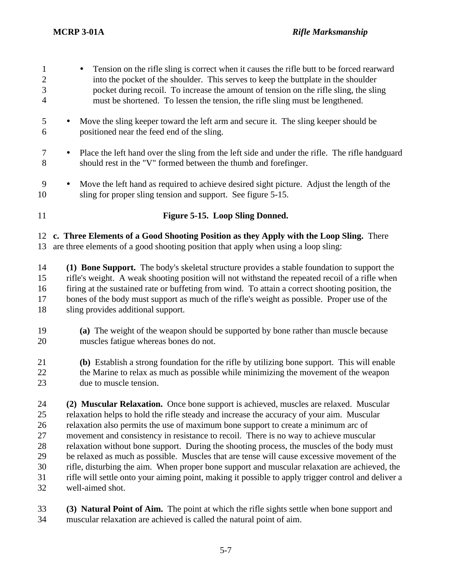- 1 2 3 4 • Tension on the rifle sling is correct when it causes the rifle butt to be forced rearward into the pocket of the shoulder. This serves to keep the buttplate in the shoulder pocket during recoil. To increase the amount of tension on the rifle sling, the sling must be shortened. To lessen the tension, the rifle sling must be lengthened.
- 5 6 • Move the sling keeper toward the left arm and secure it. The sling keeper should be positioned near the feed end of the sling.
- 7 8 ü Place the left hand over the sling from the left side and under the rifle. The rifle handguard should rest in the "V" formed between the thumb and forefinger.
- 9 10 ü Move the left hand as required to achieve desired sight picture. Adjust the length of the sling for proper sling tension and support. See figure 5-15.
- 11

## **Figure 5-15. Loop Sling Donned.**

12 **c. Three Elements of a Good Shooting Position as they Apply with the Loop Sling.** There

- 13 are three elements of a good shooting position that apply when using a loop sling:
- 14 15 16 17 18 **(1) Bone Support.** The body's skeletal structure provides a stable foundation to support the rifle's weight. A weak shooting position will not withstand the repeated recoil of a rifle when firing at the sustained rate or buffeting from wind. To attain a correct shooting position, the bones of the body must support as much of the rifle's weight as possible. Proper use of the sling provides additional support.
- 19 20 **(a)** The weight of the weapon should be supported by bone rather than muscle because muscles fatigue whereas bones do not.
- 21 22 23 **(b)** Establish a strong foundation for the rifle by utilizing bone support. This will enable the Marine to relax as much as possible while minimizing the movement of the weapon due to muscle tension.
- 24 25 26 27 28 29 30 31 32 **(2) Muscular Relaxation.** Once bone support is achieved, muscles are relaxed. Muscular relaxation helps to hold the rifle steady and increase the accuracy of your aim. Muscular relaxation also permits the use of maximum bone support to create a minimum arc of movement and consistency in resistance to recoil. There is no way to achieve muscular relaxation without bone support. During the shooting process, the muscles of the body must be relaxed as much as possible. Muscles that are tense will cause excessive movement of the rifle, disturbing the aim. When proper bone support and muscular relaxation are achieved, the rifle will settle onto your aiming point, making it possible to apply trigger control and deliver a well-aimed shot.
- 33 34 **(3) Natural Point of Aim.** The point at which the rifle sights settle when bone support and muscular relaxation are achieved is called the natural point of aim.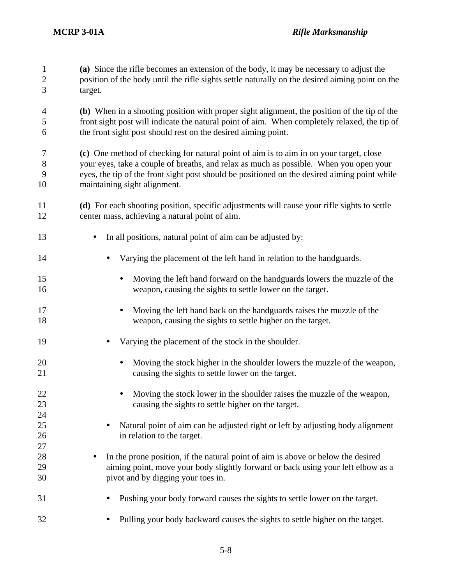| $\mathbf{1}$         | (a) Since the rifle becomes an extension of the body, it may be necessary to adjust the                                                                                                                    |
|----------------------|------------------------------------------------------------------------------------------------------------------------------------------------------------------------------------------------------------|
| $\overline{2}$       | position of the body until the rifle sights settle naturally on the desired aiming point on the                                                                                                            |
| 3                    | target.                                                                                                                                                                                                    |
| $\overline{4}$       | (b) When in a shooting position with proper sight alignment, the position of the tip of the                                                                                                                |
| 5                    | front sight post will indicate the natural point of aim. When completely relaxed, the tip of                                                                                                               |
| 6                    | the front sight post should rest on the desired aiming point.                                                                                                                                              |
| 7                    | (c) One method of checking for natural point of aim is to aim in on your target, close                                                                                                                     |
| 8                    | your eyes, take a couple of breaths, and relax as much as possible. When you open your                                                                                                                     |
| 9                    | eyes, the tip of the front sight post should be positioned on the desired aiming point while                                                                                                               |
| 10                   | maintaining sight alignment.                                                                                                                                                                               |
| 11                   | (d) For each shooting position, specific adjustments will cause your rifle sights to settle                                                                                                                |
| 12                   | center mass, achieving a natural point of aim.                                                                                                                                                             |
| 13                   | In all positions, natural point of aim can be adjusted by:<br>$\bullet$                                                                                                                                    |
| 14                   | Varying the placement of the left hand in relation to the handguards.                                                                                                                                      |
| 15                   | Moving the left hand forward on the handguards lowers the muzzle of the                                                                                                                                    |
| 16                   | weapon, causing the sights to settle lower on the target.                                                                                                                                                  |
| 17                   | Moving the left hand back on the handguards raises the muzzle of the                                                                                                                                       |
| 18                   | weapon, causing the sights to settle higher on the target.                                                                                                                                                 |
| 19                   | Varying the placement of the stock in the shoulder.                                                                                                                                                        |
| 20                   | Moving the stock higher in the shoulder lowers the muzzle of the weapon,                                                                                                                                   |
| 21                   | causing the sights to settle lower on the target.                                                                                                                                                          |
| 22                   | Moving the stock lower in the shoulder raises the muzzle of the weapon,                                                                                                                                    |
| 23                   | causing the sights to settle higher on the target.                                                                                                                                                         |
| 24                   | Natural point of aim can be adjusted right or left by adjusting body alignment                                                                                                                             |
| 25                   | $\bullet$                                                                                                                                                                                                  |
| 26                   | in relation to the target.                                                                                                                                                                                 |
| 27<br>28<br>29<br>30 | In the prone position, if the natural point of aim is above or below the desired<br>aiming point, move your body slightly forward or back using your left elbow as a<br>pivot and by digging your toes in. |
| 31                   | Pushing your body forward causes the sights to settle lower on the target.<br>٠                                                                                                                            |
| 32                   | Pulling your body backward causes the sights to settle higher on the target.<br>$\bullet$                                                                                                                  |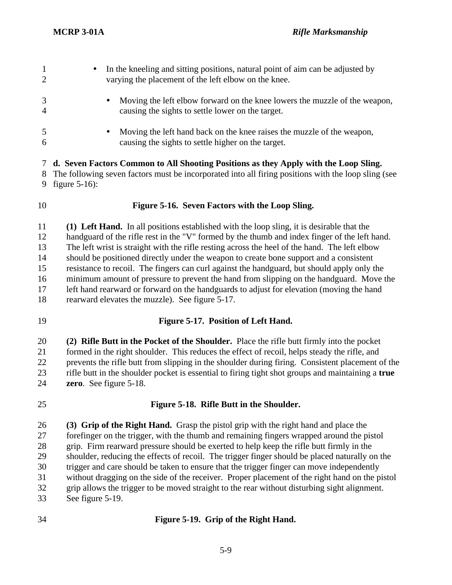1 2 3 4 5 6 7 **d. Seven Factors Common to All Shooting Positions as they Apply with the Loop Sling.** • In the kneeling and sitting positions, natural point of aim can be adjusted by varying the placement of the left elbow on the knee. ü Moving the left elbow forward on the knee lowers the muzzle of the weapon, causing the sights to settle lower on the target. ü Moving the left hand back on the knee raises the muzzle of the weapon, causing the sights to settle higher on the target.

8 The following seven factors must be incorporated into all firing positions with the loop sling (see 9 figure 5-16):

10 **Figure 5-16. Seven Factors with the Loop Sling.**

11 12 13 14 15 16 17 18 **(1) Left Hand.** In all positions established with the loop sling, it is desirable that the handguard of the rifle rest in the "V" formed by the thumb and index finger of the left hand. The left wrist is straight with the rifle resting across the heel of the hand. The left elbow should be positioned directly under the weapon to create bone support and a consistent resistance to recoil. The fingers can curl against the handguard, but should apply only the minimum amount of pressure to prevent the hand from slipping on the handguard. Move the left hand rearward or forward on the handguards to adjust for elevation (moving the hand rearward elevates the muzzle). See figure 5-17.

19

### **Figure 5-17. Position of Left Hand.**

20 21 22 23 24 **(2) Rifle Butt in the Pocket of the Shoulder.** Place the rifle butt firmly into the pocket formed in the right shoulder. This reduces the effect of recoil, helps steady the rifle, and prevents the rifle butt from slipping in the shoulder during firing. Consistent placement of the rifle butt in the shoulder pocket is essential to firing tight shot groups and maintaining a **true zero**. See figure 5-18.

25

34

### **Figure 5-18. Rifle Butt in the Shoulder.**

26 27 28 29 30 31 32 33 **(3) Grip of the Right Hand.** Grasp the pistol grip with the right hand and place the forefinger on the trigger, with the thumb and remaining fingers wrapped around the pistol grip. Firm rearward pressure should be exerted to help keep the rifle butt firmly in the shoulder, reducing the effects of recoil. The trigger finger should be placed naturally on the trigger and care should be taken to ensure that the trigger finger can move independently without dragging on the side of the receiver. Proper placement of the right hand on the pistol grip allows the trigger to be moved straight to the rear without disturbing sight alignment. See figure 5-19.

**Figure 5-19. Grip of the Right Hand.**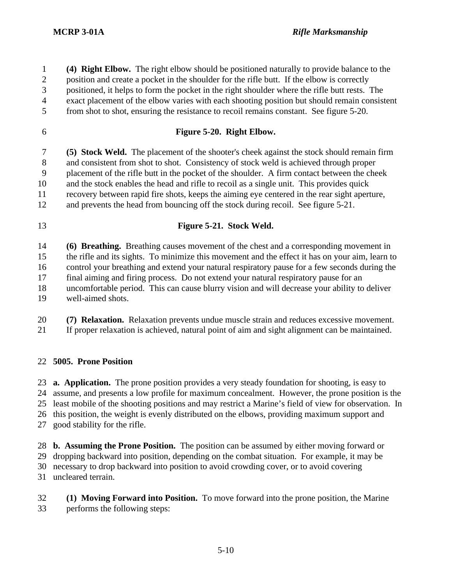1 2 3 4 5 **(4) Right Elbow.** The right elbow should be positioned naturally to provide balance to the position and create a pocket in the shoulder for the rifle butt. If the elbow is correctly positioned, it helps to form the pocket in the right shoulder where the rifle butt rests. The exact placement of the elbow varies with each shooting position but should remain consistent from shot to shot, ensuring the resistance to recoil remains constant. See figure 5-20.

6

13

### **Figure 5-20. Right Elbow.**

7 8 9 10 11 **(5) Stock Weld.** The placement of the shooter's cheek against the stock should remain firm and consistent from shot to shot. Consistency of stock weld is achieved through proper placement of the rifle butt in the pocket of the shoulder. A firm contact between the cheek and the stock enables the head and rifle to recoil as a single unit. This provides quick recovery between rapid fire shots, keeps the aiming eye centered in the rear sight aperture,

12 and prevents the head from bouncing off the stock during recoil. See figure 5-21.

## **Figure 5-21. Stock Weld.**

14 15 16 17 18 19 **(6) Breathing.** Breathing causes movement of the chest and a corresponding movement in the rifle and its sights. To minimize this movement and the effect it has on your aim, learn to control your breathing and extend your natural respiratory pause for a few seconds during the final aiming and firing process. Do not extend your natural respiratory pause for an uncomfortable period. This can cause blurry vision and will decrease your ability to deliver well-aimed shots.

20 21 **(7) Relaxation.** Relaxation prevents undue muscle strain and reduces excessive movement. If proper relaxation is achieved, natural point of aim and sight alignment can be maintained.

### 22 **5005. Prone Position**

 **a. Application.** The prone position provides a very steady foundation for shooting, is easy to assume, and presents a low profile for maximum concealment. However, the prone position is the least mobile of the shooting positions and may restrict a Marine's field of view for observation. In this position, the weight is evenly distributed on the elbows, providing maximum support and 27 good stability for the rifle.

28 **b. Assuming the Prone Position.** The position can be assumed by either moving forward or 29 30 necessary to drop backward into position to avoid crowding cover, or to avoid covering 31 uncleared terrain. dropping backward into position, depending on the combat situation. For example, it may be

32 33 **(1) Moving Forward into Position.** To move forward into the prone position, the Marine performs the following steps: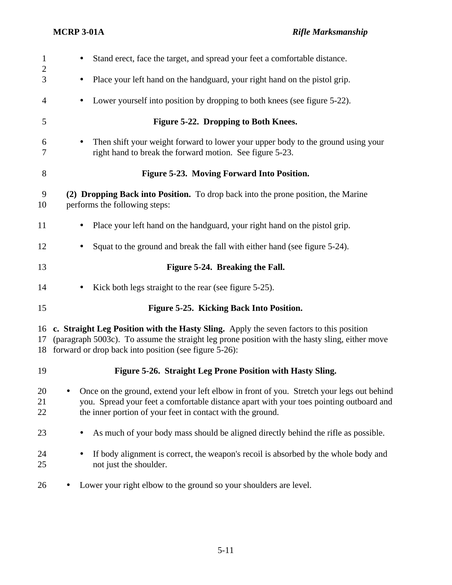| $\mathbf{1}$<br>$\overline{c}$ | Stand erect, face the target, and spread your feet a comfortable distance.                                                                                                                                                                            |
|--------------------------------|-------------------------------------------------------------------------------------------------------------------------------------------------------------------------------------------------------------------------------------------------------|
| 3                              | Place your left hand on the handguard, your right hand on the pistol grip.<br>٠                                                                                                                                                                       |
| 4                              | Lower yourself into position by dropping to both knees (see figure 5-22).                                                                                                                                                                             |
| 5                              | Figure 5-22. Dropping to Both Knees.                                                                                                                                                                                                                  |
| 6<br>7                         | Then shift your weight forward to lower your upper body to the ground using your<br>٠<br>right hand to break the forward motion. See figure 5-23.                                                                                                     |
| $8\,$                          | Figure 5-23. Moving Forward Into Position.                                                                                                                                                                                                            |
| 9<br>10                        | (2) Dropping Back into Position. To drop back into the prone position, the Marine<br>performs the following steps:                                                                                                                                    |
| 11                             | Place your left hand on the handguard, your right hand on the pistol grip.                                                                                                                                                                            |
| 12                             | Squat to the ground and break the fall with either hand (see figure 5-24).<br>٠                                                                                                                                                                       |
| 13                             | Figure 5-24. Breaking the Fall.                                                                                                                                                                                                                       |
| 14                             | Kick both legs straight to the rear (see figure 5-25).                                                                                                                                                                                                |
| 15                             | Figure 5-25. Kicking Back Into Position.                                                                                                                                                                                                              |
| 16<br>17                       | c. Straight Leg Position with the Hasty Sling. Apply the seven factors to this position<br>(paragraph 5003c). To assume the straight leg prone position with the hasty sling, either move<br>18 forward or drop back into position (see figure 5-26): |
| 19                             | Figure 5-26. Straight Leg Prone Position with Hasty Sling.                                                                                                                                                                                            |
| 20<br>21<br>22                 | Once on the ground, extend your left elbow in front of you. Stretch your legs out behind<br>you. Spread your feet a comfortable distance apart with your toes pointing outboard and<br>the inner portion of your feet in contact with the ground.     |
| 23                             | As much of your body mass should be aligned directly behind the rifle as possible.                                                                                                                                                                    |
| 24<br>25                       | If body alignment is correct, the weapon's recoil is absorbed by the whole body and<br>not just the shoulder.                                                                                                                                         |
| 26                             | Lower your right elbow to the ground so your shoulders are level.                                                                                                                                                                                     |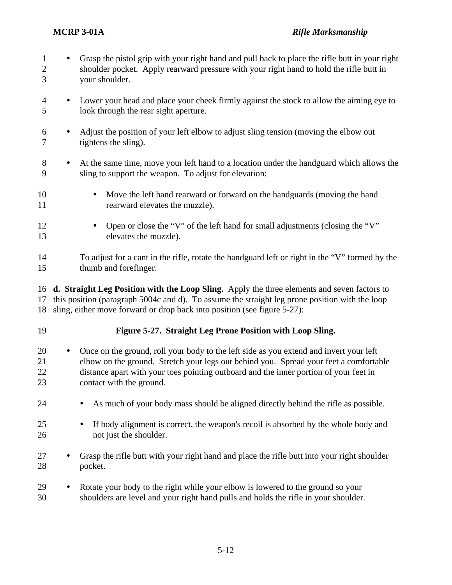1 2 3 4 5 6 7 8 9 10 11 12 13 14 15 16 17 ü Grasp the pistol grip with your right hand and pull back to place the rifle butt in your right shoulder pocket. Apply rearward pressure with your right hand to hold the rifle butt in your shoulder. • Lower your head and place your cheek firmly against the stock to allow the aiming eye to look through the rear sight aperture. • Adjust the position of your left elbow to adjust sling tension (moving the elbow out tightens the sling). ü At the same time, move your left hand to a location under the handguard which allows the sling to support the weapon. To adjust for elevation: • Move the left hand rearward or forward on the handguards (moving the hand rearward elevates the muzzle). • Open or close the "V" of the left hand for small adjustments (closing the "V" elevates the muzzle). To adjust for a cant in the rifle, rotate the handguard left or right in the "V" formed by the thumb and forefinger. **d. Straight Leg Position with the Loop Sling.** Apply the three elements and seven factors to this position (paragraph 5004c and d). To assume the straight leg prone position with the loop

18 sling, either move forward or drop back into position (see figure 5-27):

19

## **Figure 5-27. Straight Leg Prone Position with Loop Sling.**

- 20 21 22 23 • Once on the ground, roll your body to the left side as you extend and invert your left elbow on the ground. Stretch your legs out behind you. Spread your feet a comfortable distance apart with your toes pointing outboard and the inner portion of your feet in contact with the ground.
- 24 ü As much of your body mass should be aligned directly behind the rifle as possible.
- 25 26 • If body alignment is correct, the weapon's recoil is absorbed by the whole body and not just the shoulder.
- 27 28 ü Grasp the rifle butt with your right hand and place the rifle butt into your right shoulder pocket.
- 29 30 • Rotate your body to the right while your elbow is lowered to the ground so your shoulders are level and your right hand pulls and holds the rifle in your shoulder.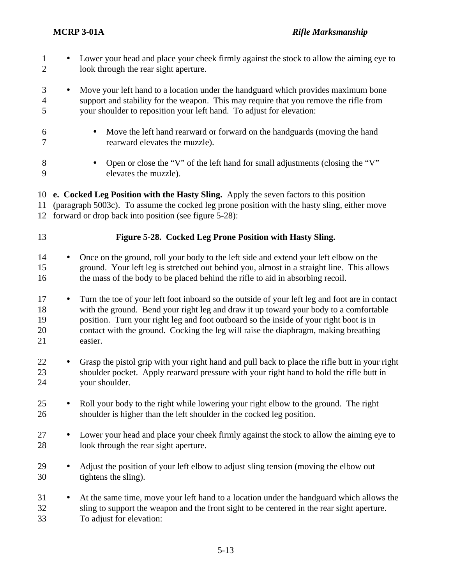- 1 2 • Lower your head and place your cheek firmly against the stock to allow the aiming eye to look through the rear sight aperture.
- 3 4 5 • Move your left hand to a location under the handguard which provides maximum bone support and stability for the weapon. This may require that you remove the rifle from your shoulder to reposition your left hand. To adjust for elevation:
- 6 7 ü Move the left hand rearward or forward on the handguards (moving the hand rearward elevates the muzzle).
- 8 9 • Open or close the "V" of the left hand for small adjustments (closing the "V" elevates the muzzle).

10 11 12 forward or drop back into position (see figure 5-28): **e. Cocked Leg Position with the Hasty Sling.** Apply the seven factors to this position (paragraph 5003c). To assume the cocked leg prone position with the hasty sling, either move

13

#### **Figure 5-28. Cocked Leg Prone Position with Hasty Sling.**

- 14 15 16 • Once on the ground, roll your body to the left side and extend your left elbow on the ground. Your left leg is stretched out behind you, almost in a straight line. This allows the mass of the body to be placed behind the rifle to aid in absorbing recoil.
- 17 18 19 20 21 ü Turn the toe of your left foot inboard so the outside of your left leg and foot are in contact with the ground. Bend your right leg and draw it up toward your body to a comfortable position. Turn your right leg and foot outboard so the inside of your right boot is in contact with the ground. Cocking the leg will raise the diaphragm, making breathing easier.
- 22 23 24 ü Grasp the pistol grip with your right hand and pull back to place the rifle butt in your right shoulder pocket. Apply rearward pressure with your right hand to hold the rifle butt in your shoulder.
- 25 26 • Roll your body to the right while lowering your right elbow to the ground. The right shoulder is higher than the left shoulder in the cocked leg position.
- 27 28 • Lower your head and place your cheek firmly against the stock to allow the aiming eye to look through the rear sight aperture.
- 29 30 • Adjust the position of your left elbow to adjust sling tension (moving the elbow out tightens the sling).
- 31 32 33 ü At the same time, move your left hand to a location under the handguard which allows the sling to support the weapon and the front sight to be centered in the rear sight aperture. To adjust for elevation: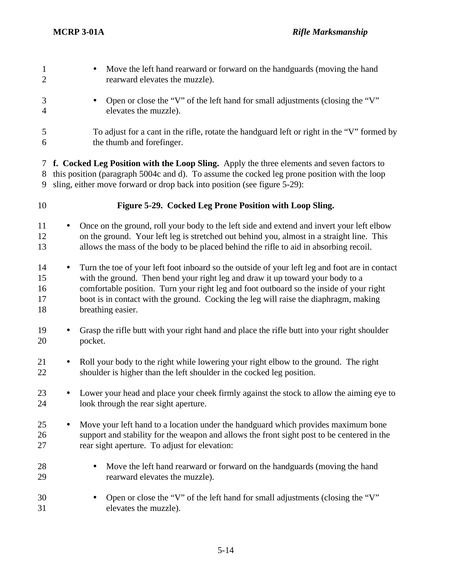- 1 2 3 4 5 6 7 **f. Cocked Leg Position with the Loop Sling.** Apply the three elements and seven factors to 8 this position (paragraph 5004c and d). To assume the cocked leg prone position with the loop 9 • Move the left hand rearward or forward on the handguards (moving the hand rearward elevates the muzzle). • Open or close the "V" of the left hand for small adjustments (closing the "V" elevates the muzzle). To adjust for a cant in the rifle, rotate the handguard left or right in the "V" formed by the thumb and forefinger. sling, either move forward or drop back into position (see figure 5-29):
- 10 **Figure 5-29. Cocked Leg Prone Position with Loop Sling.**
- 11 12 13 • Once on the ground, roll your body to the left side and extend and invert your left elbow on the ground. Your left leg is stretched out behind you, almost in a straight line. This allows the mass of the body to be placed behind the rifle to aid in absorbing recoil.
- 14 15 16 17 18 ü Turn the toe of your left foot inboard so the outside of your left leg and foot are in contact with the ground. Then bend your right leg and draw it up toward your body to a comfortable position. Turn your right leg and foot outboard so the inside of your right boot is in contact with the ground. Cocking the leg will raise the diaphragm, making breathing easier.
- 19 20 ü Grasp the rifle butt with your right hand and place the rifle butt into your right shoulder pocket.
- 21 22 • Roll your body to the right while lowering your right elbow to the ground. The right shoulder is higher than the left shoulder in the cocked leg position.
- 23 24 • Lower your head and place your cheek firmly against the stock to allow the aiming eye to look through the rear sight aperture.
- 25 26 27 • Move your left hand to a location under the handguard which provides maximum bone support and stability for the weapon and allows the front sight post to be centered in the rear sight aperture. To adjust for elevation:
- 28 29 Move the left hand rearward or forward on the handguards (moving the hand rearward elevates the muzzle).
- 30 31 • Open or close the "V" of the left hand for small adjustments (closing the "V" elevates the muzzle).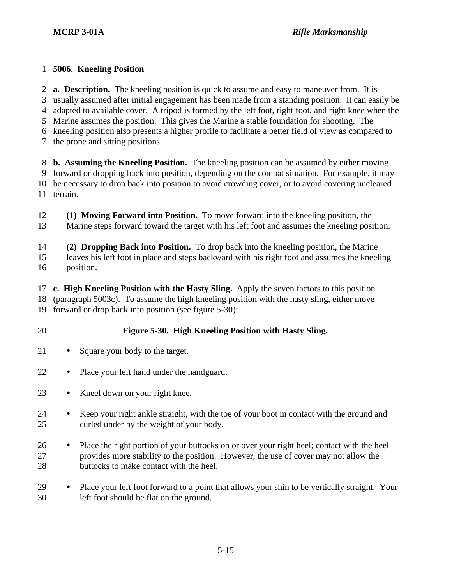#### 1 **5006. Kneeling Position**

 **a. Description.** The kneeling position is quick to assume and easy to maneuver from. It is usually assumed after initial engagement has been made from a standing position. It can easily be adapted to available cover. A tripod is formed by the left foot, right foot, and right knee when the Marine assumes the position. This gives the Marine a stable foundation for shooting. The kneeling position also presents a higher profile to facilitate a better field of view as compared to the prone and sitting positions. **b. Assuming the Kneeling Position.** The kneeling position can be assumed by either moving

9 forward or dropping back into position, depending on the combat situation. For example, it may 10 be necessary to drop back into position to avoid crowding cover, or to avoid covering uncleared 11 terrain.

12 13 **(1) Moving Forward into Position.** To move forward into the kneeling position, the Marine steps forward toward the target with his left foot and assumes the kneeling position.

14 15 16 **(2) Dropping Back into Position.** To drop back into the kneeling position, the Marine leaves his left foot in place and steps backward with his right foot and assumes the kneeling position.

17 18 19 **c. High Kneeling Position with the Hasty Sling.** Apply the seven factors to this position (paragraph 5003c). To assume the high kneeling position with the hasty sling, either move forward or drop back into position (see figure 5-30):

#### 20 **Figure 5-30. High Kneeling Position with Hasty Sling.**

- 21 • Square your body to the target.
- 22 • Place your left hand under the handguard.
- 23 • Kneel down on your right knee.
- 24 25 ü Keep your right ankle straight, with the toe of your boot in contact with the ground and curled under by the weight of your body.
- 26 27 28 ü Place the right portion of your buttocks on or over your right heel; contact with the heel provides more stability to the position. However, the use of cover may not allow the buttocks to make contact with the heel.
- 29 30 • Place your left foot forward to a point that allows your shin to be vertically straight. Your left foot should be flat on the ground.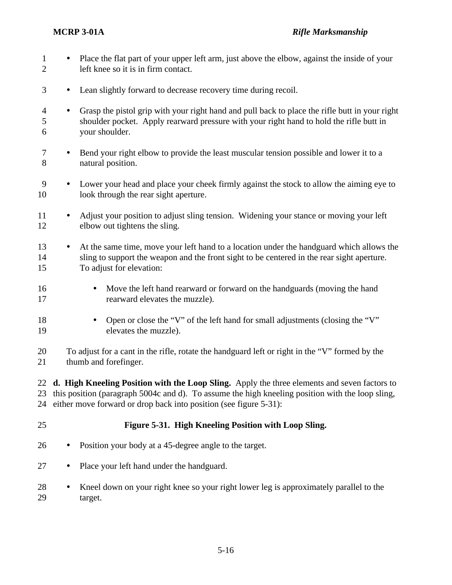- 1 2 3 4 5 6 7 8 9 10 11 12 13 14 15 16 17 18 19 20 21 22 **d. High Kneeling Position with the Loop Sling.** Apply the three elements and seven factors to 23 24 25 26 27 Place the flat part of your upper left arm, just above the elbow, against the inside of your left knee so it is in firm contact. • Lean slightly forward to decrease recovery time during recoil. ü Grasp the pistol grip with your right hand and pull back to place the rifle butt in your right shoulder pocket. Apply rearward pressure with your right hand to hold the rifle butt in your shoulder. ü Bend your right elbow to provide the least muscular tension possible and lower it to a natural position. • Lower your head and place your cheek firmly against the stock to allow the aiming eye to look through the rear sight aperture. • Adjust your position to adjust sling tension. Widening your stance or moving your left elbow out tightens the sling. ü At the same time, move your left hand to a location under the handguard which allows the sling to support the weapon and the front sight to be centered in the rear sight aperture. To adjust for elevation: ü Move the left hand rearward or forward on the handguards (moving the hand rearward elevates the muzzle). • Open or close the "V" of the left hand for small adjustments (closing the "V" elevates the muzzle). To adjust for a cant in the rifle, rotate the handguard left or right in the "V" formed by the thumb and forefinger. this position (paragraph 5004c and d). To assume the high kneeling position with the loop sling, either move forward or drop back into position (see figure 5-31): **Figure 5-31. High Kneeling Position with Loop Sling.** • Position your body at a 45-degree angle to the target. • Place your left hand under the handguard.
- 28 29 ü Kneel down on your right knee so your right lower leg is approximately parallel to the target.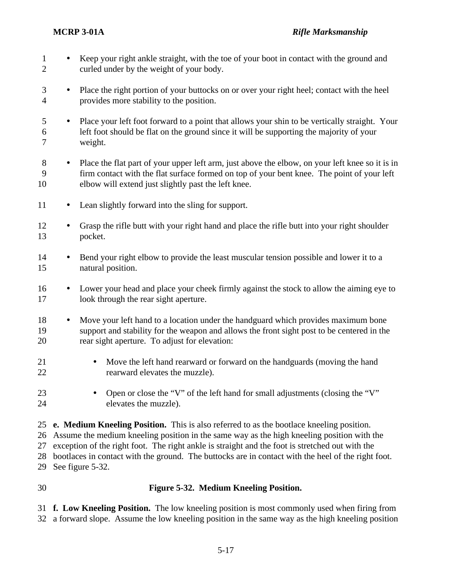- 1 2 ü Keep your right ankle straight, with the toe of your boot in contact with the ground and curled under by the weight of your body.
- 3 4 • Place the right portion of your buttocks on or over your right heel; contact with the heel provides more stability to the position.
- 5 6 7 • Place your left foot forward to a point that allows your shin to be vertically straight. Your left foot should be flat on the ground since it will be supporting the majority of your weight.
- 8 9 10 ü Place the flat part of your upper left arm, just above the elbow, on your left knee so it is in firm contact with the flat surface formed on top of your bent knee. The point of your left elbow will extend just slightly past the left knee.
- 11 • Lean slightly forward into the sling for support.
- 12 13 ü Grasp the rifle butt with your right hand and place the rifle butt into your right shoulder pocket.
- 14 15 ü Bend your right elbow to provide the least muscular tension possible and lower it to a natural position.
- 16 17 • Lower your head and place your cheek firmly against the stock to allow the aiming eye to look through the rear sight aperture.
- 18 19 20 • Move your left hand to a location under the handguard which provides maximum bone support and stability for the weapon and allows the front sight post to be centered in the rear sight aperture. To adjust for elevation:
- 21 22 • Move the left hand rearward or forward on the handguards (moving the hand rearward elevates the muzzle).
- 23 24 • Open or close the "V" of the left hand for small adjustments (closing the "V" elevates the muzzle).

 **e. Medium Kneeling Position.** This is also referred to as the bootlace kneeling position. Assume the medium kneeling position in the same way as the high kneeling position with the exception of the right foot. The right ankle is straight and the foot is stretched out with the bootlaces in contact with the ground. The buttocks are in contact with the heel of the right foot. See figure 5-32.

30 **Figure 5-32. Medium Kneeling Position.**

31 **f. Low Kneeling Position.** The low kneeling position is most commonly used when firing from 32 a forward slope. Assume the low kneeling position in the same way as the high kneeling position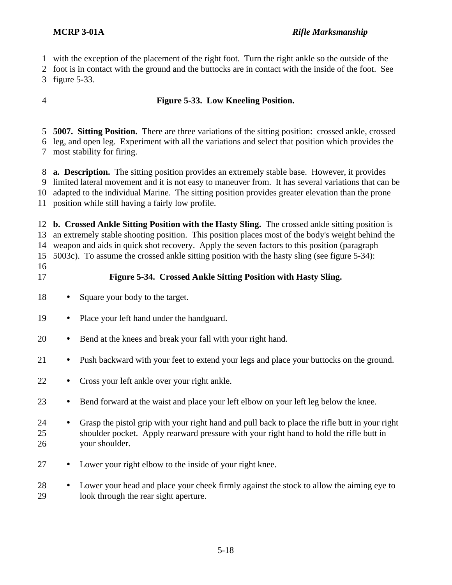with the exception of the placement of the right foot. Turn the right ankle so the outside of the

 foot is in contact with the ground and the buttocks are in contact with the inside of the foot. See figure 5-33.

## **Figure 5-33. Low Kneeling Position.**

 **5007. Sitting Position.** There are three variations of the sitting position: crossed ankle, crossed leg, and open leg. Experiment with all the variations and select that position which provides the most stability for firing.

 **a. Description.** The sitting position provides an extremely stable base. However, it provides limited lateral movement and it is not easy to maneuver from. It has several variations that can be adapted to the individual Marine. The sitting position provides greater elevation than the prone position while still having a fairly low profile.

 **b. Crossed Ankle Sitting Position with the Hasty Sling.** The crossed ankle sitting position is an extremely stable shooting position. This position places most of the body's weight behind the weapon and aids in quick shot recovery. Apply the seven factors to this position (paragraph 5003c). To assume the crossed ankle sitting position with the hasty sling (see figure 5-34): 

### **Figure 5-34. Crossed Ankle Sitting Position with Hasty Sling.**

- • Square your body to the target.
- • Place your left hand under the handguard.
- • Bend at the knees and break your fall with your right hand.
- ü Push backward with your feet to extend your legs and place your buttocks on the ground.
- • Cross your left ankle over your right ankle.
- ü Bend forward at the waist and place your left elbow on your left leg below the knee.
- ü Grasp the pistol grip with your right hand and pull back to place the rifle butt in your right shoulder pocket. Apply rearward pressure with your right hand to hold the rifle butt in your shoulder.
- • Lower your right elbow to the inside of your right knee.
- • Lower your head and place your cheek firmly against the stock to allow the aiming eye to look through the rear sight aperture.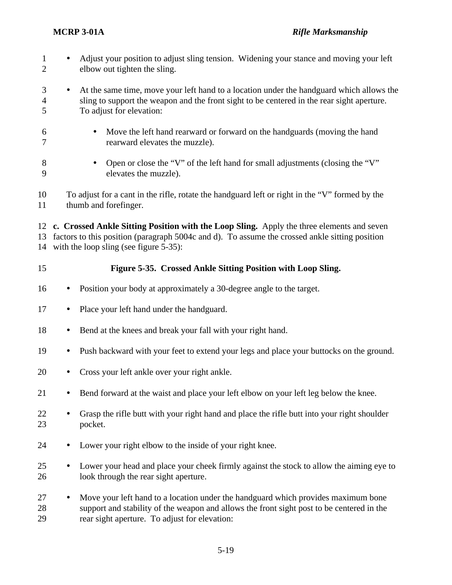1 2 3 4 5 6 7 8 9 10 11 12 **c. Crossed Ankle Sitting Position with the Loop Sling.** Apply the three elements and seven 13 factors to this position (paragraph 5004c and d). To assume the crossed ankle sitting position 14 with the loop sling (see figure 5-35): 15 16 17 18 19 20 21 22 23 24 25 26 27 28 29 Adjust your position to adjust sling tension. Widening your stance and moving your left elbow out tighten the sling. ü At the same time, move your left hand to a location under the handguard which allows the sling to support the weapon and the front sight to be centered in the rear sight aperture. To adjust for elevation: • Move the left hand rearward or forward on the handguards (moving the hand rearward elevates the muzzle). • Open or close the "V" of the left hand for small adjustments (closing the "V" elevates the muzzle). To adjust for a cant in the rifle, rotate the handguard left or right in the "V" formed by the thumb and forefinger. **Figure 5-35. Crossed Ankle Sitting Position with Loop Sling.** • Position your body at approximately a 30-degree angle to the target. Place your left hand under the handguard. • Bend at the knees and break your fall with your right hand. ü Push backward with your feet to extend your legs and place your buttocks on the ground. • Cross your left ankle over your right ankle. ü Bend forward at the waist and place your left elbow on your left leg below the knee. Grasp the rifle butt with your right hand and place the rifle butt into your right shoulder pocket. • Lower your right elbow to the inside of your right knee. • Lower your head and place your cheek firmly against the stock to allow the aiming eye to look through the rear sight aperture. • Move your left hand to a location under the handguard which provides maximum bone support and stability of the weapon and allows the front sight post to be centered in the rear sight aperture. To adjust for elevation: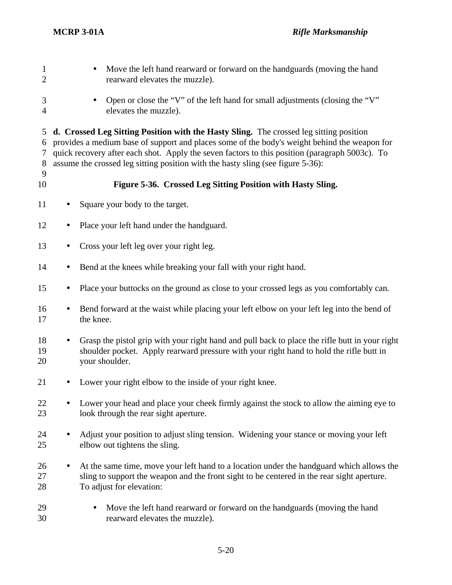| $\mathbf{1}$<br>$\overline{2}$ | Move the left hand rearward or forward on the handguards (moving the hand<br>rearward elevates the muzzle).                                                                                                                                                                                                                                                                 |
|--------------------------------|-----------------------------------------------------------------------------------------------------------------------------------------------------------------------------------------------------------------------------------------------------------------------------------------------------------------------------------------------------------------------------|
| 3<br>4                         | Open or close the "V" of the left hand for small adjustments (closing the "V"<br>elevates the muzzle).                                                                                                                                                                                                                                                                      |
| 5<br>6<br>7<br>8<br>9          | d. Crossed Leg Sitting Position with the Hasty Sling. The crossed leg sitting position<br>provides a medium base of support and places some of the body's weight behind the weapon for<br>quick recovery after each shot. Apply the seven factors to this position (paragraph 5003c). To<br>assume the crossed leg sitting position with the hasty sling (see figure 5-36): |
| 10                             | Figure 5-36. Crossed Leg Sitting Position with Hasty Sling.                                                                                                                                                                                                                                                                                                                 |
| 11                             | Square your body to the target.                                                                                                                                                                                                                                                                                                                                             |
| 12                             | Place your left hand under the handguard.<br>٠                                                                                                                                                                                                                                                                                                                              |
| 13                             | Cross your left leg over your right leg.<br>٠                                                                                                                                                                                                                                                                                                                               |
| 14                             | Bend at the knees while breaking your fall with your right hand.<br>$\bullet$                                                                                                                                                                                                                                                                                               |
| 15                             | Place your buttocks on the ground as close to your crossed legs as you comfortably can.<br>٠                                                                                                                                                                                                                                                                                |
| 16<br>17                       | Bend forward at the waist while placing your left elbow on your left leg into the bend of<br>$\bullet$<br>the knee.                                                                                                                                                                                                                                                         |
| 18<br>19<br>20                 | Grasp the pistol grip with your right hand and pull back to place the rifle butt in your right<br>٠<br>shoulder pocket. Apply rearward pressure with your right hand to hold the rifle butt in<br>your shoulder.                                                                                                                                                            |
| 21                             | Lower your right elbow to the inside of your right knee.                                                                                                                                                                                                                                                                                                                    |
| 22<br>23                       | Lower your head and place your cheek firmly against the stock to allow the aiming eye to<br>$\bullet$<br>look through the rear sight aperture.                                                                                                                                                                                                                              |
| 24<br>25                       | Adjust your position to adjust sling tension. Widening your stance or moving your left<br>$\bullet$<br>elbow out tightens the sling.                                                                                                                                                                                                                                        |
| 26<br>27<br>28                 | At the same time, move your left hand to a location under the handguard which allows the<br>$\bullet$<br>sling to support the weapon and the front sight to be centered in the rear sight aperture.<br>To adjust for elevation:                                                                                                                                             |
| 29<br>30                       | Move the left hand rearward or forward on the handguards (moving the hand<br>rearward elevates the muzzle).                                                                                                                                                                                                                                                                 |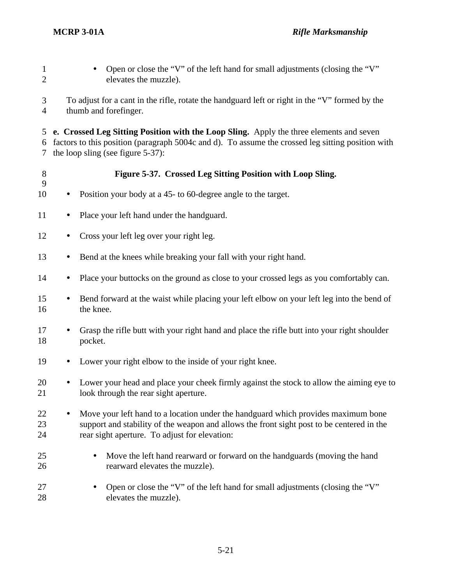1 2 3 4 5 **e. Crossed Leg Sitting Position with the Loop Sling.** Apply the three elements and seven 6 factors to this position (paragraph 5004c and d). To assume the crossed leg sitting position with 7 8 9 10 11 12 13 14 15 16 17 18 19 20 21 22 23 24 25 26 27 28 • Open or close the "V" of the left hand for small adjustments (closing the "V" elevates the muzzle). To adjust for a cant in the rifle, rotate the handguard left or right in the "V" formed by the thumb and forefinger. the loop sling (see figure 5-37): **Figure 5-37. Crossed Leg Sitting Position with Loop Sling.** • Position your body at a 45- to 60-degree angle to the target. Place your left hand under the handguard. • Cross your left leg over your right leg. • Bend at the knees while breaking your fall with your right hand. Place your buttocks on the ground as close to your crossed legs as you comfortably can. • Bend forward at the waist while placing your left elbow on your left leg into the bend of the knee. Grasp the rifle butt with your right hand and place the rifle butt into your right shoulder pocket. Lower your right elbow to the inside of your right knee. • Lower your head and place your cheek firmly against the stock to allow the aiming eye to look through the rear sight aperture. Move your left hand to a location under the handguard which provides maximum bone support and stability of the weapon and allows the front sight post to be centered in the rear sight aperture. To adjust for elevation: ü Move the left hand rearward or forward on the handguards (moving the hand rearward elevates the muzzle). • Open or close the "V" of the left hand for small adjustments (closing the "V" elevates the muzzle).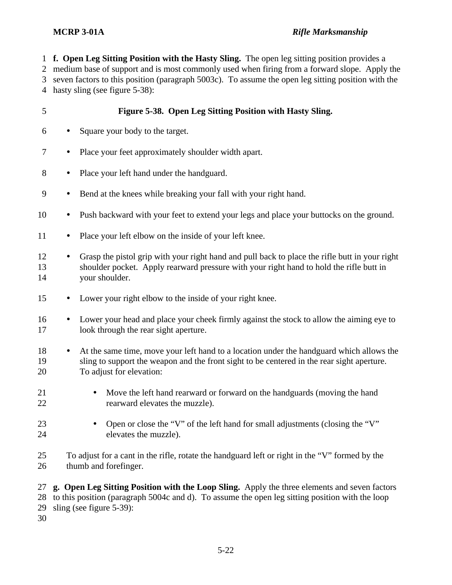#### **MCRP 3-01A** *Rifle Marksmanship*

5

 **f. Open Leg Sitting Position with the Hasty Sling.** The open leg sitting position provides a medium base of support and is most commonly used when firing from a forward slope. Apply the seven factors to this position (paragraph 5003c). To assume the open leg sitting position with the hasty sling (see figure 5-38):

**Figure 5-38. Open Leg Sitting Position with Hasty Sling.**

6 7 8 9 10 11 12 13 14 15 16 17 18 19 20 21 22 23 24 25 26 • Square your body to the target. • Place your feet approximately shoulder width apart. • Place your left hand under the handguard. • Bend at the knees while breaking your fall with your right hand. • Push backward with your feet to extend your legs and place your buttocks on the ground. • Place your left elbow on the inside of your left knee. ü Grasp the pistol grip with your right hand and pull back to place the rifle butt in your right shoulder pocket. Apply rearward pressure with your right hand to hold the rifle butt in your shoulder. • Lower your right elbow to the inside of your right knee. • Lower your head and place your cheek firmly against the stock to allow the aiming eye to look through the rear sight aperture. ü At the same time, move your left hand to a location under the handguard which allows the sling to support the weapon and the front sight to be centered in the rear sight aperture. To adjust for elevation: ü Move the left hand rearward or forward on the handguards (moving the hand rearward elevates the muzzle). • Open or close the "V" of the left hand for small adjustments (closing the "V" elevates the muzzle). To adjust for a cant in the rifle, rotate the handguard left or right in the "V" formed by the thumb and forefinger.

27 28 29 **g. Open Leg Sitting Position with the Loop Sling.** Apply the three elements and seven factors to this position (paragraph 5004c and d). To assume the open leg sitting position with the loop sling (see figure 5-39):

30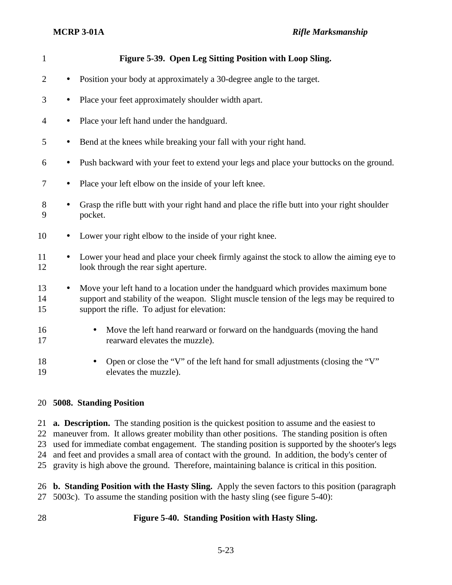| $\mathbf{1}$   | Figure 5-39. Open Leg Sitting Position with Loop Sling.                                                                                                                                                                            |
|----------------|------------------------------------------------------------------------------------------------------------------------------------------------------------------------------------------------------------------------------------|
| $\overline{2}$ | Position your body at approximately a 30-degree angle to the target.<br>٠                                                                                                                                                          |
| 3              | Place your feet approximately shoulder width apart.<br>٠                                                                                                                                                                           |
| 4              | Place your left hand under the handguard.<br>٠                                                                                                                                                                                     |
| 5              | Bend at the knees while breaking your fall with your right hand.<br>٠                                                                                                                                                              |
| 6              | Push backward with your feet to extend your legs and place your buttocks on the ground.<br>٠                                                                                                                                       |
| 7              | Place your left elbow on the inside of your left knee.<br>٠                                                                                                                                                                        |
| 8<br>9         | Grasp the rifle butt with your right hand and place the rifle butt into your right shoulder<br>٠<br>pocket.                                                                                                                        |
| 10             | Lower your right elbow to the inside of your right knee.                                                                                                                                                                           |
| 11<br>12       | Lower your head and place your cheek firmly against the stock to allow the aiming eye to<br>$\bullet$<br>look through the rear sight aperture.                                                                                     |
| 13<br>14<br>15 | Move your left hand to a location under the handguard which provides maximum bone<br>٠<br>support and stability of the weapon. Slight muscle tension of the legs may be required to<br>support the rifle. To adjust for elevation: |
| 16<br>17       | Move the left hand rearward or forward on the handguards (moving the hand<br>rearward elevates the muzzle).                                                                                                                        |
| 18<br>19       | Open or close the "V" of the left hand for small adjustments (closing the "V"<br>elevates the muzzle).                                                                                                                             |

#### 20 **5008. Standing Position**

28

 **a. Description.** The standing position is the quickest position to assume and the easiest to maneuver from. It allows greater mobility than other positions. The standing position is often used for immediate combat engagement. The standing position is supported by the shooter's legs and feet and provides a small area of contact with the ground. In addition, the body's center of

25 gravity is high above the ground. Therefore, maintaining balance is critical in this position.

26 **b. Standing Position with the Hasty Sling.** Apply the seven factors to this position (paragraph 27 5003c). To assume the standing position with the hasty sling (see figure 5-40):

#### **Figure 5-40. Standing Position with Hasty Sling.**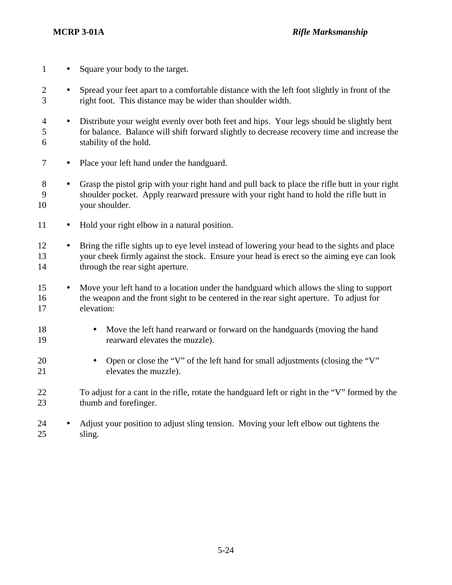- 1 • Square your body to the target.
- 2 3 ü Spread your feet apart to a comfortable distance with the left foot slightly in front of the right foot. This distance may be wider than shoulder width.
- 4 5 6 • Distribute your weight evenly over both feet and hips. Your legs should be slightly bent for balance. Balance will shift forward slightly to decrease recovery time and increase the stability of the hold.
- 7 • Place your left hand under the handguard.
- 8 9 10 ü Grasp the pistol grip with your right hand and pull back to place the rifle butt in your right shoulder pocket. Apply rearward pressure with your right hand to hold the rifle butt in your shoulder.
- 11 • Hold your right elbow in a natural position.
- 12 13 14 ü Bring the rifle sights up to eye level instead of lowering your head to the sights and place your cheek firmly against the stock. Ensure your head is erect so the aiming eye can look through the rear sight aperture.
- 15 16 17 • Move your left hand to a location under the handguard which allows the sling to support the weapon and the front sight to be centered in the rear sight aperture. To adjust for elevation:
- 18 19 • Move the left hand rearward or forward on the handguards (moving the hand rearward elevates the muzzle).
- 20 21 • Open or close the "V" of the left hand for small adjustments (closing the "V" elevates the muzzle).
- 22 23 To adjust for a cant in the rifle, rotate the handguard left or right in the "V" formed by the thumb and forefinger.
- 24 25 ü Adjust your position to adjust sling tension. Moving your left elbow out tightens the sling.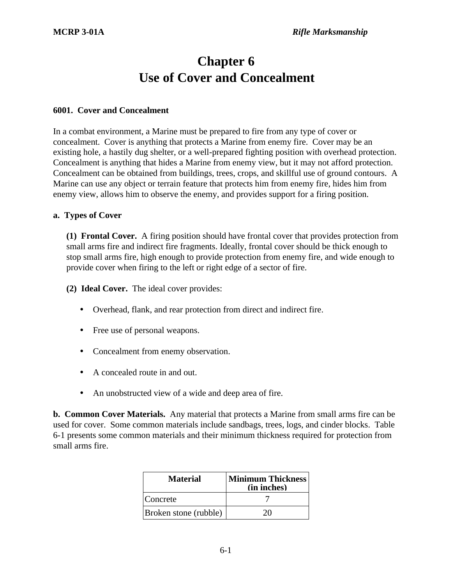# **Chapter 6 Use of Cover and Concealment**

#### **6001. Cover and Concealment**

In a combat environment, a Marine must be prepared to fire from any type of cover or concealment. Cover is anything that protects a Marine from enemy fire. Cover may be an existing hole, a hastily dug shelter, or a well-prepared fighting position with overhead protection. Concealment is anything that hides a Marine from enemy view, but it may not afford protection. Concealment can be obtained from buildings, trees, crops, and skillful use of ground contours. A Marine can use any object or terrain feature that protects him from enemy fire, hides him from enemy view, allows him to observe the enemy, and provides support for a firing position.

#### **a. Types of Cover**

**(1) Frontal Cover.** A firing position should have frontal cover that provides protection from small arms fire and indirect fire fragments. Ideally, frontal cover should be thick enough to stop small arms fire, high enough to provide protection from enemy fire, and wide enough to provide cover when firing to the left or right edge of a sector of fire.

**(2) Ideal Cover.** The ideal cover provides:

- ü Overhead, flank, and rear protection from direct and indirect fire.
- Free use of personal weapons.
- Concealment from enemy observation.
- A concealed route in and out.
- An unobstructed view of a wide and deep area of fire.

**b. Common Cover Materials.** Any material that protects a Marine from small arms fire can be used for cover. Some common materials include sandbags, trees, logs, and cinder blocks. Table 6-1 presents some common materials and their minimum thickness required for protection from small arms fire.

| <b>Material</b>       | <b>Minimum Thickness</b><br>(in inches) |
|-----------------------|-----------------------------------------|
| Concrete              |                                         |
| Broken stone (rubble) |                                         |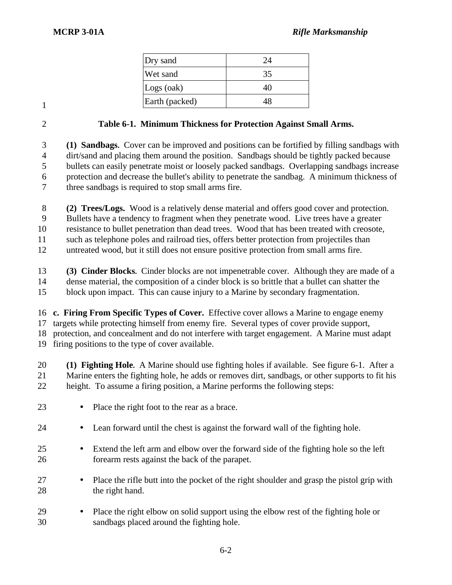| Dry sand       | 24 |
|----------------|----|
|                | 35 |
| Wet sand       |    |
| Logs (oak)     | 40 |
| Earth (packed) | 48 |

#### 1

 $\mathcal{L}$ 

#### **Table 6-1. Minimum Thickness for Protection Against Small Arms.**

3 4 5 6 7 **(1) Sandbags.** Cover can be improved and positions can be fortified by filling sandbags with dirt/sand and placing them around the position. Sandbags should be tightly packed because bullets can easily penetrate moist or loosely packed sandbags. Overlapping sandbags increase protection and decrease the bullet's ability to penetrate the sandbag. A minimum thickness of three sandbags is required to stop small arms fire.

8 9 10 11 12 **(2) Trees/Logs.** Wood is a relatively dense material and offers good cover and protection. Bullets have a tendency to fragment when they penetrate wood. Live trees have a greater resistance to bullet penetration than dead trees. Wood that has been treated with creosote, such as telephone poles and railroad ties, offers better protection from projectiles than untreated wood, but it still does not ensure positive protection from small arms fire.

13 14 15 **(3) Cinder Blocks.** Cinder blocks are not impenetrable cover. Although they are made of a dense material, the composition of a cinder block is so brittle that a bullet can shatter the block upon impact. This can cause injury to a Marine by secondary fragmentation.

16 **c. Firing From Specific Types of Cover.** Effective cover allows a Marine to engage enemy 17 18 protection, and concealment and do not interfere with target engagement. A Marine must adapt 19 firing positions to the type of cover available. targets while protecting himself from enemy fire. Several types of cover provide support,

20 21 22 **(1) Fighting Hole.** A Marine should use fighting holes if available. See figure 6-1. After a Marine enters the fighting hole, he adds or removes dirt, sandbags, or other supports to fit his height. To assume a firing position, a Marine performs the following steps:

- 23 • Place the right foot to the rear as a brace.
- 24 • Lean forward until the chest is against the forward wall of the fighting hole.
- 25 26 ü Extend the left arm and elbow over the forward side of the fighting hole so the left forearm rests against the back of the parapet.
- 27 28 ü Place the rifle butt into the pocket of the right shoulder and grasp the pistol grip with the right hand.
- 29 30 • Place the right elbow on solid support using the elbow rest of the fighting hole or sandbags placed around the fighting hole.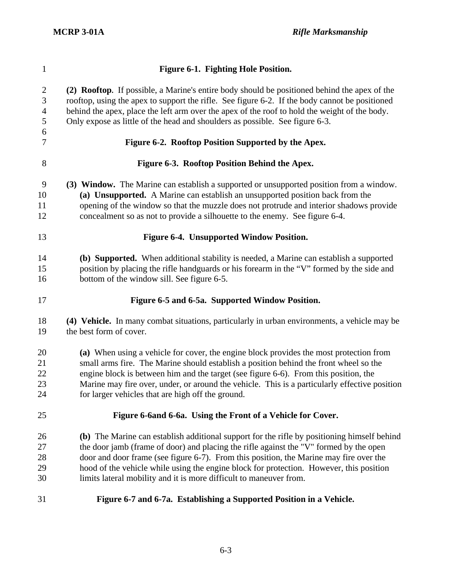| $\mathbf{1}$                                    | Figure 6-1. Fighting Hole Position.                                                                                                                                                                                                                                                                                                                                                                                                              |
|-------------------------------------------------|--------------------------------------------------------------------------------------------------------------------------------------------------------------------------------------------------------------------------------------------------------------------------------------------------------------------------------------------------------------------------------------------------------------------------------------------------|
| $\overline{2}$<br>3<br>$\overline{4}$<br>5<br>6 | (2) Rooftop. If possible, a Marine's entire body should be positioned behind the apex of the<br>rooftop, using the apex to support the rifle. See figure 6-2. If the body cannot be positioned<br>behind the apex, place the left arm over the apex of the roof to hold the weight of the body.<br>Only expose as little of the head and shoulders as possible. See figure 6-3.                                                                  |
| $\boldsymbol{7}$                                | Figure 6-2. Rooftop Position Supported by the Apex.                                                                                                                                                                                                                                                                                                                                                                                              |
| 8                                               | Figure 6-3. Rooftop Position Behind the Apex.                                                                                                                                                                                                                                                                                                                                                                                                    |
| 9<br>10<br>11<br>12                             | (3) Window. The Marine can establish a supported or unsupported position from a window.<br>(a) Unsupported. A Marine can establish an unsupported position back from the<br>opening of the window so that the muzzle does not protrude and interior shadows provide<br>concealment so as not to provide a silhouette to the enemy. See figure 6-4.                                                                                               |
| 13                                              | Figure 6-4. Unsupported Window Position.                                                                                                                                                                                                                                                                                                                                                                                                         |
| 14<br>15<br>16                                  | (b) Supported. When additional stability is needed, a Marine can establish a supported<br>position by placing the rifle handguards or his forearm in the "V" formed by the side and<br>bottom of the window sill. See figure 6-5.                                                                                                                                                                                                                |
| 17                                              | Figure 6-5 and 6-5a. Supported Window Position.                                                                                                                                                                                                                                                                                                                                                                                                  |
| 18<br>19                                        | (4) Vehicle. In many combat situations, particularly in urban environments, a vehicle may be<br>the best form of cover.                                                                                                                                                                                                                                                                                                                          |
| 20<br>21<br>22<br>23<br>24                      | (a) When using a vehicle for cover, the engine block provides the most protection from<br>small arms fire. The Marine should establish a position behind the front wheel so the<br>engine block is between him and the target (see figure 6-6). From this position, the<br>Marine may fire over, under, or around the vehicle. This is a particularly effective position<br>for larger vehicles that are high off the ground.                    |
| 25                                              | Figure 6-6 and 6-6a. Using the Front of a Vehicle for Cover.                                                                                                                                                                                                                                                                                                                                                                                     |
| 26<br>27<br>28<br>29<br>30                      | (b) The Marine can establish additional support for the rifle by positioning himself behind<br>the door jamb (frame of door) and placing the rifle against the "V" formed by the open<br>door and door frame (see figure 6-7). From this position, the Marine may fire over the<br>hood of the vehicle while using the engine block for protection. However, this position<br>limits lateral mobility and it is more difficult to maneuver from. |
| 31                                              | Figure 6-7 and 6-7a. Establishing a Supported Position in a Vehicle.                                                                                                                                                                                                                                                                                                                                                                             |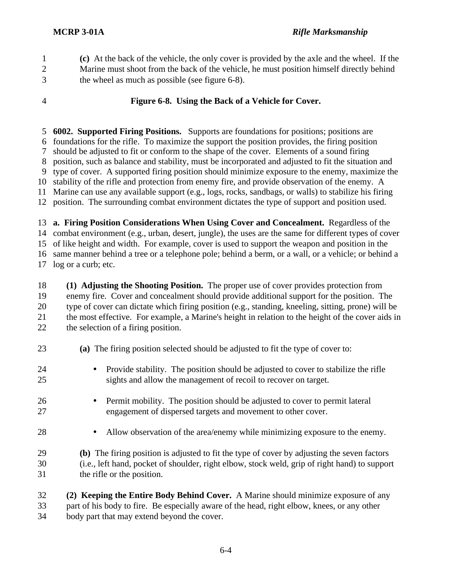1 2 3 **(c)** At the back of the vehicle, the only cover is provided by the axle and the wheel. If the Marine must shoot from the back of the vehicle, he must position himself directly behind the wheel as much as possible (see figure 6-8).

4

### **Figure 6-8. Using the Back of a Vehicle for Cover.**

 **6002. Supported Firing Positions.** Supports are foundations for positions; positions are foundations for the rifle. To maximize the support the position provides, the firing position 7 position, such as balance and stability, must be incorporated and adjusted to fit the situation and type of cover. A supported firing position should minimize exposure to the enemy, maximize the stability of the rifle and protection from enemy fire, and provide observation of the enemy. A Marine can use any available support (e.g., logs, rocks, sandbags, or walls) to stabilize his firing position. The surrounding combat environment dictates the type of support and position used. **a. Firing Position Considerations When Using Cover and Concealment.** Regardless of the combat environment (e.g., urban, desert, jungle), the uses are the same for different types of cover of like height and width. For example, cover is used to support the weapon and position in the same manner behind a tree or a telephone pole; behind a berm, or a wall, or a vehicle; or behind a should be adjusted to fit or conform to the shape of the cover. Elements of a sound firing

17 log or a curb; etc.

18 19 20 21 22 **(1) Adjusting the Shooting Position.** The proper use of cover provides protection from enemy fire. Cover and concealment should provide additional support for the position. The type of cover can dictate which firing position (e.g., standing, kneeling, sitting, prone) will be the most effective. For example, a Marine's height in relation to the height of the cover aids in the selection of a firing position.

- 23 **(a)** The firing position selected should be adjusted to fit the type of cover to:
- 24 25 ü Provide stability. The position should be adjusted to cover to stabilize the rifle sights and allow the management of recoil to recover on target.
- 26 27 • Permit mobility. The position should be adjusted to cover to permit lateral engagement of dispersed targets and movement to other cover.
- 28 ü Allow observation of the area/enemy while minimizing exposure to the enemy.
- 29 30 31 **(b)** The firing position is adjusted to fit the type of cover by adjusting the seven factors (i.e., left hand, pocket of shoulder, right elbow, stock weld, grip of right hand) to support the rifle or the position.

32 33 34 **(2) Keeping the Entire Body Behind Cover.** A Marine should minimize exposure of any part of his body to fire. Be especially aware of the head, right elbow, knees, or any other body part that may extend beyond the cover.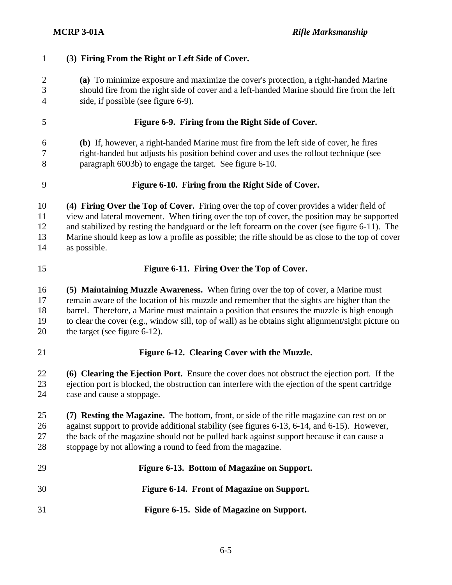#### 1 2 3 4 5 6 7 8 9 10 11 12 13 14 15 16 17 18 19 20 21 22 23 24 25 26 27 28 29 30 31 **(3) Firing From the Right or Left Side of Cover. (a)** To minimize exposure and maximize the cover's protection, a right-handed Marine should fire from the right side of cover and a left-handed Marine should fire from the left side, if possible (see figure 6-9). **Figure 6-9. Firing from the Right Side of Cover. (b)** If, however, a right-handed Marine must fire from the left side of cover, he fires right-handed but adjusts his position behind cover and uses the rollout technique (see paragraph 6003b) to engage the target. See figure 6-10. **Figure 6-10. Firing from the Right Side of Cover. (4) Firing Over the Top of Cover.** Firing over the top of cover provides a wider field of view and lateral movement. When firing over the top of cover, the position may be supported and stabilized by resting the handguard or the left forearm on the cover (see figure 6-11). The Marine should keep as low a profile as possible; the rifle should be as close to the top of cover as possible. **Figure 6-11. Firing Over the Top of Cover. (5) Maintaining Muzzle Awareness.** When firing over the top of cover, a Marine must remain aware of the location of his muzzle and remember that the sights are higher than the barrel. Therefore, a Marine must maintain a position that ensures the muzzle is high enough to clear the cover (e.g., window sill, top of wall) as he obtains sight alignment/sight picture on the target (see figure 6-12). **Figure 6-12. Clearing Cover with the Muzzle. (6) Clearing the Ejection Port.** Ensure the cover does not obstruct the ejection port. If the ejection port is blocked, the obstruction can interfere with the ejection of the spent cartridge case and cause a stoppage. **(7) Resting the Magazine.** The bottom, front, or side of the rifle magazine can rest on or against support to provide additional stability (see figures 6-13, 6-14, and 6-15). However, the back of the magazine should not be pulled back against support because it can cause a stoppage by not allowing a round to feed from the magazine. **Figure 6-13. Bottom of Magazine on Support. Figure 6-14. Front of Magazine on Support. Figure 6-15. Side of Magazine on Support.**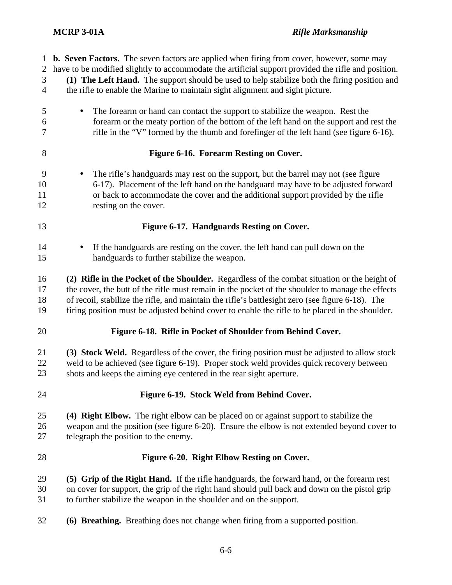| 1<br>2<br>3<br>$\overline{4}$ | b. Seven Factors. The seven factors are applied when firing from cover, however, some may<br>have to be modified slightly to accommodate the artificial support provided the rifle and position.<br>(1) The Left Hand. The support should be used to help stabilize both the firing position and<br>the rifle to enable the Marine to maintain sight alignment and sight picture.                       |
|-------------------------------|---------------------------------------------------------------------------------------------------------------------------------------------------------------------------------------------------------------------------------------------------------------------------------------------------------------------------------------------------------------------------------------------------------|
| 5<br>6<br>7                   | The forearm or hand can contact the support to stabilize the weapon. Rest the<br>٠<br>forearm or the meaty portion of the bottom of the left hand on the support and rest the<br>rifle in the "V" formed by the thumb and forefinger of the left hand (see figure 6-16).                                                                                                                                |
| 8                             | Figure 6-16. Forearm Resting on Cover.                                                                                                                                                                                                                                                                                                                                                                  |
| 9<br>10<br>11<br>12           | The rifle's handguards may rest on the support, but the barrel may not (see figure<br>$\bullet$<br>6-17). Placement of the left hand on the handguard may have to be adjusted forward<br>or back to accommodate the cover and the additional support provided by the rifle<br>resting on the cover.                                                                                                     |
| 13                            | Figure 6-17. Handguards Resting on Cover.                                                                                                                                                                                                                                                                                                                                                               |
| 14<br>15                      | If the handguards are resting on the cover, the left hand can pull down on the<br>$\bullet$<br>handguards to further stabilize the weapon.                                                                                                                                                                                                                                                              |
| 16<br>17<br>18<br>19          | (2) Rifle in the Pocket of the Shoulder. Regardless of the combat situation or the height of<br>the cover, the butt of the rifle must remain in the pocket of the shoulder to manage the effects<br>of recoil, stabilize the rifle, and maintain the rifle's battlesight zero (see figure 6-18). The<br>firing position must be adjusted behind cover to enable the rifle to be placed in the shoulder. |
| 20                            | Figure 6-18. Rifle in Pocket of Shoulder from Behind Cover.                                                                                                                                                                                                                                                                                                                                             |
| 21<br>22<br>23                | (3) Stock Weld. Regardless of the cover, the firing position must be adjusted to allow stock<br>weld to be achieved (see figure 6-19). Proper stock weld provides quick recovery between<br>shots and keeps the aiming eye centered in the rear sight aperture.                                                                                                                                         |
| 24                            | Figure 6-19. Stock Weld from Behind Cover.                                                                                                                                                                                                                                                                                                                                                              |
| 25<br>26<br>27                | (4) Right Elbow. The right elbow can be placed on or against support to stabilize the<br>weapon and the position (see figure 6-20). Ensure the elbow is not extended beyond cover to<br>telegraph the position to the enemy.                                                                                                                                                                            |
| 28                            | Figure 6-20. Right Elbow Resting on Cover.                                                                                                                                                                                                                                                                                                                                                              |
| 29<br>30<br>31                | (5) Grip of the Right Hand. If the rifle handguards, the forward hand, or the forearm rest<br>on cover for support, the grip of the right hand should pull back and down on the pistol grip<br>to further stabilize the weapon in the shoulder and on the support.                                                                                                                                      |
| 32                            | (6) Breathing. Breathing does not change when firing from a supported position.                                                                                                                                                                                                                                                                                                                         |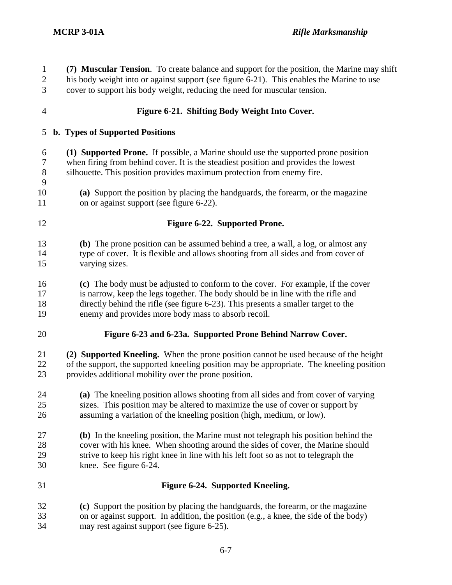1 2 3 4 5 **b. Types of Supported Positions** 6 7 8 9 10 11 12 13 14 15 16 17 18 19 20 21 22 23 24 25 26 27 28 29 30 31 32 33 34 **(7) Muscular Tension**. To create balance and support for the position, the Marine may shift his body weight into or against support (see figure 6-21). This enables the Marine to use cover to support his body weight, reducing the need for muscular tension. **Figure 6-21. Shifting Body Weight Into Cover. (1) Supported Prone.** If possible, a Marine should use the supported prone position when firing from behind cover. It is the steadiest position and provides the lowest silhouette. This position provides maximum protection from enemy fire. **(a)** Support the position by placing the handguards, the forearm, or the magazine on or against support (see figure 6-22). **Figure 6-22. Supported Prone. (b)** The prone position can be assumed behind a tree, a wall, a log, or almost any type of cover. It is flexible and allows shooting from all sides and from cover of varying sizes. **(c)** The body must be adjusted to conform to the cover. For example, if the cover is narrow, keep the legs together. The body should be in line with the rifle and directly behind the rifle (see figure 6-23). This presents a smaller target to the enemy and provides more body mass to absorb recoil. **Figure 6-23 and 6-23a. Supported Prone Behind Narrow Cover. (2) Supported Kneeling.** When the prone position cannot be used because of the height of the support, the supported kneeling position may be appropriate. The kneeling position provides additional mobility over the prone position. **(a)** The kneeling position allows shooting from all sides and from cover of varying sizes. This position may be altered to maximize the use of cover or support by assuming a variation of the kneeling position (high, medium, or low). **(b)** In the kneeling position, the Marine must not telegraph his position behind the cover with his knee. When shooting around the sides of cover, the Marine should strive to keep his right knee in line with his left foot so as not to telegraph the knee. See figure 6-24. **Figure 6-24. Supported Kneeling. (c)** Support the position by placing the handguards, the forearm, or the magazine on or against support. In addition, the position (e.g., a knee, the side of the body) may rest against support (see figure 6-25).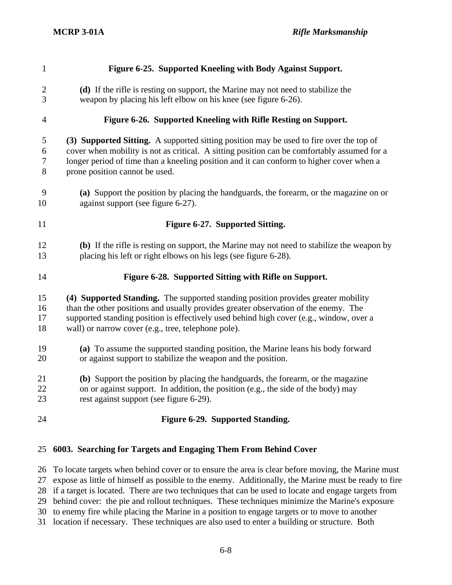| $\mathbf{1}$   | Figure 6-25. Supported Kneeling with Body Against Support.                                  |
|----------------|---------------------------------------------------------------------------------------------|
| $\mathbf{2}$   | (d) If the rifle is resting on support, the Marine may not need to stabilize the            |
| 3              | weapon by placing his left elbow on his knee (see figure 6-26).                             |
| $\overline{4}$ | Figure 6-26. Supported Kneeling with Rifle Resting on Support.                              |
| 5              | (3) Supported Sitting. A supported sitting position may be used to fire over the top of     |
| 6              | cover when mobility is not as critical. A sitting position can be comfortably assumed for a |
| $\tau$         | longer period of time than a kneeling position and it can conform to higher cover when a    |
| 8              | prone position cannot be used.                                                              |
| 9              | (a) Support the position by placing the handguards, the forearm, or the magazine on or      |
| 10             | against support (see figure 6-27).                                                          |
| 11             | Figure 6-27. Supported Sitting.                                                             |
| 12             | (b) If the rifle is resting on support, the Marine may not need to stabilize the weapon by  |
| 13             | placing his left or right elbows on his legs (see figure 6-28).                             |
| 14             | Figure 6-28. Supported Sitting with Rifle on Support.                                       |
| 15             | (4) Supported Standing. The supported standing position provides greater mobility           |
| 16             | than the other positions and usually provides greater observation of the enemy. The         |
| 17             | supported standing position is effectively used behind high cover (e.g., window, over a     |
| 18             | wall) or narrow cover (e.g., tree, telephone pole).                                         |
| 19             | (a) To assume the supported standing position, the Marine leans his body forward            |
| 20             | or against support to stabilize the weapon and the position.                                |
| 21             | (b) Support the position by placing the handguards, the forearm, or the magazine            |
| 22             | on or against support. In addition, the position (e.g., the side of the body) may           |
| 23             | rest against support (see figure 6-29).                                                     |
| 24             | Figure 6-29. Supported Standing.                                                            |

# 25 **6003. Searching for Targets and Engaging Them From Behind Cover**

 To locate targets when behind cover or to ensure the area is clear before moving, the Marine must expose as little of himself as possible to the enemy. Additionally, the Marine must be ready to fire if a target is located. There are two techniques that can be used to locate and engage targets from behind cover: the pie and rollout techniques. These techniques minimize the Marine's exposure to enemy fire while placing the Marine in a position to engage targets or to move to another location if necessary. These techniques are also used to enter a building or structure. Both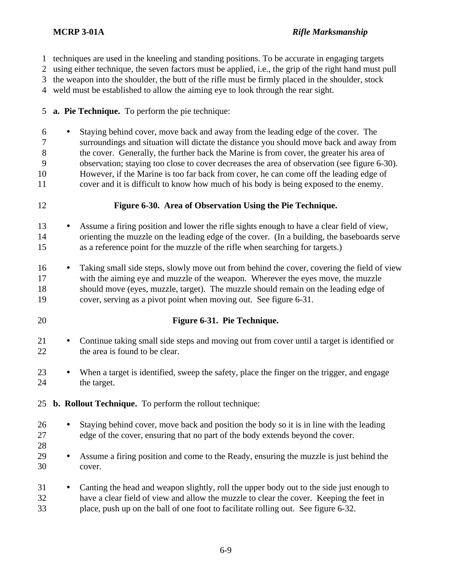1 techniques are used in the kneeling and standing positions. To be accurate in engaging targets

2 using either technique, the seven factors must be applied, i.e., the grip of the right hand must pull

3 the weapon into the shoulder, the butt of the rifle must be firmly placed in the shoulder, stock

4 weld must be established to allow the aiming eye to look through the rear sight.

5 **a. Pie Technique.** To perform the pie technique:

6 7 8 9 10 11 ü Staying behind cover, move back and away from the leading edge of the cover. The surroundings and situation will dictate the distance you should move back and away from the cover. Generally, the further back the Marine is from cover, the greater his area of observation; staying too close to cover decreases the area of observation (see figure 6-30). However, if the Marine is too far back from cover, he can come off the leading edge of cover and it is difficult to know how much of his body is being exposed to the enemy.

- 12 **Figure 6-30. Area of Observation Using the Pie Technique.**
- 13 14 15 ü Assume a firing position and lower the rifle sights enough to have a clear field of view, orienting the muzzle on the leading edge of the cover. (In a building, the baseboards serve as a reference point for the muzzle of the rifle when searching for targets.)
- 16 17 18 19 • Taking small side steps, slowly move out from behind the cover, covering the field of view with the aiming eye and muzzle of the weapon. Wherever the eyes move, the muzzle should move (eyes, muzzle, target). The muzzle should remain on the leading edge of cover, serving as a pivot point when moving out. See figure 6-31.
- 20

# **Figure 6-31. Pie Technique.**

- 21 22 • Continue taking small side steps and moving out from cover until a target is identified or the area is found to be clear.
- 23 24 ü When a target is identified, sweep the safety, place the finger on the trigger, and engage the target.
- 25 **b. Rollout Technique.** To perform the rollout technique:
- 26 27 ü Staying behind cover, move back and position the body so it is in line with the leading edge of the cover, ensuring that no part of the body extends beyond the cover.
- 28
- 29 30 ü Assume a firing position and come to the Ready, ensuring the muzzle is just behind the cover.
- 31 32 33 • Canting the head and weapon slightly, roll the upper body out to the side just enough to have a clear field of view and allow the muzzle to clear the cover. Keeping the feet in place, push up on the ball of one foot to facilitate rolling out. See figure 6-32.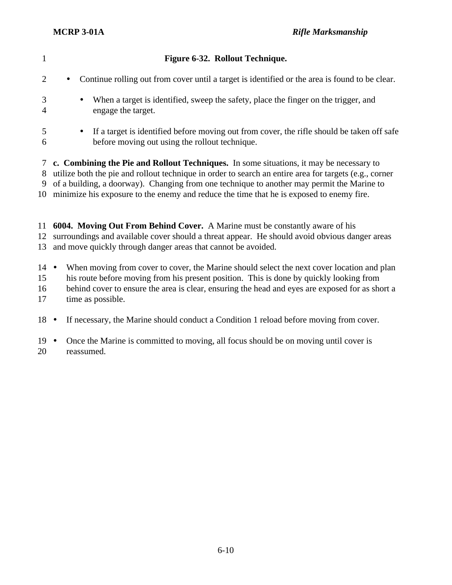1 2 3 4 5 6 7 **c. Combining the Pie and Rollout Techniques.** In some situations, it may be necessary to 8 utilize both the pie and rollout technique in order to search an entire area for targets (e.g., corner 9 of a building, a doorway). Changing from one technique to another may permit the Marine to 10 minimize his exposure to the enemy and reduce the time that he is exposed to enemy fire. **Figure 6-32. Rollout Technique.** ü Continue rolling out from cover until a target is identified or the area is found to be clear. ü When a target is identified, sweep the safety, place the finger on the trigger, and engage the target. ü If a target is identified before moving out from cover, the rifle should be taken off safe before moving out using the rollout technique.

11 **6004. Moving Out From Behind Cover.** A Marine must be constantly aware of his 12 surroundings and available cover should a threat appear. He should avoid obvious danger areas 13 and move quickly through danger areas that cannot be avoided.

 $14 \cdot$ 15 16 17 When moving from cover to cover, the Marine should select the next cover location and plan his route before moving from his present position. This is done by quickly looking from behind cover to ensure the area is clear, ensuring the head and eyes are exposed for as short a time as possible.

18 • If necessary, the Marine should conduct a Condition 1 reload before moving from cover.

19 • 20 Once the Marine is committed to moving, all focus should be on moving until cover is reassumed.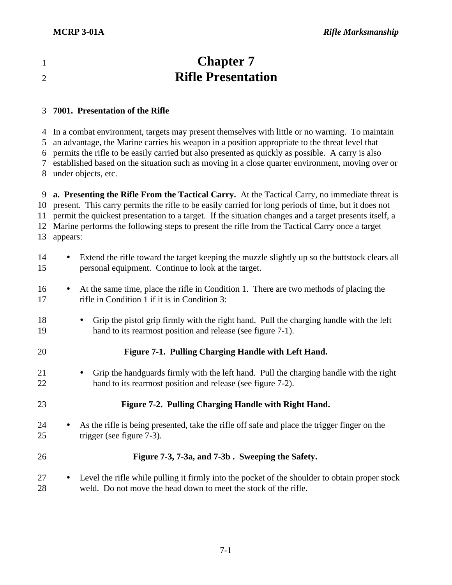| <b>Chapter 7</b>          |
|---------------------------|
| <b>Rifle Presentation</b> |

# 3 **7001. Presentation of the Rifle**

4 In a combat environment, targets may present themselves with little or no warning. To maintain

5 an advantage, the Marine carries his weapon in a position appropriate to the threat level that

6 permits the rifle to be easily carried but also presented as quickly as possible. A carry is also

7 established based on the situation such as moving in a close quarter environment, moving over or

8 under objects, etc.

 **a. Presenting the Rifle From the Tactical Carry.** At the Tactical Carry, no immediate threat is present. This carry permits the rifle to be easily carried for long periods of time, but it does not permit the quickest presentation to a target. If the situation changes and a target presents itself, a Marine performs the following steps to present the rifle from the Tactical Carry once a target 13 appears:

| 14<br>15 | Extend the rifle toward the target keeping the muzzle slightly up so the buttstock clears all<br>$\bullet$<br>personal equipment. Continue to look at the target.              |
|----------|--------------------------------------------------------------------------------------------------------------------------------------------------------------------------------|
| 16<br>17 | At the same time, place the rifle in Condition 1. There are two methods of placing the<br>$\bullet$<br>rifle in Condition 1 if it is in Condition 3:                           |
| 18<br>19 | Grip the pistol grip firmly with the right hand. Pull the charging handle with the left<br>hand to its rearmost position and release (see figure 7-1).                         |
| 20       | Figure 7-1. Pulling Charging Handle with Left Hand.                                                                                                                            |
| 21<br>22 | Grip the hand guards firmly with the left hand. Pull the charging handle with the right<br>hand to its rearmost position and release (see figure 7-2).                         |
| 23       | Figure 7-2. Pulling Charging Handle with Right Hand.                                                                                                                           |
| 24<br>25 | As the rifle is being presented, take the rifle off safe and place the trigger finger on the<br>trigger (see figure 7-3).                                                      |
| 26       | Figure 7-3, 7-3a, and 7-3b. Sweeping the Safety.                                                                                                                               |
| 27<br>28 | Level the rifle while pulling it firmly into the pocket of the shoulder to obtain proper stock<br>$\bullet$<br>weld. Do not move the head down to meet the stock of the rifle. |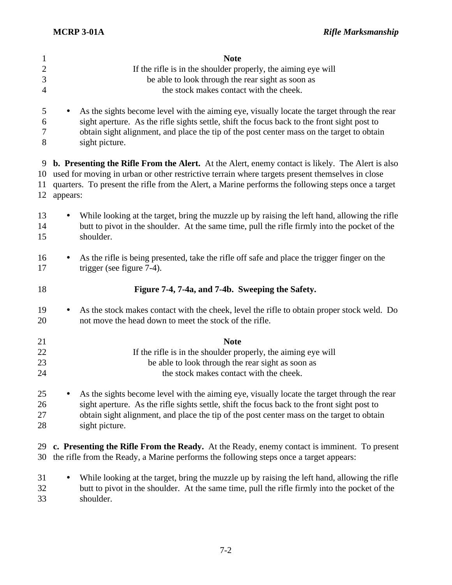| 1                    | <b>Note</b>                                                                                                                                                                                                                                                                                                                  |
|----------------------|------------------------------------------------------------------------------------------------------------------------------------------------------------------------------------------------------------------------------------------------------------------------------------------------------------------------------|
| $\overline{c}$       | If the rifle is in the shoulder properly, the aiming eye will                                                                                                                                                                                                                                                                |
| 3                    | be able to look through the rear sight as soon as                                                                                                                                                                                                                                                                            |
| $\overline{4}$       | the stock makes contact with the cheek.                                                                                                                                                                                                                                                                                      |
| 5<br>6<br>7<br>8     | As the sights become level with the aiming eye, visually locate the target through the rear<br>$\bullet$<br>sight aperture. As the rifle sights settle, shift the focus back to the front sight post to<br>obtain sight alignment, and place the tip of the post center mass on the target to obtain<br>sight picture.       |
| 9<br>10<br>11<br>12  | <b>b. Presenting the Rifle From the Alert.</b> At the Alert, enemy contact is likely. The Alert is also<br>used for moving in urban or other restrictive terrain where targets present themselves in close<br>quarters. To present the rifle from the Alert, a Marine performs the following steps once a target<br>appears: |
| 13<br>14<br>15       | While looking at the target, bring the muzzle up by raising the left hand, allowing the rifle<br>$\bullet$<br>butt to pivot in the shoulder. At the same time, pull the rifle firmly into the pocket of the<br>shoulder.                                                                                                     |
| 16<br>17             | As the rifle is being presented, take the rifle off safe and place the trigger finger on the<br>trigger (see figure 7-4).                                                                                                                                                                                                    |
|                      |                                                                                                                                                                                                                                                                                                                              |
| 18                   | Figure 7-4, 7-4a, and 7-4b. Sweeping the Safety.                                                                                                                                                                                                                                                                             |
| 19<br>20             | As the stock makes contact with the cheek, level the rifle to obtain proper stock weld. Do<br>not move the head down to meet the stock of the rifle.                                                                                                                                                                         |
|                      |                                                                                                                                                                                                                                                                                                                              |
| 21                   | <b>Note</b>                                                                                                                                                                                                                                                                                                                  |
| 22                   | If the rifle is in the shoulder properly, the aiming eye will                                                                                                                                                                                                                                                                |
| 23<br>24             | be able to look through the rear sight as soon as<br>the stock makes contact with the cheek.                                                                                                                                                                                                                                 |
| 25<br>26<br>27<br>28 | As the sights become level with the aiming eye, visually locate the target through the rear<br>sight aperture. As the rifle sights settle, shift the focus back to the front sight post to<br>obtain sight alignment, and place the tip of the post center mass on the target to obtain<br>sight picture.                    |
| 29<br>30             | c. Presenting the Rifle From the Ready. At the Ready, enemy contact is imminent. To present<br>the rifle from the Ready, a Marine performs the following steps once a target appears:                                                                                                                                        |

33 shoulder.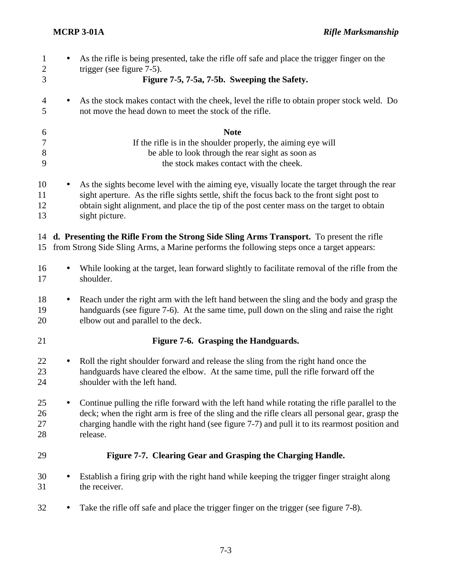| $\mathbf{1}$<br>$\overline{2}$<br>$\overline{3}$ | As the rifle is being presented, take the rifle off safe and place the trigger finger on the<br>trigger (see figure 7-5).<br>Figure 7-5, 7-5a, 7-5b. Sweeping the Safety.                                                                                                                                              |
|--------------------------------------------------|------------------------------------------------------------------------------------------------------------------------------------------------------------------------------------------------------------------------------------------------------------------------------------------------------------------------|
| $\overline{4}$<br>5                              | As the stock makes contact with the cheek, level the rifle to obtain proper stock weld. Do<br>$\bullet$<br>not move the head down to meet the stock of the rifle.                                                                                                                                                      |
| 6<br>$\boldsymbol{7}$<br>8<br>9                  | <b>Note</b><br>If the rifle is in the shoulder properly, the aiming eye will<br>be able to look through the rear sight as soon as<br>the stock makes contact with the cheek.                                                                                                                                           |
| 10<br>11<br>12<br>13                             | As the sights become level with the aiming eye, visually locate the target through the rear<br>$\bullet$<br>sight aperture. As the rifle sights settle, shift the focus back to the front sight post to<br>obtain sight alignment, and place the tip of the post center mass on the target to obtain<br>sight picture. |
| 15                                               | 14 d. Presenting the Rifle From the Strong Side Sling Arms Transport. To present the rifle<br>from Strong Side Sling Arms, a Marine performs the following steps once a target appears:                                                                                                                                |
| 16<br>17                                         | While looking at the target, lean forward slightly to facilitate removal of the rifle from the<br>$\bullet$<br>shoulder.                                                                                                                                                                                               |
| 18<br>19<br>20                                   | Reach under the right arm with the left hand between the sling and the body and grasp the<br>$\bullet$<br>handguards (see figure 7-6). At the same time, pull down on the sling and raise the right<br>elbow out and parallel to the deck.                                                                             |
| 21                                               | Figure 7-6. Grasping the Handguards.                                                                                                                                                                                                                                                                                   |
| 22<br>23<br>24                                   | Roll the right shoulder forward and release the sling from the right hand once the<br>$\bullet$<br>handguards have cleared the elbow. At the same time, pull the rifle forward off the<br>shoulder with the left hand.                                                                                                 |
| 25<br>26<br>27<br>28                             | Continue pulling the rifle forward with the left hand while rotating the rifle parallel to the<br>deck; when the right arm is free of the sling and the rifle clears all personal gear, grasp the<br>charging handle with the right hand (see figure 7-7) and pull it to its rearmost position and<br>release.         |
| 29                                               | Figure 7-7. Clearing Gear and Grasping the Charging Handle.                                                                                                                                                                                                                                                            |
| 30<br>31                                         | Establish a firing grip with the right hand while keeping the trigger finger straight along<br>the receiver.                                                                                                                                                                                                           |
| 32                                               | Take the rifle off safe and place the trigger finger on the trigger (see figure 7-8).                                                                                                                                                                                                                                  |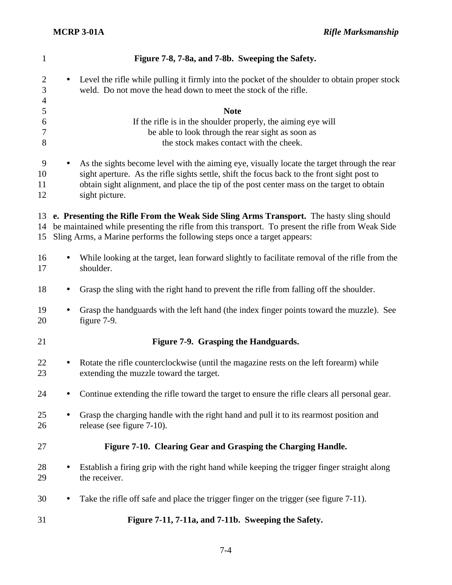| $\mathbf{1}$             | Figure 7-8, 7-8a, and 7-8b. Sweeping the Safety.                                                                                                                                                                                                                                                          |
|--------------------------|-----------------------------------------------------------------------------------------------------------------------------------------------------------------------------------------------------------------------------------------------------------------------------------------------------------|
| $\overline{c}$<br>3<br>4 | Level the rifle while pulling it firmly into the pocket of the shoulder to obtain proper stock<br>$\bullet$<br>weld. Do not move the head down to meet the stock of the rifle.                                                                                                                            |
| $\mathfrak s$            | <b>Note</b>                                                                                                                                                                                                                                                                                               |
| 6                        | If the rifle is in the shoulder properly, the aiming eye will                                                                                                                                                                                                                                             |
| $\boldsymbol{7}$<br>8    | be able to look through the rear sight as soon as<br>the stock makes contact with the cheek.                                                                                                                                                                                                              |
|                          |                                                                                                                                                                                                                                                                                                           |
| 9<br>10<br>11<br>12      | As the sights become level with the aiming eye, visually locate the target through the rear<br>sight aperture. As the rifle sights settle, shift the focus back to the front sight post to<br>obtain sight alignment, and place the tip of the post center mass on the target to obtain<br>sight picture. |
| 13<br>14<br>15           | e. Presenting the Rifle From the Weak Side Sling Arms Transport. The hasty sling should<br>be maintained while presenting the rifle from this transport. To present the rifle from Weak Side<br>Sling Arms, a Marine performs the following steps once a target appears:                                  |
| 16<br>17                 | While looking at the target, lean forward slightly to facilitate removal of the rifle from the<br>shoulder.                                                                                                                                                                                               |
| 18                       | Grasp the sling with the right hand to prevent the rifle from falling off the shoulder.                                                                                                                                                                                                                   |
| 19<br>20                 | Grasp the handguards with the left hand (the index finger points toward the muzzle). See<br>figure 7-9.                                                                                                                                                                                                   |
| 21                       | Figure 7-9. Grasping the Handguards.                                                                                                                                                                                                                                                                      |
| 22<br>23                 | Rotate the rifle counterclockwise (until the magazine rests on the left forearm) while<br>$\bullet$<br>extending the muzzle toward the target.                                                                                                                                                            |
| 24                       | Continue extending the rifle toward the target to ensure the rifle clears all personal gear.                                                                                                                                                                                                              |
| 25<br>26                 | Grasp the charging handle with the right hand and pull it to its rearmost position and<br>$\bullet$<br>release (see figure 7-10).                                                                                                                                                                         |
| 27                       | Figure 7-10. Clearing Gear and Grasping the Charging Handle.                                                                                                                                                                                                                                              |
| 28<br>29                 | Establish a firing grip with the right hand while keeping the trigger finger straight along<br>$\bullet$<br>the receiver.                                                                                                                                                                                 |
| 30                       | Take the rifle off safe and place the trigger finger on the trigger (see figure 7-11).<br>٠                                                                                                                                                                                                               |
| 31                       | Figure 7-11, 7-11a, and 7-11b. Sweeping the Safety.                                                                                                                                                                                                                                                       |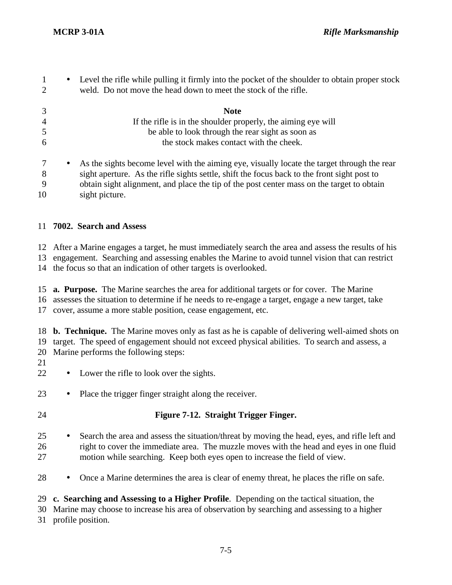Level the rifle while pulling it firmly into the pocket of the shoulder to obtain proper stock weld. Do not move the head down to meet the stock of the rifle.

|               | <b>Note</b>                                                                                              |
|---------------|----------------------------------------------------------------------------------------------------------|
| 4             | If the rifle is in the shoulder properly, the aiming eye will                                            |
|               | be able to look through the rear sight as soon as                                                        |
| $\mathfrak b$ | the stock makes contact with the cheek.                                                                  |
|               | As the sights become level with the aiming eye, visually locate the target through the rear<br>$\bullet$ |
| 8             | sight aperture. As the rifle sights settle, shift the focus back to the front sight post to              |
| Q             | obtain sight alignment, and place the tip of the post center mass on the target to obtain                |
| 10            | sight picture.                                                                                           |

### **7002. Search and Assess**

 After a Marine engages a target, he must immediately search the area and assess the results of his engagement. Searching and assessing enables the Marine to avoid tunnel vision that can restrict

the focus so that an indication of other targets is overlooked.

 **a. Purpose.** The Marine searches the area for additional targets or for cover. The Marine assesses the situation to determine if he needs to re-engage a target, engage a new target, take

cover, assume a more stable position, cease engagement, etc.

 **b. Technique.** The Marine moves only as fast as he is capable of delivering well-aimed shots on target. The speed of engagement should not exceed physical abilities. To search and assess, a Marine performs the following steps:

- 
- • Lower the rifle to look over the sights.
- • Place the trigger finger straight along the receiver.
- 

# **Figure 7-12. Straight Trigger Finger.**

- ü Search the area and assess the situation/threat by moving the head, eyes, and rifle left and right to cover the immediate area. The muzzle moves with the head and eyes in one fluid motion while searching. Keep both eyes open to increase the field of view.
- ü Once a Marine determines the area is clear of enemy threat, he places the rifle on safe.

 **c. Searching and Assessing to a Higher Profile**. Depending on the tactical situation, the Marine may choose to increase his area of observation by searching and assessing to a higher profile position.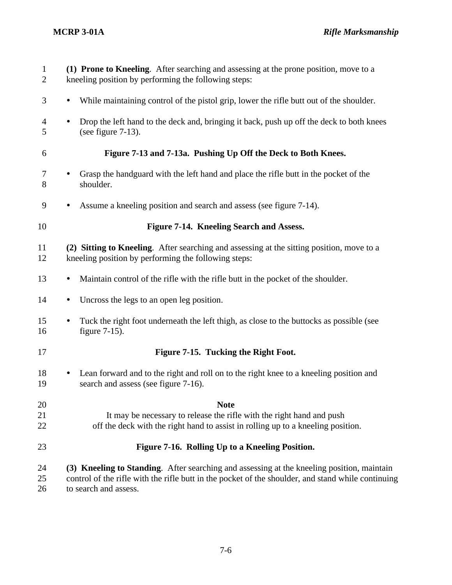| 1<br>$\mathbf{2}$   | (1) Prone to Kneeling. After searching and assessing at the prone position, move to a<br>kneeling position by performing the following steps:                                                                             |
|---------------------|---------------------------------------------------------------------------------------------------------------------------------------------------------------------------------------------------------------------------|
| 3                   | While maintaining control of the pistol grip, lower the rifle butt out of the shoulder.<br>٠                                                                                                                              |
| $\overline{4}$<br>5 | Drop the left hand to the deck and, bringing it back, push up off the deck to both knees<br>$\bullet$<br>(see figure $7-13$ ).                                                                                            |
| 6                   | Figure 7-13 and 7-13a. Pushing Up Off the Deck to Both Knees.                                                                                                                                                             |
| 7<br>8              | Grasp the handguard with the left hand and place the rifle butt in the pocket of the<br>٠<br>shoulder.                                                                                                                    |
| 9                   | Assume a kneeling position and search and assess (see figure 7-14).<br>٠                                                                                                                                                  |
| 10                  | Figure 7-14. Kneeling Search and Assess.                                                                                                                                                                                  |
| 11<br>12            | (2) Sitting to Kneeling. After searching and assessing at the sitting position, move to a<br>kneeling position by performing the following steps:                                                                         |
| 13                  | Maintain control of the rifle with the rifle butt in the pocket of the shoulder.<br>٠                                                                                                                                     |
| 14                  | Uncross the legs to an open leg position.<br>٠                                                                                                                                                                            |
| 15<br>16            | Tuck the right foot underneath the left thigh, as close to the buttocks as possible (see<br>٠<br>figure $7-15$ ).                                                                                                         |
| 17                  | Figure 7-15. Tucking the Right Foot.                                                                                                                                                                                      |
| 18<br>19            | Lean forward and to the right and roll on to the right knee to a kneeling position and<br>$\bullet$<br>search and assess (see figure 7-16).                                                                               |
| 20<br>21<br>22      | <b>Note</b><br>It may be necessary to release the rifle with the right hand and push<br>off the deck with the right hand to assist in rolling up to a kneeling position.                                                  |
| 23                  | Figure 7-16. Rolling Up to a Kneeling Position.                                                                                                                                                                           |
| 24<br>25<br>26      | (3) Kneeling to Standing. After searching and assessing at the kneeling position, maintain<br>control of the rifle with the rifle butt in the pocket of the shoulder, and stand while continuing<br>to search and assess. |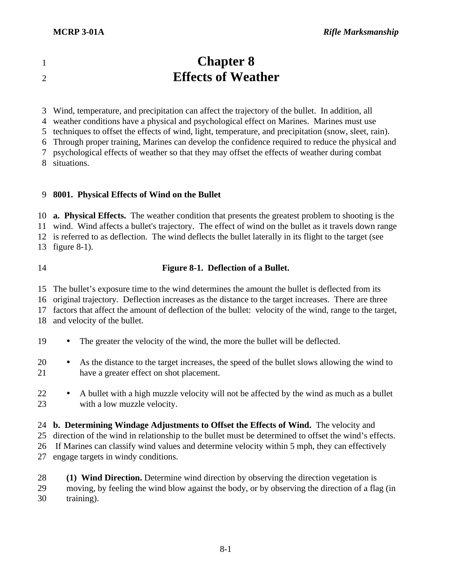|   | <b>Chapter 8</b>                                                                                       |
|---|--------------------------------------------------------------------------------------------------------|
| 2 | <b>Effects of Weather</b>                                                                              |
|   |                                                                                                        |
|   | 3 Wind, temperature, and precipitation can affect the trajectory of the bullet. In addition, all       |
|   | 4 weather conditions have a physical and psychological effect on Marines. Marines must use             |
|   | 5 techniques to offset the effects of wind, light, temperature, and precipitation (snow, sleet, rain). |
|   | 6 Through proper training, Marines can develop the confidence required to reduce the physical and      |
|   | 7 psychological effects of weather so that they may offset the effects of weather during combat        |

situations.

#### **8001. Physical Effects of Wind on the Bullet**

 **a. Physical Effects.** The weather condition that presents the greatest problem to shooting is the wind. Wind affects a bullet's trajectory. The effect of wind on the bullet as it travels down range is referred to as deflection. The wind deflects the bullet laterally in its flight to the target (see figure 8-1).

#### **Figure 8-1. Deflection of a Bullet.**

The bullet's exposure time to the wind determines the amount the bullet is deflected from its

original trajectory. Deflection increases as the distance to the target increases. There are three

factors that affect the amount of deflection of the bullet: velocity of the wind, range to the target,

- and velocity of the bullet.
- • The greater the velocity of the wind, the more the bullet will be deflected.
- ü As the distance to the target increases, the speed of the bullet slows allowing the wind to have a greater effect on shot placement.
- • A bullet with a high muzzle velocity will not be affected by the wind as much as a bullet with a low muzzle velocity.

 **b. Determining Windage Adjustments to Offset the Effects of Wind.** The velocity and direction of the wind in relationship to the bullet must be determined to offset the wind's effects.

If Marines can classify wind values and determine velocity within 5 mph, they can effectively

engage targets in windy conditions.

 **(1) Wind Direction.** Determine wind direction by observing the direction vegetation is moving, by feeling the wind blow against the body, or by observing the direction of a flag (in training).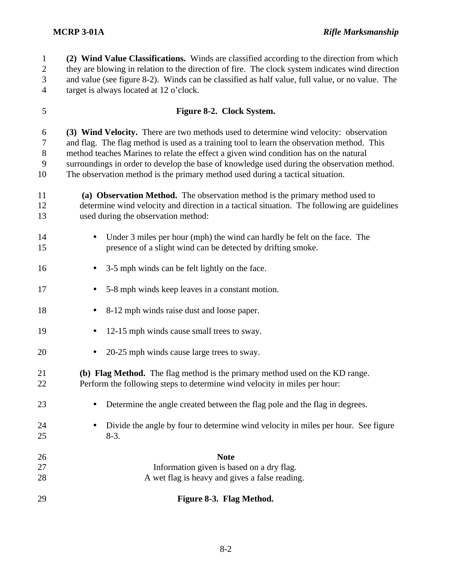1 2 3 4 5 6 7 8 9 10 11 12 13 14 15 16 17 18 19 20 21 22 23 24 25 26 27 28 29 **(2) Wind Value Classifications.** Winds are classified according to the direction from which they are blowing in relation to the direction of fire. The clock system indicates wind direction and value (see figure 8-2). Winds can be classified as half value, full value, or no value. The target is always located at 12 o'clock. **Figure 8-2. Clock System. (3) Wind Velocity.** There are two methods used to determine wind velocity: observation and flag. The flag method is used as a training tool to learn the observation method. This method teaches Marines to relate the effect a given wind condition has on the natural surroundings in order to develop the base of knowledge used during the observation method. The observation method is the primary method used during a tactical situation. **(a) Observation Method.** The observation method is the primary method used to determine wind velocity and direction in a tactical situation. The following are guidelines used during the observation method: ü Under 3 miles per hour (mph) the wind can hardly be felt on the face. The presence of a slight wind can be detected by drifting smoke. • 3-5 mph winds can be felt lightly on the face. ü 5-8 mph winds keep leaves in a constant motion. • 8-12 mph winds raise dust and loose paper. • 12-15 mph winds cause small trees to sway. • 20-25 mph winds cause large trees to sway. **(b) Flag Method.** The flag method is the primary method used on the KD range. Perform the following steps to determine wind velocity in miles per hour: • Determine the angle created between the flag pole and the flag in degrees. ü Divide the angle by four to determine wind velocity in miles per hour. See figure 8-3. **Note** Information given is based on a dry flag. A wet flag is heavy and gives a false reading. **Figure 8-3. Flag Method.**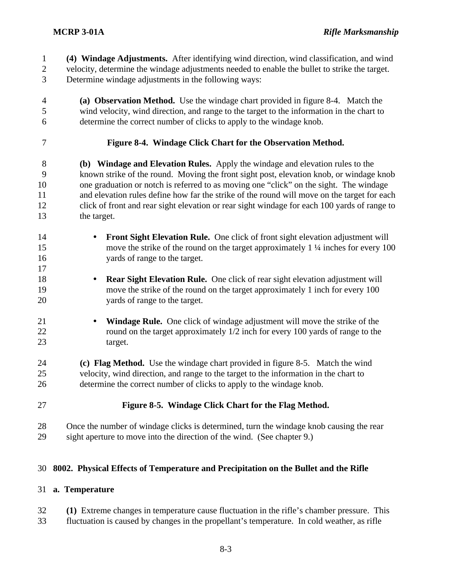1 2 3 **(4) Windage Adjustments.** After identifying wind direction, wind classification, and wind velocity, determine the windage adjustments needed to enable the bullet to strike the target. Determine windage adjustments in the following ways:

- 4 5 6 **(a) Observation Method.** Use the windage chart provided in figure 8-4. Match the wind velocity, wind direction, and range to the target to the information in the chart to determine the correct number of clicks to apply to the windage knob.
- 7

17

# **Figure 8-4. Windage Click Chart for the Observation Method.**

8 9 10 11 12 13 **(b) Windage and Elevation Rules.** Apply the windage and elevation rules to the known strike of the round. Moving the front sight post, elevation knob, or windage knob one graduation or notch is referred to as moving one "click" on the sight. The windage and elevation rules define how far the strike of the round will move on the target for each click of front and rear sight elevation or rear sight windage for each 100 yards of range to the target.

- 14 15 16 ü **Front Sight Elevation Rule.** One click of front sight elevation adjustment will move the strike of the round on the target approximately 1 ¼ inches for every 100 yards of range to the target.
- 18 19 20 ü **Rear Sight Elevation Rule.** One click of rear sight elevation adjustment will move the strike of the round on the target approximately 1 inch for every 100 yards of range to the target.
- 21 22 23 ü **Windage Rule.** One click of windage adjustment will move the strike of the round on the target approximately 1/2 inch for every 100 yards of range to the target.
- 24 25 26 **(c) Flag Method.** Use the windage chart provided in figure 8-5. Match the wind velocity, wind direction, and range to the target to the information in the chart to determine the correct number of clicks to apply to the windage knob.
- 27

# **Figure 8-5. Windage Click Chart for the Flag Method.**

28 29 Once the number of windage clicks is determined, turn the windage knob causing the rear sight aperture to move into the direction of the wind. (See chapter 9.)

#### 30 **8002. Physical Effects of Temperature and Precipitation on the Bullet and the Rifle**

#### 31 **a. Temperature**

32 33 **(1)** Extreme changes in temperature cause fluctuation in the rifle's chamber pressure. This fluctuation is caused by changes in the propellant's temperature. In cold weather, as rifle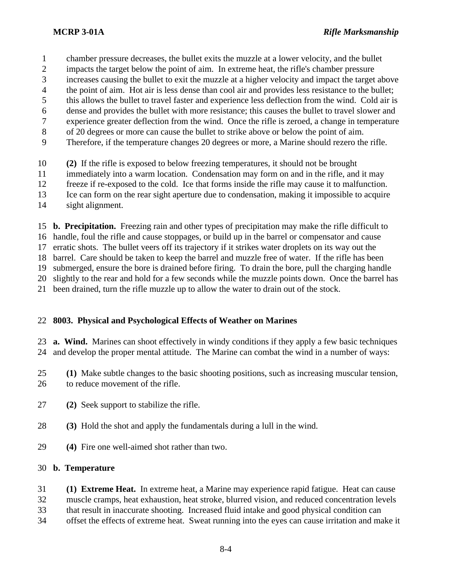1 chamber pressure decreases, the bullet exits the muzzle at a lower velocity, and the bullet

- 2 impacts the target below the point of aim. In extreme heat, the rifle's chamber pressure
- 3 increases causing the bullet to exit the muzzle at a higher velocity and impact the target above
- 4 the point of aim. Hot air is less dense than cool air and provides less resistance to the bullet;
- 5 this allows the bullet to travel faster and experience less deflection from the wind. Cold air is
- 6 7 dense and provides the bullet with more resistance; this causes the bullet to travel slower and experience greater deflection from the wind. Once the rifle is zeroed, a change in temperature
- 8 of 20 degrees or more can cause the bullet to strike above or below the point of aim.
- 9 Therefore, if the temperature changes 20 degrees or more, a Marine should rezero the rifle.
- 10 **(2)** If the rifle is exposed to below freezing temperatures, it should not be brought
- 11 immediately into a warm location. Condensation may form on and in the rifle, and it may
- 12 freeze if re-exposed to the cold. Ice that forms inside the rifle may cause it to malfunction.
- 13 Ice can form on the rear sight aperture due to condensation, making it impossible to acquire
- 14 sight alignment.

15 **b. Precipitation.** Freezing rain and other types of precipitation may make the rifle difficult to

16 handle, foul the rifle and cause stoppages, or build up in the barrel or compensator and cause

17 erratic shots. The bullet veers off its trajectory if it strikes water droplets on its way out the

18 barrel. Care should be taken to keep the barrel and muzzle free of water. If the rifle has been

19 submerged, ensure the bore is drained before firing. To drain the bore, pull the charging handle

20 slightly to the rear and hold for a few seconds while the muzzle points down. Once the barrel has

21 been drained, turn the rifle muzzle up to allow the water to drain out of the stock.

# 22 **8003. Physical and Psychological Effects of Weather on Marines**

23 **a. Wind.** Marines can shoot effectively in windy conditions if they apply a few basic techniques 24 and develop the proper mental attitude. The Marine can combat the wind in a number of ways:

- 25 26 **(1)** Make subtle changes to the basic shooting positions, such as increasing muscular tension, to reduce movement of the rifle.
- 27 **(2)** Seek support to stabilize the rifle.
- 28 **(3)** Hold the shot and apply the fundamentals during a lull in the wind.
- 29 **(4)** Fire one well-aimed shot rather than two.

# 30 **b. Temperature**

31 **(1) Extreme Heat.** In extreme heat, a Marine may experience rapid fatigue. Heat can cause

32 muscle cramps, heat exhaustion, heat stroke, blurred vision, and reduced concentration levels

- 33 that result in inaccurate shooting. Increased fluid intake and good physical condition can
- 34 offset the effects of extreme heat. Sweat running into the eyes can cause irritation and make it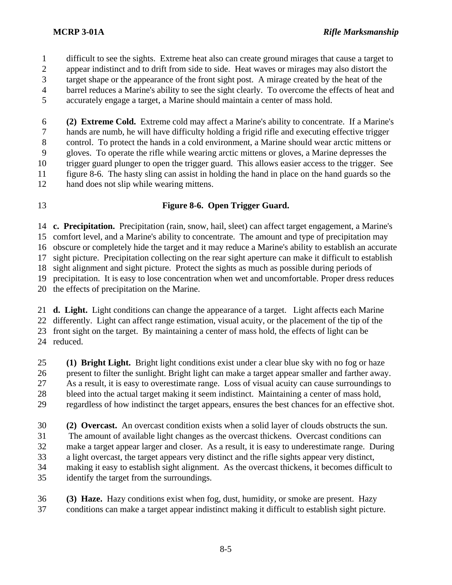1 difficult to see the sights. Extreme heat also can create ground mirages that cause a target to

2 appear indistinct and to drift from side to side. Heat waves or mirages may also distort the

3 4 target shape or the appearance of the front sight post. A mirage created by the heat of the

5 barrel reduces a Marine's ability to see the sight clearly. To overcome the effects of heat and accurately engage a target, a Marine should maintain a center of mass hold.

6 7 8 9 10 11 12 **(2) Extreme Cold.** Extreme cold may affect a Marine's ability to concentrate. If a Marine's hands are numb, he will have difficulty holding a frigid rifle and executing effective trigger control. To protect the hands in a cold environment, a Marine should wear arctic mittens or gloves. To operate the rifle while wearing arctic mittens or gloves, a Marine depresses the trigger guard plunger to open the trigger guard. This allows easier access to the trigger. See figure 8-6. The hasty sling can assist in holding the hand in place on the hand guards so the hand does not slip while wearing mittens.

13

# **Figure 8-6. Open Trigger Guard.**

14 **c. Precipitation.** Precipitation (rain, snow, hail, sleet) can affect target engagement, a Marine's

15 comfort level, and a Marine's ability to concentrate. The amount and type of precipitation may

16 obscure or completely hide the target and it may reduce a Marine's ability to establish an accurate 17 sight picture. Precipitation collecting on the rear sight aperture can make it difficult to establish

18 sight alignment and sight picture. Protect the sights as much as possible during periods of

19 precipitation. It is easy to lose concentration when wet and uncomfortable. Proper dress reduces

20 the effects of precipitation on the Marine.

21 **d. Light.** Light conditions can change the appearance of a target. Light affects each Marine

22 differently. Light can affect range estimation, visual acuity, or the placement of the tip of the

23 front sight on the target. By maintaining a center of mass hold, the effects of light can be

24 reduced.

25 26 27 28 **(1) Bright Light.** Bright light conditions exist under a clear blue sky with no fog or haze present to filter the sunlight. Bright light can make a target appear smaller and farther away. As a result, it is easy to overestimate range. Loss of visual acuity can cause surroundings to bleed into the actual target making it seem indistinct. Maintaining a center of mass hold,

29 regardless of how indistinct the target appears, ensures the best chances for an effective shot.

30 **(2) Overcast.** An overcast condition exists when a solid layer of clouds obstructs the sun.

31 The amount of available light changes as the overcast thickens. Overcast conditions can

32 make a target appear larger and closer. As a result, it is easy to underestimate range. During

33 a light overcast, the target appears very distinct and the rifle sights appear very distinct,

- 34 making it easy to establish sight alignment. As the overcast thickens, it becomes difficult to
- 35 identify the target from the surroundings.

36 37 **(3) Haze.** Hazy conditions exist when fog, dust, humidity, or smoke are present. Hazy conditions can make a target appear indistinct making it difficult to establish sight picture.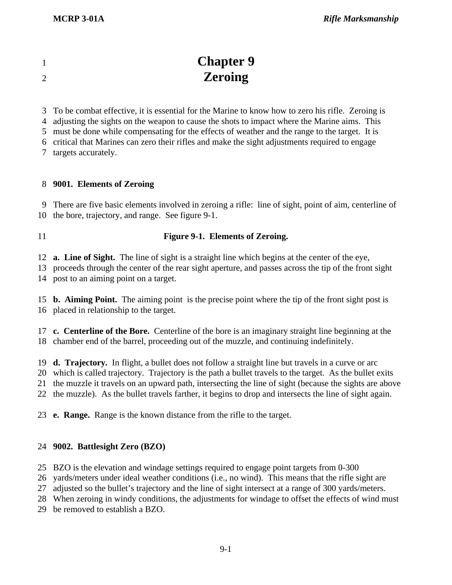| $\overline{2}$ | <b>Chapter 9</b><br><b>Zeroing</b>                  |   |
|----------------|-----------------------------------------------------|---|
| $\sim$<br>--   | $\sim$ $\sim$ $\sim$ $\sim$ $\sim$ $\sim$<br>$\sim$ | - |

 To be combat effective, it is essential for the Marine to know how to zero his rifle. Zeroing is adjusting the sights on the weapon to cause the shots to impact where the Marine aims. This must be done while compensating for the effects of weather and the range to the target. It is critical that Marines can zero their rifles and make the sight adjustments required to engage

targets accurately.

# **9001. Elements of Zeroing**

There are five basic elements involved in zeroing a rifle: line of sight, point of aim, centerline of

the bore, trajectory, and range. See figure 9-1.

# **Figure 9-1. Elements of Zeroing.**

**a. Line of Sight.** The line of sight is a straight line which begins at the center of the eye,

proceeds through the center of the rear sight aperture, and passes across the tip of the front sight

post to an aiming point on a target.

 **b. Aiming Point.** The aiming point is the precise point where the tip of the front sight post is placed in relationship to the target.

 **c. Centerline of the Bore.** Centerline of the bore is an imaginary straight line beginning at the chamber end of the barrel, proceeding out of the muzzle, and continuing indefinitely.

**d. Trajectory.** In flight, a bullet does not follow a straight line but travels in a curve or arc

which is called trajectory. Trajectory is the path a bullet travels to the target. As the bullet exits

the muzzle it travels on an upward path, intersecting the line of sight (because the sights are above

the muzzle). As the bullet travels farther, it begins to drop and intersects the line of sight again.

**e. Range.** Range is the known distance from the rifle to the target.

# **9002. Battlesight Zero (BZO)**

BZO is the elevation and windage settings required to engage point targets from 0-300

yards/meters under ideal weather conditions (i.e., no wind). This means that the rifle sight are

adjusted so the bullet's trajectory and the line of sight intersect at a range of 300 yards/meters.

When zeroing in windy conditions, the adjustments for windage to offset the effects of wind must

be removed to establish a BZO.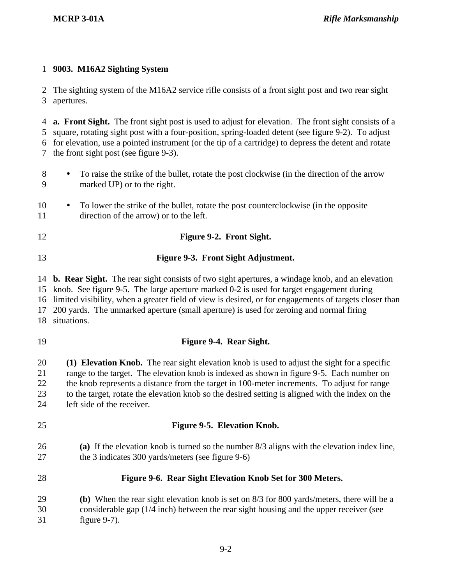# 1 **9003. M16A2 Sighting System**

2 The sighting system of the M16A2 service rifle consists of a front sight post and two rear sight 3 apertures.

 **a. Front Sight.** The front sight post is used to adjust for elevation. The front sight consists of a square, rotating sight post with a four-position, spring-loaded detent (see figure 9-2). To adjust for elevation, use a pointed instrument (or the tip of a cartridge) to depress the detent and rotate the front sight post (see figure 9-3).

- 8 9 ü To raise the strike of the bullet, rotate the post clockwise (in the direction of the arrow marked UP) or to the right.
- 10 11 • To lower the strike of the bullet, rotate the post counterclockwise (in the opposite direction of the arrow) or to the left.
- 12 **Figure 9-2. Front Sight.**
- 13 **Figure 9-3. Front Sight Adjustment.**

14 **b. Rear Sight.** The rear sight consists of two sight apertures, a windage knob, and an elevation

15 knob. See figure 9-5. The large aperture marked 0-2 is used for target engagement during

16 limited visibility, when a greater field of view is desired, or for engagements of targets closer than

17 200 yards. The unmarked aperture (small aperture) is used for zeroing and normal firing

- 18 situations.
- 19 **Figure 9-4. Rear Sight.**

20 21 22 23 24 **(1) Elevation Knob.** The rear sight elevation knob is used to adjust the sight for a specific range to the target. The elevation knob is indexed as shown in figure 9-5. Each number on the knob represents a distance from the target in 100-meter increments. To adjust for range to the target, rotate the elevation knob so the desired setting is aligned with the index on the left side of the receiver.

- 25 26 27 28 29 **Figure 9-5. Elevation Knob. (a)** If the elevation knob is turned so the number 8/3 aligns with the elevation index line, the 3 indicates 300 yards/meters (see figure 9-6) **Figure 9-6. Rear Sight Elevation Knob Set for 300 Meters. (b)** When the rear sight elevation knob is set on 8/3 for 800 yards/meters, there will be a
- 30 31 considerable gap (1/4 inch) between the rear sight housing and the upper receiver (see figure 9-7).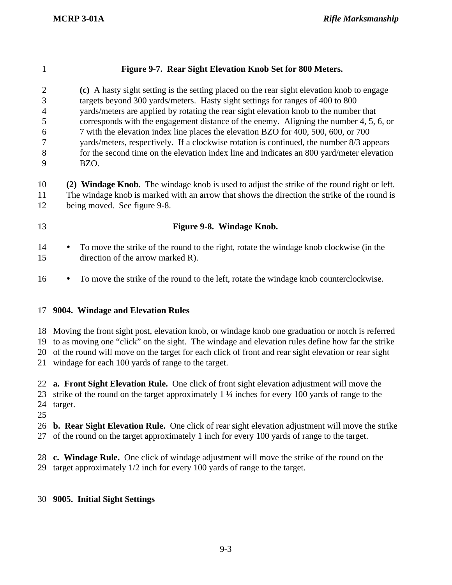| 1              | Figure 9-7. Rear Sight Elevation Knob Set for 800 Meters.                                    |
|----------------|----------------------------------------------------------------------------------------------|
| $\overline{2}$ | (c) A hasty sight setting is the setting placed on the rear sight elevation knob to engage   |
| 3              | targets beyond 300 yards/meters. Hasty sight settings for ranges of 400 to 800               |
| $\overline{4}$ | yards/meters are applied by rotating the rear sight elevation knob to the number that        |
| 5              | corresponds with the engagement distance of the enemy. Aligning the number 4, 5, 6, or       |
| 6              | 7 with the elevation index line places the elevation BZO for 400, 500, 600, or 700           |
|                | yards/meters, respectively. If a clockwise rotation is continued, the number 8/3 appears     |
| 8              | for the second time on the elevation index line and indicates an 800 yard/meter elevation    |
| 9              | BZO.                                                                                         |
| 10             | (2) Windage Knob. The windage knob is used to adjust the strike of the round right or left.  |
| 11             | The windage knob is marked with an arrow that shows the direction the strike of the round is |
| 12             | being moved. See figure 9-8.                                                                 |
| 13             | Figure 9-8. Windage Knob.                                                                    |

- • To move the strike of the round to the right, rotate the windage knob clockwise (in the direction of the arrow marked R).
- • To move the strike of the round to the left, rotate the windage knob counterclockwise.

# **9004. Windage and Elevation Rules**

Moving the front sight post, elevation knob, or windage knob one graduation or notch is referred

to as moving one "click" on the sight. The windage and elevation rules define how far the strike

of the round will move on the target for each click of front and rear sight elevation or rear sight

windage for each 100 yards of range to the target.

**a. Front Sight Elevation Rule.** One click of front sight elevation adjustment will move the

 strike of the round on the target approximately 1 ¼ inches for every 100 yards of range to the target.

- 
- **b. Rear Sight Elevation Rule.** One click of rear sight elevation adjustment will move the strike of the round on the target approximately 1 inch for every 100 yards of range to the target.

 **c. Windage Rule.** One click of windage adjustment will move the strike of the round on the target approximately 1/2 inch for every 100 yards of range to the target.

# **9005. Initial Sight Settings**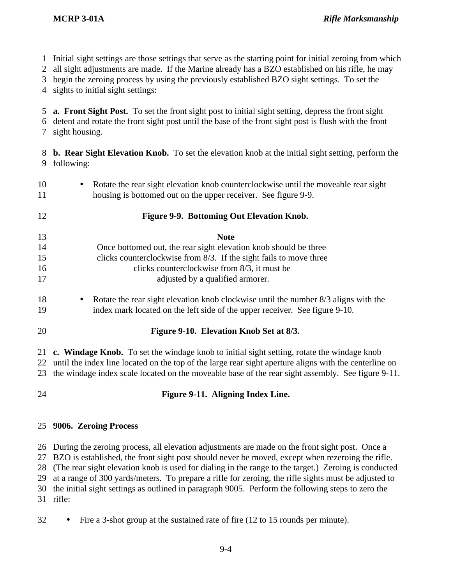Initial sight settings are those settings that serve as the starting point for initial zeroing from which

all sight adjustments are made. If the Marine already has a BZO established on his rifle, he may

begin the zeroing process by using the previously established BZO sight settings. To set the

sights to initial sight settings:

**a. Front Sight Post.** To set the front sight post to initial sight setting, depress the front sight

detent and rotate the front sight post until the base of the front sight post is flush with the front

sight housing.

 **b. Rear Sight Elevation Knob.** To set the elevation knob at the initial sight setting, perform the following:

 **c. Windage Knob.** To set the windage knob to initial sight setting, rotate the windage knob until the index line located on the top of the large rear sight aperture aligns with the centerline on the windage index scale located on the moveable base of the rear sight assembly. See figure 9-11. ü Rotate the rear sight elevation knob counterclockwise until the moveable rear sight housing is bottomed out on the upper receiver. See figure 9-9. **Figure 9-9. Bottoming Out Elevation Knob. Note** Once bottomed out, the rear sight elevation knob should be three clicks counterclockwise from 8/3. If the sight fails to move three clicks counterclockwise from 8/3, it must be adjusted by a qualified armorer. • Rotate the rear sight elevation knob clockwise until the number 8/3 aligns with the index mark located on the left side of the upper receiver. See figure 9-10. **Figure 9-10. Elevation Knob Set at 8/3.**

**Figure 9-11. Aligning Index Line.**

# **9006. Zeroing Process**

 During the zeroing process, all elevation adjustments are made on the front sight post. Once a BZO is established, the front sight post should never be moved, except when rezeroing the rifle. (The rear sight elevation knob is used for dialing in the range to the target.) Zeroing is conducted at a range of 300 yards/meters. To prepare a rifle for zeroing, the rifle sights must be adjusted to the initial sight settings as outlined in paragraph 9005. Perform the following steps to zero the rifle:

 Fire a 3-shot group at the sustained rate of fire (12 to 15 rounds per minute).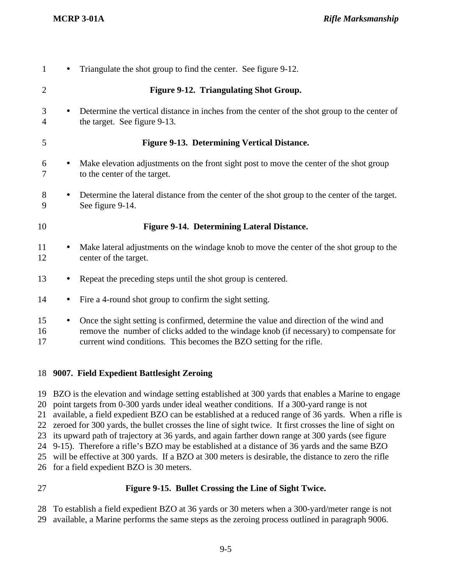| $\mathbf{1}$   |           | Triangulate the shot group to find the center. See figure 9-12.                                                                                                                                                                                          |  |  |
|----------------|-----------|----------------------------------------------------------------------------------------------------------------------------------------------------------------------------------------------------------------------------------------------------------|--|--|
| $\overline{2}$ |           | Figure 9-12. Triangulating Shot Group.                                                                                                                                                                                                                   |  |  |
| 3<br>4         |           | Determine the vertical distance in inches from the center of the shot group to the center of<br>the target. See figure 9-13.                                                                                                                             |  |  |
| 5              |           | Figure 9-13. Determining Vertical Distance.                                                                                                                                                                                                              |  |  |
| 6<br>7         |           | Make elevation adjustments on the front sight post to move the center of the shot group<br>to the center of the target.                                                                                                                                  |  |  |
| 8<br>9         | $\bullet$ | Determine the lateral distance from the center of the shot group to the center of the target.<br>See figure 9-14.                                                                                                                                        |  |  |
| 10             |           | Figure 9-14. Determining Lateral Distance.                                                                                                                                                                                                               |  |  |
| 11<br>12       |           | Make lateral adjustments on the windage knob to move the center of the shot group to the<br>center of the target.                                                                                                                                        |  |  |
| 13             |           | Repeat the preceding steps until the shot group is centered.                                                                                                                                                                                             |  |  |
| 14             | ٠         | Fire a 4-round shot group to confirm the sight setting.                                                                                                                                                                                                  |  |  |
| 15<br>16<br>17 | $\bullet$ | Once the sight setting is confirmed, determine the value and direction of the wind and<br>remove the number of clicks added to the windage knob (if necessary) to compensate for<br>current wind conditions. This becomes the BZO setting for the rifle. |  |  |

# 18 **9007. Field Expedient Battlesight Zeroing**

 BZO is the elevation and windage setting established at 300 yards that enables a Marine to engage point targets from 0-300 yards under ideal weather conditions. If a 300-yard range is not available, a field expedient BZO can be established at a reduced range of 36 yards. When a rifle is zeroed for 300 yards, the bullet crosses the line of sight twice. It first crosses the line of sight on its upward path of trajectory at 36 yards, and again farther down range at 300 yards (see figure 9-15). Therefore a rifle's BZO may be established at a distance of 36 yards and the same BZO will be effective at 300 yards. If a BZO at 300 meters is desirable, the distance to zero the rifle for a field expedient BZO is 30 meters.

27 **Figure 9-15. Bullet Crossing the Line of Sight Twice.**

28 To establish a field expedient BZO at 36 yards or 30 meters when a 300-yard/meter range is not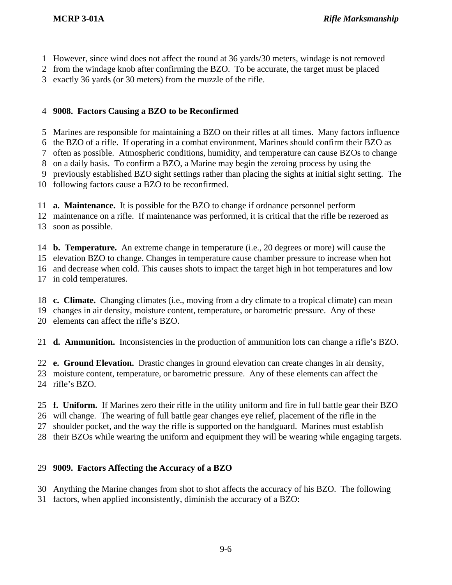However, since wind does not affect the round at 36 yards/30 meters, windage is not removed

from the windage knob after confirming the BZO. To be accurate, the target must be placed

exactly 36 yards (or 30 meters) from the muzzle of the rifle.

# **9008. Factors Causing a BZO to be Reconfirmed**

Marines are responsible for maintaining a BZO on their rifles at all times. Many factors influence

the BZO of a rifle. If operating in a combat environment, Marines should confirm their BZO as

often as possible. Atmospheric conditions, humidity, and temperature can cause BZOs to change

on a daily basis. To confirm a BZO, a Marine may begin the zeroing process by using the

previously established BZO sight settings rather than placing the sights at initial sight setting. The

following factors cause a BZO to be reconfirmed.

**a. Maintenance.** It is possible for the BZO to change if ordnance personnel perform

maintenance on a rifle. If maintenance was performed, it is critical that the rifle be rezeroed as

soon as possible.

**b. Temperature.** An extreme change in temperature (i.e., 20 degrees or more) will cause the

elevation BZO to change. Changes in temperature cause chamber pressure to increase when hot

and decrease when cold. This causes shots to impact the target high in hot temperatures and low

in cold temperatures.

**c. Climate.** Changing climates (i.e., moving from a dry climate to a tropical climate) can mean

changes in air density, moisture content, temperature, or barometric pressure. Any of these

elements can affect the rifle's BZO.

**d. Ammunition.** Inconsistencies in the production of ammunition lots can change a rifle's BZO.

 **e. Ground Elevation.** Drastic changes in ground elevation can create changes in air density, moisture content, temperature, or barometric pressure. Any of these elements can affect the rifle's BZO.

**f. Uniform.** If Marines zero their rifle in the utility uniform and fire in full battle gear their BZO

will change. The wearing of full battle gear changes eye relief, placement of the rifle in the

shoulder pocket, and the way the rifle is supported on the handguard. Marines must establish

their BZOs while wearing the uniform and equipment they will be wearing while engaging targets.

# **9009. Factors Affecting the Accuracy of a BZO**

Anything the Marine changes from shot to shot affects the accuracy of his BZO. The following

factors, when applied inconsistently, diminish the accuracy of a BZO: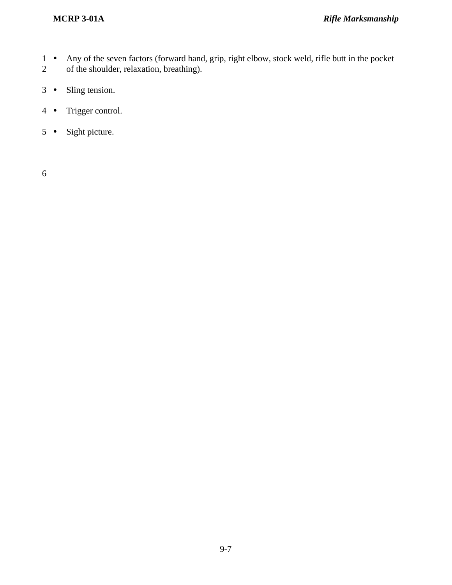- 1 2 ü Any of the seven factors (forward hand, grip, right elbow, stock weld, rifle butt in the pocket of the shoulder, relaxation, breathing).
- 3 Sling tension.
- 4 Trigger control.
- $5 \bullet$ Sight picture.

6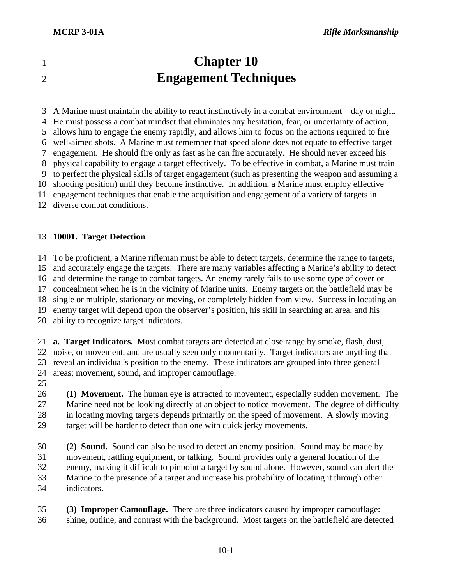# **Chapter 10 Engagement Techniques**

- 
- 

 A Marine must maintain the ability to react instinctively in a combat environment—day or night. He must possess a combat mindset that eliminates any hesitation, fear, or uncertainty of action, allows him to engage the enemy rapidly, and allows him to focus on the actions required to fire well-aimed shots. A Marine must remember that speed alone does not equate to effective target engagement. He should fire only as fast as he can fire accurately. He should never exceed his physical capability to engage a target effectively. To be effective in combat, a Marine must train to perfect the physical skills of target engagement (such as presenting the weapon and assuming a shooting position) until they become instinctive. In addition, a Marine must employ effective engagement techniques that enable the acquisition and engagement of a variety of targets in diverse combat conditions.

# **10001. Target Detection**

To be proficient, a Marine rifleman must be able to detect targets, determine the range to targets,

and accurately engage the targets. There are many variables affecting a Marine's ability to detect

and determine the range to combat targets. An enemy rarely fails to use some type of cover or

concealment when he is in the vicinity of Marine units. Enemy targets on the battlefield may be

single or multiple, stationary or moving, or completely hidden from view. Success in locating an

enemy target will depend upon the observer's position, his skill in searching an area, and his

ability to recognize target indicators.

 **a. Target Indicators.** Most combat targets are detected at close range by smoke, flash, dust, noise, or movement, and are usually seen only momentarily. Target indicators are anything that reveal an individual's position to the enemy. These indicators are grouped into three general areas; movement, sound, and improper camouflage.

 **(1) Movement.** The human eye is attracted to movement, especially sudden movement. The Marine need not be looking directly at an object to notice movement. The degree of difficulty in locating moving targets depends primarily on the speed of movement. A slowly moving target will be harder to detect than one with quick jerky movements.

 **(2) Sound.** Sound can also be used to detect an enemy position. Sound may be made by movement, rattling equipment, or talking. Sound provides only a general location of the enemy, making it difficult to pinpoint a target by sound alone. However, sound can alert the Marine to the presence of a target and increase his probability of locating it through other indicators.

 **(3) Improper Camouflage.** There are three indicators caused by improper camouflage: shine, outline, and contrast with the background. Most targets on the battlefield are detected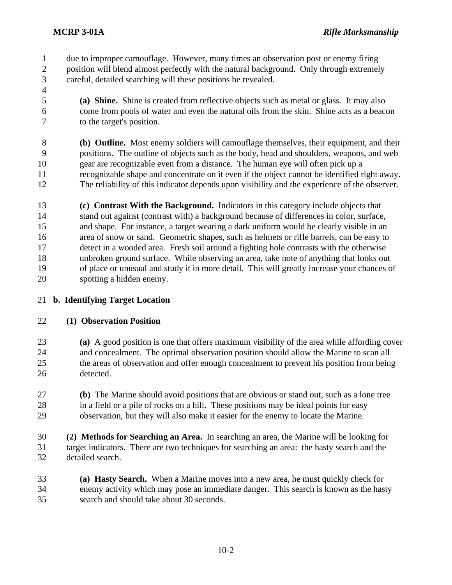1 2 3 due to improper camouflage. However, many times an observation post or enemy firing position will blend almost perfectly with the natural background. Only through extremely careful, detailed searching will these positions be revealed.

4 5

6 7 **(a) Shine.** Shine is created from reflective objects such as metal or glass. It may also come from pools of water and even the natural oils from the skin. Shine acts as a beacon to the target's position.

8 9 10 11 12 **(b) Outline.** Most enemy soldiers will camouflage themselves, their equipment, and their positions. The outline of objects such as the body, head and shoulders, weapons, and web gear are recognizable even from a distance. The human eye will often pick up a recognizable shape and concentrate on it even if the object cannot be identified right away. The reliability of this indicator depends upon visibility and the experience of the observer.

13 14 15 16 17 18 19 20 **(c) Contrast With the Background.** Indicators in this category include objects that stand out against (contrast with) a background because of differences in color, surface, and shape. For instance, a target wearing a dark uniform would be clearly visible in an area of snow or sand. Geometric shapes, such as helmets or rifle barrels, can be easy to detect in a wooded area. Fresh soil around a fighting hole contrasts with the otherwise unbroken ground surface. While observing an area, take note of anything that looks out of place or unusual and study it in more detail. This will greatly increase your chances of spotting a hidden enemy.

#### 21 **b. Identifying Target Location**

#### 22 **(1) Observation Position**

23 24 25 26 **(a)** A good position is one that offers maximum visibility of the area while affording cover and concealment. The optimal observation position should allow the Marine to scan all the areas of observation and offer enough concealment to prevent his position from being detected.

27 28 29 **(b)** The Marine should avoid positions that are obvious or stand out, such as a lone tree in a field or a pile of rocks on a hill. These positions may be ideal points for easy observation, but they will also make it easier for the enemy to locate the Marine.

30 31 32 **(2) Methods for Searching an Area.** In searching an area, the Marine will be looking for target indicators. There are two techniques for searching an area: the hasty search and the detailed search.

33 34 35 **(a) Hasty Search.** When a Marine moves into a new area, he must quickly check for enemy activity which may pose an immediate danger. This search is known as the hasty search and should take about 30 seconds.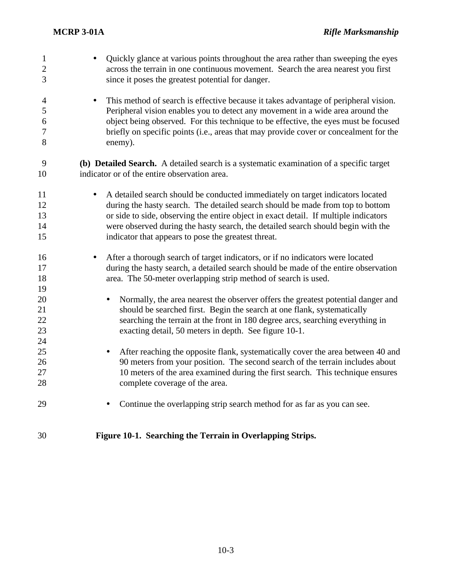1 2 3 4 5 6 7 8 9 10 11 12 13 14 15 16 17 18 19 20 21 22 23 24 25 26 27 28 29 30 ü Quickly glance at various points throughout the area rather than sweeping the eyes across the terrain in one continuous movement. Search the area nearest you first since it poses the greatest potential for danger. ü This method of search is effective because it takes advantage of peripheral vision. Peripheral vision enables you to detect any movement in a wide area around the object being observed. For this technique to be effective, the eyes must be focused briefly on specific points (i.e., areas that may provide cover or concealment for the enemy). **(b) Detailed Search.** A detailed search is a systematic examination of a specific target indicator or of the entire observation area. • A detailed search should be conducted immediately on target indicators located during the hasty search. The detailed search should be made from top to bottom or side to side, observing the entire object in exact detail. If multiple indicators were observed during the hasty search, the detailed search should begin with the indicator that appears to pose the greatest threat. ü After a thorough search of target indicators, or if no indicators were located during the hasty search, a detailed search should be made of the entire observation area. The 50-meter overlapping strip method of search is used. ü Normally, the area nearest the observer offers the greatest potential danger and should be searched first. Begin the search at one flank, systematically searching the terrain at the front in 180 degree arcs, searching everything in exacting detail, 50 meters in depth. See figure 10-1. • After reaching the opposite flank, systematically cover the area between 40 and 90 meters from your position. The second search of the terrain includes about 10 meters of the area examined during the first search. This technique ensures complete coverage of the area. • Continue the overlapping strip search method for as far as you can see. **Figure 10-1. Searching the Terrain in Overlapping Strips.**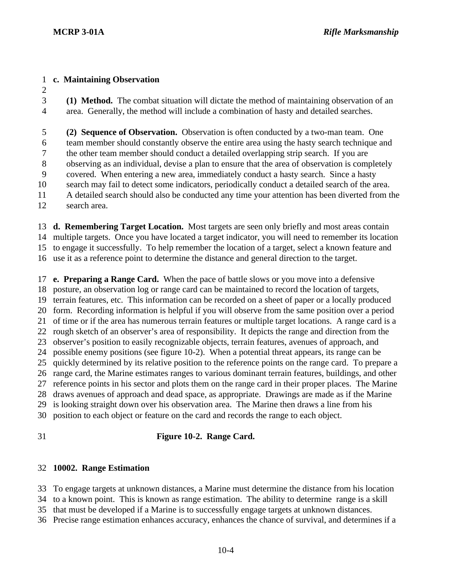# **c. Maintaining Observation**

 **(1) Method.** The combat situation will dictate the method of maintaining observation of an area. Generally, the method will include a combination of hasty and detailed searches.

 **(2) Sequence of Observation.** Observation is often conducted by a two-man team. One team member should constantly observe the entire area using the hasty search technique and the other team member should conduct a detailed overlapping strip search. If you are observing as an individual, devise a plan to ensure that the area of observation is completely covered. When entering a new area, immediately conduct a hasty search. Since a hasty search may fail to detect some indicators, periodically conduct a detailed search of the area. A detailed search should also be conducted any time your attention has been diverted from the search area.

 **d. Remembering Target Location.** Most targets are seen only briefly and most areas contain multiple targets. Once you have located a target indicator, you will need to remember its location to engage it successfully. To help remember the location of a target, select a known feature and use it as a reference point to determine the distance and general direction to the target.

 **e. Preparing a Range Card.** When the pace of battle slows or you move into a defensive posture, an observation log or range card can be maintained to record the location of targets, terrain features, etc. This information can be recorded on a sheet of paper or a locally produced form. Recording information is helpful if you will observe from the same position over a period of time or if the area has numerous terrain features or multiple target locations. A range card is a rough sketch of an observer's area of responsibility. It depicts the range and direction from the observer's position to easily recognizable objects, terrain features, avenues of approach, and possible enemy positions (see figure 10-2). When a potential threat appears, its range can be quickly determined by its relative position to the reference points on the range card. To prepare a range card, the Marine estimates ranges to various dominant terrain features, buildings, and other reference points in his sector and plots them on the range card in their proper places. The Marine draws avenues of approach and dead space, as appropriate. Drawings are made as if the Marine is looking straight down over his observation area. The Marine then draws a line from his position to each object or feature on the card and records the range to each object.

#### **Figure 10-2. Range Card.**

# **10002. Range Estimation**

To engage targets at unknown distances, a Marine must determine the distance from his location

- to a known point. This is known as range estimation. The ability to determine range is a skill
- that must be developed if a Marine is to successfully engage targets at unknown distances.
- Precise range estimation enhances accuracy, enhances the chance of survival, and determines if a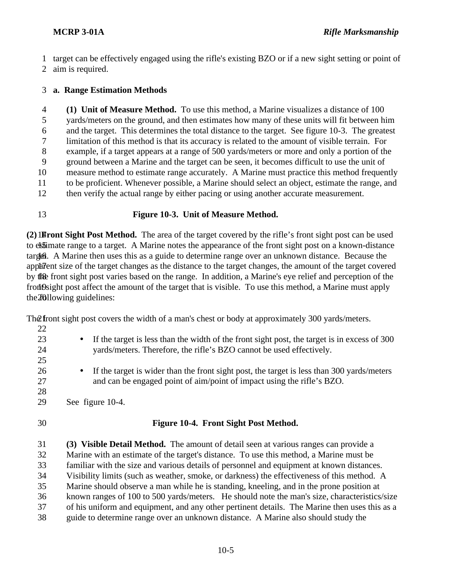1 target can be effectively engaged using the rifle's existing BZO or if a new sight setting or point of

2 aim is required.

# 3 **a. Range Estimation Methods**

4 5 6 7 8 9 10 11 12 **(1) Unit of Measure Method.** To use this method, a Marine visualizes a distance of 100 yards/meters on the ground, and then estimates how many of these units will fit between him and the target. This determines the total distance to the target. See figure 10-3. The greatest limitation of this method is that its accuracy is related to the amount of visible terrain. For example, if a target appears at a range of 500 yards/meters or more and only a portion of the ground between a Marine and the target can be seen, it becomes difficult to use the unit of measure method to estimate range accurately. A Marine must practice this method frequently to be proficient. Whenever possible, a Marine should select an object, estimate the range, and then verify the actual range by either pacing or using another accurate measurement.

#### 13 **Figure 10-3. Unit of Measure Method.**

(2) IF ront Sight Post Method. The area of the target covered by the rifle's front sight post can be used to ekfimate range to a target. A Marine notes the appearance of the front sight post on a known-distance target. A Marine then uses this as a guide to determine range over an unknown distance. Because the apparent size of the target changes as the distance to the target changes, the amount of the target covered by the front sight post varies based on the range. In addition, a Marine's eye relief and perception of the front Desight post affect the amount of the target that is visible. To use this method, a Marine must apply the 200 llowing guidelines:

The front sight post covers the width of a man's chest or body at approximately 300 yards/meters.

| 22<br>23<br>24<br>25<br>26<br>27<br>28 | If the target is less than the width of the front sight post, the target is in excess of 300<br>$\bullet$<br>yards/meters. Therefore, the rifle's BZO cannot be used effectively.<br>If the target is wider than the front sight post, the target is less than 300 yards/meters<br>$\bullet$<br>and can be engaged point of aim/point of impact using the rifle's BZO. |
|----------------------------------------|------------------------------------------------------------------------------------------------------------------------------------------------------------------------------------------------------------------------------------------------------------------------------------------------------------------------------------------------------------------------|
| 29                                     | See figure 10-4.                                                                                                                                                                                                                                                                                                                                                       |
| 30                                     | Figure 10-4. Front Sight Post Method.                                                                                                                                                                                                                                                                                                                                  |
| 31                                     | (3) Visible Detail Method. The amount of detail seen at various ranges can provide a                                                                                                                                                                                                                                                                                   |
| 32                                     | Marine with an estimate of the target's distance. To use this method, a Marine must be                                                                                                                                                                                                                                                                                 |
| 33                                     | familiar with the size and various details of personnel and equipment at known distances.                                                                                                                                                                                                                                                                              |
| 34                                     | Visibility limits (such as weather, smoke, or darkness) the effectiveness of this method. A                                                                                                                                                                                                                                                                            |
| 35                                     | Marine should observe a man while he is standing, kneeling, and in the prone position at                                                                                                                                                                                                                                                                               |
| 36                                     | known ranges of 100 to 500 yards/meters. He should note the man's size, characteristics/size                                                                                                                                                                                                                                                                           |
| 37                                     | of his uniform and equipment, and any other pertinent details. The Marine then uses this as a                                                                                                                                                                                                                                                                          |
| 38                                     | guide to determine range over an unknown distance. A Marine also should study the                                                                                                                                                                                                                                                                                      |
|                                        |                                                                                                                                                                                                                                                                                                                                                                        |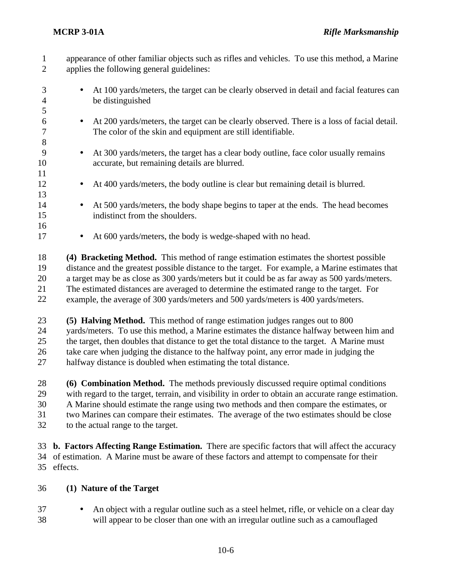| $\mathbf{1}$<br>2 | appearance of other familiar objects such as rifles and vehicles. To use this method, a Marine<br>applies the following general guidelines: |  |  |
|-------------------|---------------------------------------------------------------------------------------------------------------------------------------------|--|--|
| 3                 | At 100 yards/meters, the target can be clearly observed in detail and facial features can                                                   |  |  |
| $\overline{4}$    | be distinguished                                                                                                                            |  |  |
| 5                 |                                                                                                                                             |  |  |
| 6                 | At 200 yards/meters, the target can be clearly observed. There is a loss of facial detail.<br>$\bullet$                                     |  |  |
| 7                 | The color of the skin and equipment are still identifiable.                                                                                 |  |  |
| 8                 |                                                                                                                                             |  |  |
| 9                 | At 300 yards/meters, the target has a clear body outline, face color usually remains<br>$\bullet$                                           |  |  |
| 10                | accurate, but remaining details are blurred.                                                                                                |  |  |
| 11                |                                                                                                                                             |  |  |
| 12                | At 400 yards/meters, the body outline is clear but remaining detail is blurred.                                                             |  |  |
| 13                |                                                                                                                                             |  |  |
| 14                | At 500 yards/meters, the body shape begins to taper at the ends. The head becomes<br>$\bullet$                                              |  |  |
| 15                | indistinct from the shoulders.                                                                                                              |  |  |
| 16                |                                                                                                                                             |  |  |
| 17                | At 600 yards/meters, the body is wedge-shaped with no head.<br>$\bullet$                                                                    |  |  |
| 18                | (4) Bracketing Method. This method of range estimation estimates the shortest possible                                                      |  |  |
| 19                | distance and the greatest possible distance to the target. For example, a Marine estimates that                                             |  |  |
| 20                | a target may be as close as 300 yards/meters but it could be as far away as 500 yards/meters.                                               |  |  |
|                   |                                                                                                                                             |  |  |

21 22 The estimated distances are averaged to determine the estimated range to the target. For example, the average of 300 yards/meters and 500 yards/meters is 400 yards/meters.

23 24 25 26 27 **(5) Halving Method.** This method of range estimation judges ranges out to 800 yards/meters. To use this method, a Marine estimates the distance halfway between him and the target, then doubles that distance to get the total distance to the target. A Marine must take care when judging the distance to the halfway point, any error made in judging the halfway distance is doubled when estimating the total distance.

28 29 30 31 32 **(6) Combination Method.** The methods previously discussed require optimal conditions with regard to the target, terrain, and visibility in order to obtain an accurate range estimation. A Marine should estimate the range using two methods and then compare the estimates, or two Marines can compare their estimates. The average of the two estimates should be close to the actual range to the target.

33 **b. Factors Affecting Range Estimation.** There are specific factors that will affect the accuracy 34 of estimation. A Marine must be aware of these factors and attempt to compensate for their 35 effects.

#### 36 **(1) Nature of the Target**

37 38 • An object with a regular outline such as a steel helmet, rifle, or vehicle on a clear day will appear to be closer than one with an irregular outline such as a camouflaged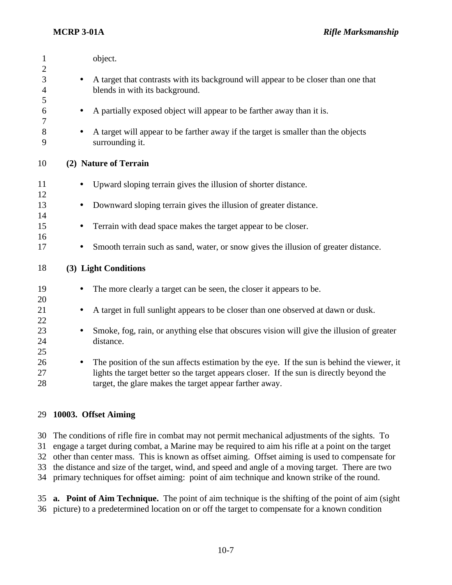| 1                           |                                                                               | object.                                                                                                                                                                                                                                           |
|-----------------------------|-------------------------------------------------------------------------------|---------------------------------------------------------------------------------------------------------------------------------------------------------------------------------------------------------------------------------------------------|
| $\mathbf{2}$<br>3<br>4<br>5 |                                                                               | A target that contrasts with its background will appear to be closer than one that<br>blends in with its background.                                                                                                                              |
| 6<br>7                      | $\bullet$                                                                     | A partially exposed object will appear to be farther away than it is.                                                                                                                                                                             |
| 8<br>9                      |                                                                               | A target will appear to be farther away if the target is smaller than the objects<br>surrounding it.                                                                                                                                              |
| 10                          |                                                                               | (2) Nature of Terrain                                                                                                                                                                                                                             |
| 11<br>12                    |                                                                               | Upward sloping terrain gives the illusion of shorter distance.                                                                                                                                                                                    |
| 13<br>14                    | Downward sloping terrain gives the illusion of greater distance.<br>$\bullet$ |                                                                                                                                                                                                                                                   |
| 15<br>16                    |                                                                               | Terrain with dead space makes the target appear to be closer.                                                                                                                                                                                     |
| 17                          | $\bullet$                                                                     | Smooth terrain such as sand, water, or snow gives the illusion of greater distance.                                                                                                                                                               |
| 18                          |                                                                               | (3) Light Conditions                                                                                                                                                                                                                              |
| 19<br>20                    |                                                                               | The more clearly a target can be seen, the closer it appears to be.                                                                                                                                                                               |
| 21<br>22                    | ٠                                                                             | A target in full sunlight appears to be closer than one observed at dawn or dusk.                                                                                                                                                                 |
| 23<br>24<br>25              |                                                                               | Smoke, fog, rain, or anything else that obscures vision will give the illusion of greater<br>distance.                                                                                                                                            |
| 26<br>27<br>28              |                                                                               | The position of the sun affects estimation by the eye. If the sun is behind the viewer, it<br>lights the target better so the target appears closer. If the sun is directly beyond the<br>target, the glare makes the target appear farther away. |
|                             |                                                                               |                                                                                                                                                                                                                                                   |

# **10003. Offset Aiming**

 The conditions of rifle fire in combat may not permit mechanical adjustments of the sights. To engage a target during combat, a Marine may be required to aim his rifle at a point on the target other than center mass. This is known as offset aiming. Offset aiming is used to compensate for the distance and size of the target, wind, and speed and angle of a moving target. There are two primary techniques for offset aiming: point of aim technique and known strike of the round.

 **a. Point of Aim Technique.** The point of aim technique is the shifting of the point of aim (sight picture) to a predetermined location on or off the target to compensate for a known condition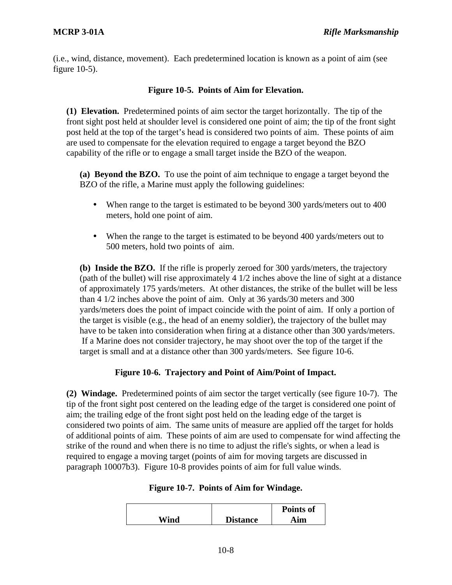(i.e., wind, distance, movement). Each predetermined location is known as a point of aim (see figure 10-5).

### **Figure 10-5. Points of Aim for Elevation.**

**(1) Elevation.** Predetermined points of aim sector the target horizontally. The tip of the front sight post held at shoulder level is considered one point of aim; the tip of the front sight post held at the top of the target's head is considered two points of aim. These points of aim are used to compensate for the elevation required to engage a target beyond the BZO capability of the rifle or to engage a small target inside the BZO of the weapon.

**(a) Beyond the BZO.** To use the point of aim technique to engage a target beyond the BZO of the rifle, a Marine must apply the following guidelines:

- When range to the target is estimated to be beyond 300 yards/meters out to 400 meters, hold one point of aim.
- ü When the range to the target is estimated to be beyond 400 yards/meters out to 500 meters, hold two points of aim.

**(b) Inside the BZO.** If the rifle is properly zeroed for 300 yards/meters, the trajectory (path of the bullet) will rise approximately 4 1/2 inches above the line of sight at a distance of approximately 175 yards/meters. At other distances, the strike of the bullet will be less than 4 1/2 inches above the point of aim. Only at 36 yards/30 meters and 300 yards/meters does the point of impact coincide with the point of aim. If only a portion of the target is visible (e.g., the head of an enemy soldier), the trajectory of the bullet may have to be taken into consideration when firing at a distance other than 300 yards/meters. If a Marine does not consider trajectory, he may shoot over the top of the target if the target is small and at a distance other than 300 yards/meters. See figure 10-6.

# **Figure 10-6. Trajectory and Point of Aim/Point of Impact.**

**(2) Windage.** Predetermined points of aim sector the target vertically (see figure 10-7). The tip of the front sight post centered on the leading edge of the target is considered one point of aim; the trailing edge of the front sight post held on the leading edge of the target is considered two points of aim. The same units of measure are applied off the target for holds of additional points of aim. These points of aim are used to compensate for wind affecting the strike of the round and when there is no time to adjust the rifle's sights, or when a lead is required to engage a moving target (points of aim for moving targets are discussed in paragraph 10007b3). Figure 10-8 provides points of aim for full value winds.

**Figure 10-7. Points of Aim for Windage.**

|      |                 | <b>Points of</b> |
|------|-----------------|------------------|
| Wind | <b>Distance</b> | Aim              |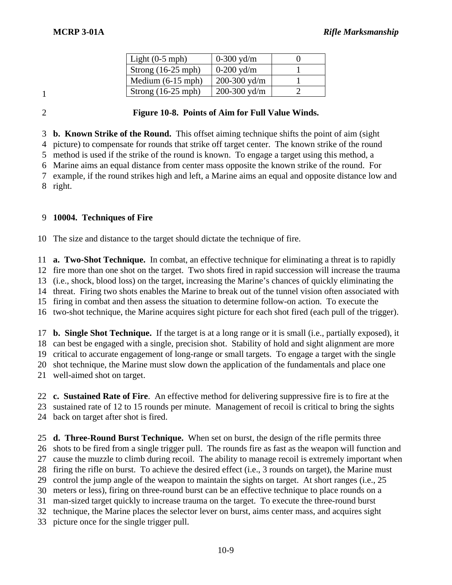| Light $(0-5$ mph)            | $0-300$ yd/m     |  |
|------------------------------|------------------|--|
| Strong $(16-25 \text{ mph})$ | $0-200$ yd/m     |  |
| Medium $(6-15$ mph)          | $200 - 300$ yd/m |  |
| Strong $(16-25 \text{ mph})$ | $200 - 300$ yd/m |  |

# 

#### **Figure 10-8. Points of Aim for Full Value Winds.**

**b. Known Strike of the Round.** This offset aiming technique shifts the point of aim (sight

picture) to compensate for rounds that strike off target center. The known strike of the round

method is used if the strike of the round is known. To engage a target using this method, a

Marine aims an equal distance from center mass opposite the known strike of the round. For

example, if the round strikes high and left, a Marine aims an equal and opposite distance low and

right.

# **10004. Techniques of Fire**

The size and distance to the target should dictate the technique of fire.

**a. Two-Shot Technique.** In combat, an effective technique for eliminating a threat is to rapidly

fire more than one shot on the target. Two shots fired in rapid succession will increase the trauma

(i.e., shock, blood loss) on the target, increasing the Marine's chances of quickly eliminating the

threat. Firing two shots enables the Marine to break out of the tunnel vision often associated with

firing in combat and then assess the situation to determine follow-on action. To execute the

two-shot technique, the Marine acquires sight picture for each shot fired (each pull of the trigger).

 **b. Single Shot Technique.** If the target is at a long range or it is small (i.e., partially exposed), it can best be engaged with a single, precision shot. Stability of hold and sight alignment are more critical to accurate engagement of long-range or small targets. To engage a target with the single shot technique, the Marine must slow down the application of the fundamentals and place one

well-aimed shot on target.

**c. Sustained Rate of Fire**. An effective method for delivering suppressive fire is to fire at the

 sustained rate of 12 to 15 rounds per minute. Management of recoil is critical to bring the sights back on target after shot is fired.

 **d. Three-Round Burst Technique.** When set on burst, the design of the rifle permits three shots to be fired from a single trigger pull. The rounds fire as fast as the weapon will function and cause the muzzle to climb during recoil. The ability to manage recoil is extremely important when firing the rifle on burst. To achieve the desired effect (i.e., 3 rounds on target), the Marine must control the jump angle of the weapon to maintain the sights on target. At short ranges (i.e., 25 meters or less), firing on three-round burst can be an effective technique to place rounds on a man-sized target quickly to increase trauma on the target. To execute the three-round burst

technique, the Marine places the selector lever on burst, aims center mass, and acquires sight

picture once for the single trigger pull.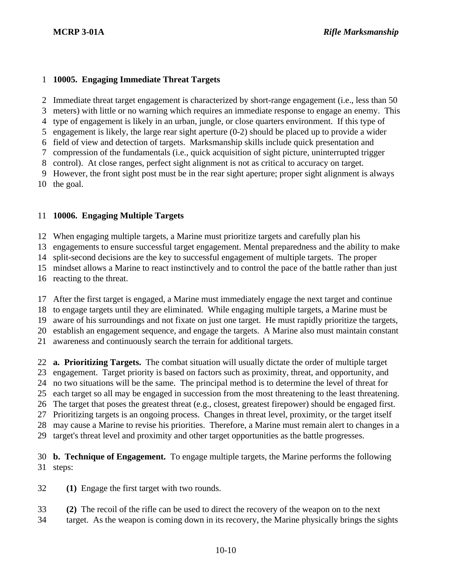#### **10005. Engaging Immediate Threat Targets**

Immediate threat target engagement is characterized by short-range engagement (i.e., less than 50

meters) with little or no warning which requires an immediate response to engage an enemy. This

type of engagement is likely in an urban, jungle, or close quarters environment. If this type of

engagement is likely, the large rear sight aperture (0-2) should be placed up to provide a wider

field of view and detection of targets. Marksmanship skills include quick presentation and

compression of the fundamentals (i.e., quick acquisition of sight picture, uninterrupted trigger

control). At close ranges, perfect sight alignment is not as critical to accuracy on target.

However, the front sight post must be in the rear sight aperture; proper sight alignment is always

the goal.

#### **10006. Engaging Multiple Targets**

When engaging multiple targets, a Marine must prioritize targets and carefully plan his

engagements to ensure successful target engagement. Mental preparedness and the ability to make

split-second decisions are the key to successful engagement of multiple targets. The proper

mindset allows a Marine to react instinctively and to control the pace of the battle rather than just

reacting to the threat.

After the first target is engaged, a Marine must immediately engage the next target and continue

to engage targets until they are eliminated. While engaging multiple targets, a Marine must be

aware of his surroundings and not fixate on just one target. He must rapidly prioritize the targets,

establish an engagement sequence, and engage the targets. A Marine also must maintain constant

awareness and continuously search the terrain for additional targets.

**a. Prioritizing Targets.** The combat situation will usually dictate the order of multiple target

engagement. Target priority is based on factors such as proximity, threat, and opportunity, and

no two situations will be the same. The principal method is to determine the level of threat for

each target so all may be engaged in succession from the most threatening to the least threatening.

The target that poses the greatest threat (e.g., closest, greatest firepower) should be engaged first.

Prioritizing targets is an ongoing process. Changes in threat level, proximity, or the target itself

may cause a Marine to revise his priorities. Therefore, a Marine must remain alert to changes in a

target's threat level and proximity and other target opportunities as the battle progresses.

 **b. Technique of Engagement.** To engage multiple targets, the Marine performs the following steps:

 **(1)** Engage the first target with two rounds.

 **(2)** The recoil of the rifle can be used to direct the recovery of the weapon on to the next

 target. As the weapon is coming down in its recovery, the Marine physically brings the sights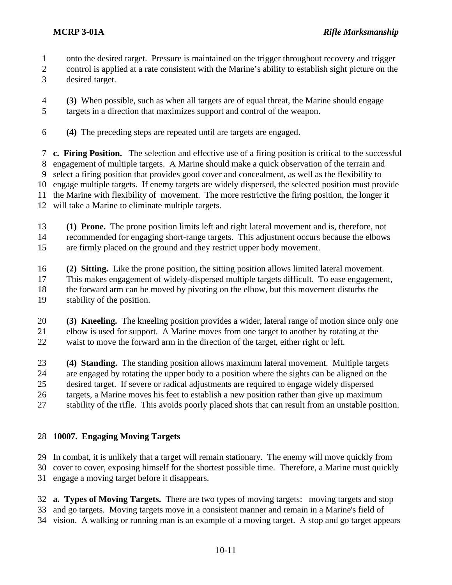1 onto the desired target. Pressure is maintained on the trigger throughout recovery and trigger

- 2 control is applied at a rate consistent with the Marine's ability to establish sight picture on the
- 3 desired target.
- 4 5 **(3)** When possible, such as when all targets are of equal threat, the Marine should engage targets in a direction that maximizes support and control of the weapon.
- 6 **(4)** The preceding steps are repeated until are targets are engaged.

 **c. Firing Position.** The selection and effective use of a firing position is critical to the successful engagement of multiple targets. A Marine should make a quick observation of the terrain and select a firing position that provides good cover and concealment, as well as the flexibility to engage multiple targets. If enemy targets are widely dispersed, the selected position must provide the Marine with flexibility of movement. The more restrictive the firing position, the longer it will take a Marine to eliminate multiple targets.

13 14 15 **(1) Prone.** The prone position limits left and right lateral movement and is, therefore, not recommended for engaging short-range targets. This adjustment occurs because the elbows are firmly placed on the ground and they restrict upper body movement.

16 **(2) Sitting.** Like the prone position, the sitting position allows limited lateral movement.

- 17 This makes engagement of widely-dispersed multiple targets difficult. To ease engagement,
- 18 19 the forward arm can be moved by pivoting on the elbow, but this movement disturbs the stability of the position.
- 20 21 22 **(3) Kneeling.** The kneeling position provides a wider, lateral range of motion since only one elbow is used for support. A Marine moves from one target to another by rotating at the waist to move the forward arm in the direction of the target, either right or left.

23 **(4) Standing.** The standing position allows maximum lateral movement. Multiple targets

24 are engaged by rotating the upper body to a position where the sights can be aligned on the

25 desired target. If severe or radical adjustments are required to engage widely dispersed

26 targets, a Marine moves his feet to establish a new position rather than give up maximum

27 stability of the rifle. This avoids poorly placed shots that can result from an unstable position.

### 28 **10007. Engaging Moving Targets**

29 In combat, it is unlikely that a target will remain stationary. The enemy will move quickly from

30 cover to cover, exposing himself for the shortest possible time. Therefore, a Marine must quickly

31 engage a moving target before it disappears.

32 **a. Types of Moving Targets.** There are two types of moving targets: moving targets and stop 33 and go targets. Moving targets move in a consistent manner and remain in a Marine's field of

34 vision. A walking or running man is an example of a moving target. A stop and go target appears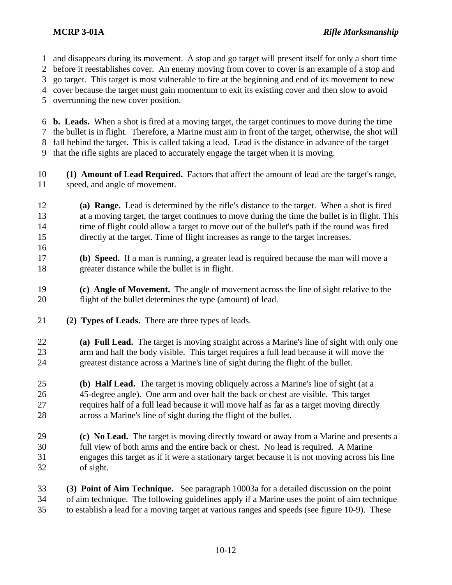1 and disappears during its movement. A stop and go target will present itself for only a short time

2 before it reestablishes cover. An enemy moving from cover to cover is an example of a stop and

3 go target. This target is most vulnerable to fire at the beginning and end of its movement to new

4 cover because the target must gain momentum to exit its existing cover and then slow to avoid

5 overrunning the new cover position.

6 **b. Leads.** When a shot is fired at a moving target, the target continues to move during the time 7 the bullet is in flight. Therefore, a Marine must aim in front of the target, otherwise, the shot will 8 fall behind the target. This is called taking a lead. Lead is the distance in advance of the target 9 that the rifle sights are placed to accurately engage the target when it is moving.

10 11 **(1) Amount of Lead Required.** Factors that affect the amount of lead are the target's range, speed, and angle of movement.

- 12 13 14 15 **(a) Range.** Lead is determined by the rifle's distance to the target. When a shot is fired at a moving target, the target continues to move during the time the bullet is in flight. This time of flight could allow a target to move out of the bullet's path if the round was fired directly at the target. Time of flight increases as range to the target increases.
- 16 17 18 **(b) Speed.** If a man is running, a greater lead is required because the man will move a greater distance while the bullet is in flight.
- 19 20 **(c) Angle of Movement.** The angle of movement across the line of sight relative to the flight of the bullet determines the type (amount) of lead.
- 21 **(2) Types of Leads.** There are three types of leads.
- 22 23 24 **(a) Full Lead.** The target is moving straight across a Marine's line of sight with only one arm and half the body visible. This target requires a full lead because it will move the greatest distance across a Marine's line of sight during the flight of the bullet.
- 25 26 27 28 **(b) Half Lead.** The target is moving obliquely across a Marine's line of sight (at a 45-degree angle). One arm and over half the back or chest are visible. This target requires half of a full lead because it will move half as far as a target moving directly across a Marine's line of sight during the flight of the bullet.
- 29 30 31 32 **(c) No Lead.** The target is moving directly toward or away from a Marine and presents a full view of both arms and the entire back or chest. No lead is required. A Marine engages this target as if it were a stationary target because it is not moving across his line of sight.

33 34 35 **(3) Point of Aim Technique.** See paragraph 10003a for a detailed discussion on the point of aim technique. The following guidelines apply if a Marine uses the point of aim technique to establish a lead for a moving target at various ranges and speeds (see figure 10-9). These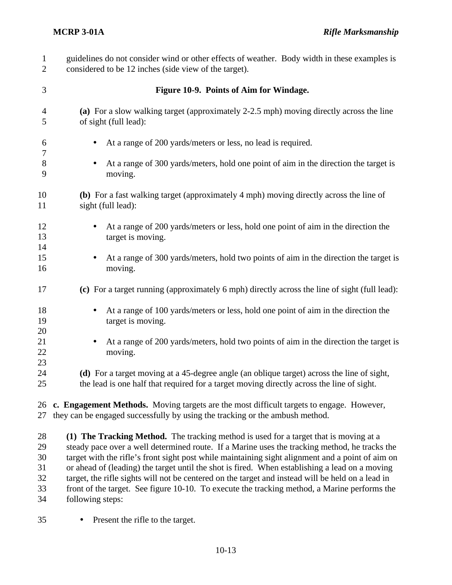| 1              | guidelines do not consider wind or other effects of weather. Body width in these examples is            |  |  |  |
|----------------|---------------------------------------------------------------------------------------------------------|--|--|--|
| $\overline{2}$ | considered to be 12 inches (side view of the target).                                                   |  |  |  |
| 3              | Figure 10-9. Points of Aim for Windage.                                                                 |  |  |  |
| $\overline{4}$ | (a) For a slow walking target (approximately 2-2.5 mph) moving directly across the line                 |  |  |  |
| 5              | of sight (full lead):                                                                                   |  |  |  |
| 6              | At a range of 200 yards/meters or less, no lead is required.                                            |  |  |  |
| 7              | $\bullet$                                                                                               |  |  |  |
| 8              | At a range of 300 yards/meters, hold one point of aim in the direction the target is                    |  |  |  |
| 9              | moving.                                                                                                 |  |  |  |
| 10             | (b) For a fast walking target (approximately 4 mph) moving directly across the line of                  |  |  |  |
| 11             | sight (full lead):                                                                                      |  |  |  |
| 12<br>13<br>14 | At a range of 200 yards/meters or less, hold one point of aim in the direction the<br>target is moving. |  |  |  |
| 15             | At a range of 300 yards/meters, hold two points of aim in the direction the target is                   |  |  |  |
| 16             | moving.                                                                                                 |  |  |  |
| 17             | (c) For a target running (approximately 6 mph) directly across the line of sight (full lead):           |  |  |  |
| 18<br>19<br>20 | At a range of 100 yards/meters or less, hold one point of aim in the direction the<br>target is moving. |  |  |  |
| 21<br>22<br>23 | At a range of 200 yards/meters, hold two points of aim in the direction the target is<br>moving.        |  |  |  |
| 24             | (d) For a target moving at a 45-degree angle (an oblique target) across the line of sight,              |  |  |  |
| 25             | the lead is one half that required for a target moving directly across the line of sight.               |  |  |  |
|                | 26 c. Engagement Methods. Moving targets are the most difficult targets to engage. However,             |  |  |  |

27 they can be engaged successfully by using the tracking or the ambush method.

28 29 30 31 32 33 34 **(1) The Tracking Method.** The tracking method is used for a target that is moving at a steady pace over a well determined route. If a Marine uses the tracking method, he tracks the target with the rifle's front sight post while maintaining sight alignment and a point of aim on or ahead of (leading) the target until the shot is fired. When establishing a lead on a moving target, the rifle sights will not be centered on the target and instead will be held on a lead in front of the target. See figure 10-10. To execute the tracking method, a Marine performs the following steps:

35 • Present the rifle to the target.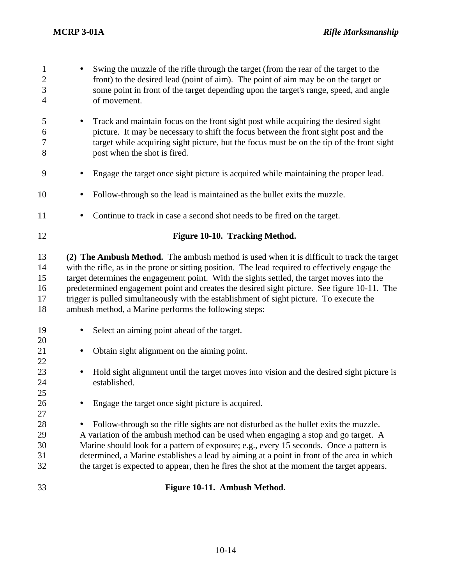| 1<br>$\overline{2}$<br>3<br>4    | Swing the muzzle of the rifle through the target (from the rear of the target to the<br>front) to the desired lead (point of aim). The point of aim may be on the target or<br>some point in front of the target depending upon the target's range, speed, and angle<br>of movement.                                                                                                                                                                                                                                                            |  |  |  |
|----------------------------------|-------------------------------------------------------------------------------------------------------------------------------------------------------------------------------------------------------------------------------------------------------------------------------------------------------------------------------------------------------------------------------------------------------------------------------------------------------------------------------------------------------------------------------------------------|--|--|--|
| 5<br>6<br>7<br>8                 | Track and maintain focus on the front sight post while acquiring the desired sight<br>picture. It may be necessary to shift the focus between the front sight post and the<br>target while acquiring sight picture, but the focus must be on the tip of the front sight<br>post when the shot is fired.                                                                                                                                                                                                                                         |  |  |  |
| 9                                | Engage the target once sight picture is acquired while maintaining the proper lead.                                                                                                                                                                                                                                                                                                                                                                                                                                                             |  |  |  |
| 10                               | Follow-through so the lead is maintained as the bullet exits the muzzle.                                                                                                                                                                                                                                                                                                                                                                                                                                                                        |  |  |  |
| 11                               | Continue to track in case a second shot needs to be fired on the target.                                                                                                                                                                                                                                                                                                                                                                                                                                                                        |  |  |  |
| 12                               | Figure 10-10. Tracking Method.                                                                                                                                                                                                                                                                                                                                                                                                                                                                                                                  |  |  |  |
| 13<br>14<br>15<br>16<br>17<br>18 | (2) The Ambush Method. The ambush method is used when it is difficult to track the target<br>with the rifle, as in the prone or sitting position. The lead required to effectively engage the<br>target determines the engagement point. With the sights settled, the target moves into the<br>predetermined engagement point and creates the desired sight picture. See figure 10-11. The<br>trigger is pulled simultaneously with the establishment of sight picture. To execute the<br>ambush method, a Marine performs the following steps: |  |  |  |
| 19<br>20                         | Select an aiming point ahead of the target.                                                                                                                                                                                                                                                                                                                                                                                                                                                                                                     |  |  |  |
| 21<br>22                         | Obtain sight alignment on the aiming point.<br>٠                                                                                                                                                                                                                                                                                                                                                                                                                                                                                                |  |  |  |
| 23<br>24<br>25                   | Hold sight alignment until the target moves into vision and the desired sight picture is<br>established.                                                                                                                                                                                                                                                                                                                                                                                                                                        |  |  |  |
| 26<br>27                         | Engage the target once sight picture is acquired.                                                                                                                                                                                                                                                                                                                                                                                                                                                                                               |  |  |  |
| 28<br>29                         | Follow-through so the rifle sights are not disturbed as the bullet exits the muzzle.<br>A variation of the ambush method can be used when engaging a stop and go target. A                                                                                                                                                                                                                                                                                                                                                                      |  |  |  |
| 30<br>31                         | Marine should look for a pattern of exposure; e.g., every 15 seconds. Once a pattern is<br>determined, a Marine establishes a lead by aiming at a point in front of the area in which                                                                                                                                                                                                                                                                                                                                                           |  |  |  |
| 32                               | the target is expected to appear, then he fires the shot at the moment the target appears.                                                                                                                                                                                                                                                                                                                                                                                                                                                      |  |  |  |
| 33                               | Figure 10-11. Ambush Method.                                                                                                                                                                                                                                                                                                                                                                                                                                                                                                                    |  |  |  |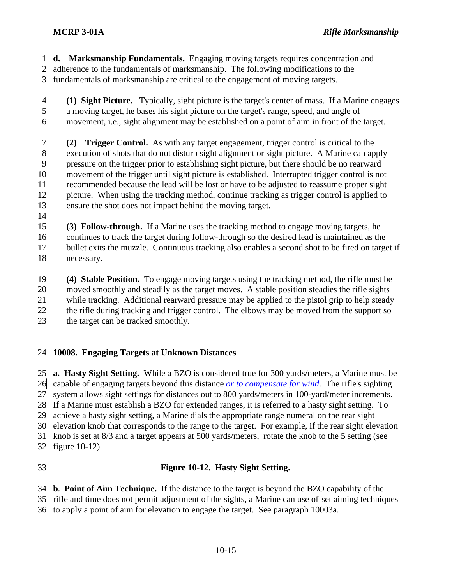**d. Marksmanship Fundamentals.** Engaging moving targets requires concentration and adherence to the fundamentals of marksmanship. The following modifications to the fundamentals of marksmanship are critical to the engagement of moving targets.

 **(1) Sight Picture.** Typically, sight picture is the target's center of mass. If a Marine engages a moving target, he bases his sight picture on the target's range, speed, and angle of movement, i.e., sight alignment may be established on a point of aim in front of the target.

 **(2) Trigger Control.** As with any target engagement, trigger control is critical to the execution of shots that do not disturb sight alignment or sight picture. A Marine can apply pressure on the trigger prior to establishing sight picture, but there should be no rearward movement of the trigger until sight picture is established. Interrupted trigger control is not recommended because the lead will be lost or have to be adjusted to reassume proper sight picture. When using the tracking method, continue tracking as trigger control is applied to ensure the shot does not impact behind the moving target.

 **(3) Follow-through.** If a Marine uses the tracking method to engage moving targets, he continues to track the target during follow-through so the desired lead is maintained as the bullet exits the muzzle. Continuous tracking also enables a second shot to be fired on target if necessary.

 **(4) Stable Position.** To engage moving targets using the tracking method, the rifle must be moved smoothly and steadily as the target moves. A stable position steadies the rifle sights while tracking. Additional rearward pressure may be applied to the pistol grip to help steady the rifle during tracking and trigger control. The elbows may be moved from the support so the target can be tracked smoothly.

## **10008. Engaging Targets at Unknown Distances**

 **a. Hasty Sight Setting.** While a BZO is considered true for 300 yards/meters, a Marine must be capable of engaging targets beyond this distance *or to compensate for wind*. The rifle's sighting system allows sight settings for distances out to 800 yards/meters in 100-yard/meter increments. If a Marine must establish a BZO for extended ranges, it is referred to a hasty sight setting. To achieve a hasty sight setting, a Marine dials the appropriate range numeral on the rear sight elevation knob that corresponds to the range to the target. For example, if the rear sight elevation knob is set at 8/3 and a target appears at 500 yards/meters, rotate the knob to the 5 setting (see

figure 10-12).

## **Figure 10-12. Hasty Sight Setting.**

**b. Point of Aim Technique.** If the distance to the target is beyond the BZO capability of the

 rifle and time does not permit adjustment of the sights, a Marine can use offset aiming techniques to apply a point of aim for elevation to engage the target. See paragraph 10003a.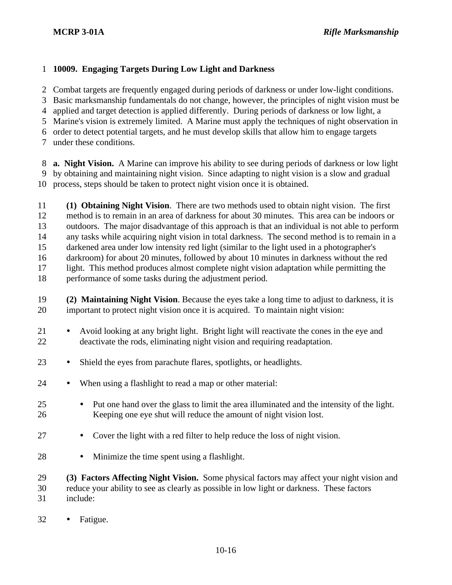### 1 **10009. Engaging Targets During Low Light and Darkness**

2 Combat targets are frequently engaged during periods of darkness or under low-light conditions. 3 Basic marksmanship fundamentals do not change, however, the principles of night vision must be

4 applied and target detection is applied differently. During periods of darkness or low light, a

5 Marine's vision is extremely limited. A Marine must apply the techniques of night observation in

6 order to detect potential targets, and he must develop skills that allow him to engage targets

7 under these conditions.

8 **a. Night Vision.** A Marine can improve his ability to see during periods of darkness or low light 9 by obtaining and maintaining night vision. Since adapting to night vision is a slow and gradual 10 process, steps should be taken to protect night vision once it is obtained.

11 12 13 14 15 16 17 18 **(1) Obtaining Night Vision**. There are two methods used to obtain night vision. The first method is to remain in an area of darkness for about 30 minutes. This area can be indoors or outdoors. The major disadvantage of this approach is that an individual is not able to perform any tasks while acquiring night vision in total darkness. The second method is to remain in a darkened area under low intensity red light (similar to the light used in a photographer's darkroom) for about 20 minutes, followed by about 10 minutes in darkness without the red light. This method produces almost complete night vision adaptation while permitting the performance of some tasks during the adjustment period.

19 20 **(2) Maintaining Night Vision**. Because the eyes take a long time to adjust to darkness, it is important to protect night vision once it is acquired. To maintain night vision:

- 21 22 ü Avoid looking at any bright light. Bright light will reactivate the cones in the eye and deactivate the rods, eliminating night vision and requiring readaptation.
- 23 • Shield the eyes from parachute flares, spotlights, or headlights.
- 24 • When using a flashlight to read a map or other material:
- 25 26 ü Put one hand over the glass to limit the area illuminated and the intensity of the light. Keeping one eye shut will reduce the amount of night vision lost.
- 27 • Cover the light with a red filter to help reduce the loss of night vision.
- 28 • Minimize the time spent using a flashlight.

29 30 31 **(3) Factors Affecting Night Vision.** Some physical factors may affect your night vision and reduce your ability to see as clearly as possible in low light or darkness. These factors include:

32 • Fatigue.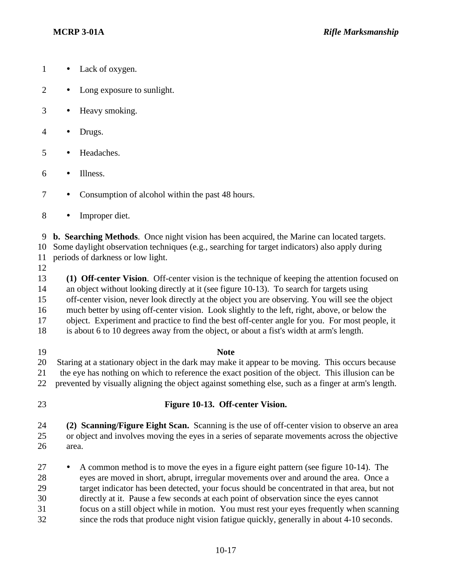- 1 • Lack of oxygen.
- 2 Long exposure to sunlight.
- 3 Heavy smoking.
- 4 • Drugs.
- 5 • Headaches.
- 6 • Illness.
- 7 • Consumption of alcohol within the past 48 hours.
- 8 • Improper diet.

9 10 11 **b. Searching Methods**. Once night vision has been acquired, the Marine can located targets. Some daylight observation techniques (e.g., searching for target indicators) also apply during periods of darkness or low light.

12

13 14 15 16 17 18 **(1) Off-center Vision**. Off-center vision is the technique of keeping the attention focused on an object without looking directly at it (see figure 10-13). To search for targets using off-center vision, never look directly at the object you are observing. You will see the object much better by using off-center vision. Look slightly to the left, right, above, or below the object. Experiment and practice to find the best off-center angle for you. For most people, it is about 6 to 10 degrees away from the object, or about a fist's width at arm's length.

- 19 20 21 22 23 24 25 26 27 28 29 30 31 **Note** Staring at a stationary object in the dark may make it appear to be moving. This occurs because the eye has nothing on which to reference the exact position of the object. This illusion can be prevented by visually aligning the object against something else, such as a finger at arm's length. **Figure 10-13. Off-center Vision. (2) Scanning/Figure Eight Scan.** Scanning is the use of off-center vision to observe an area or object and involves moving the eyes in a series of separate movements across the objective area. • A common method is to move the eyes in a figure eight pattern (see figure 10-14). The eyes are moved in short, abrupt, irregular movements over and around the area. Once a target indicator has been detected, your focus should be concentrated in that area, but not directly at it. Pause a few seconds at each point of observation since the eyes cannot focus on a still object while in motion. You must rest your eyes frequently when scanning
- 32 since the rods that produce night vision fatigue quickly, generally in about 4-10 seconds.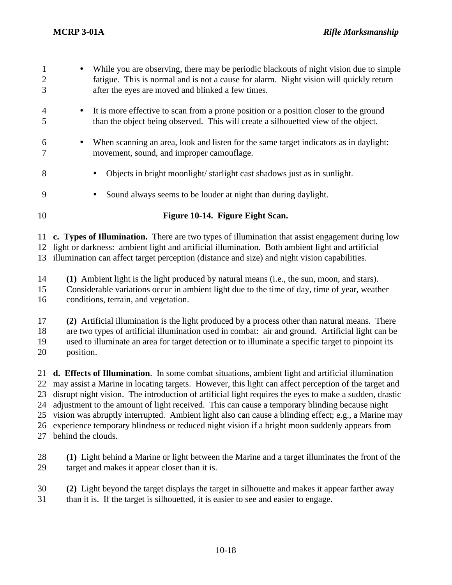| 1<br>$\overline{2}$<br>3 |           | While you are observing, there may be periodic blackouts of night vision due to simple<br>fatigue. This is normal and is not a cause for alarm. Night vision will quickly return<br>after the eyes are moved and blinked a few times. |
|--------------------------|-----------|---------------------------------------------------------------------------------------------------------------------------------------------------------------------------------------------------------------------------------------|
| 4                        | $\bullet$ | It is more effective to scan from a prone position or a position closer to the ground<br>than the object being observed. This will create a silhouetted view of the object.                                                           |
| 6                        |           | When scanning an area, look and listen for the same target indicators as in daylight:<br>movement, sound, and improper camouflage.                                                                                                    |
| 8                        |           | Objects in bright moonlight/starlight cast shadows just as in sunlight.<br>٠                                                                                                                                                          |
| 9                        |           | Sound always seems to be louder at night than during daylight.                                                                                                                                                                        |
| 10                       |           | Figure 10-14. Figure Eight Scan.                                                                                                                                                                                                      |

11 **c. Types of Illumination.** There are two types of illumination that assist engagement during low 12 light or darkness: ambient light and artificial illumination. Both ambient light and artificial

13 illumination can affect target perception (distance and size) and night vision capabilities.

- 14 **(1)** Ambient light is the light produced by natural means (i.e., the sun, moon, and stars).
- 15 16 Considerable variations occur in ambient light due to the time of day, time of year, weather conditions, terrain, and vegetation.
- 17 18 19 20 **(2)** Artificial illumination is the light produced by a process other than natural means. There are two types of artificial illumination used in combat: air and ground. Artificial light can be used to illuminate an area for target detection or to illuminate a specific target to pinpoint its position.
- 21 **d. Effects of Illumination**. In some combat situations, ambient light and artificial illumination 22 may assist a Marine in locating targets. However, this light can affect perception of the target and 23 disrupt night vision. The introduction of artificial light requires the eyes to make a sudden, drastic 24 adjustment to the amount of light received. This can cause a temporary blinding because night 25 vision was abruptly interrupted. Ambient light also can cause a blinding effect; e.g., a Marine may 26 experience temporary blindness or reduced night vision if a bright moon suddenly appears from 27 behind the clouds.
- 28 29 **(1)** Light behind a Marine or light between the Marine and a target illuminates the front of the target and makes it appear closer than it is.
- 30 31 **(2)** Light beyond the target displays the target in silhouette and makes it appear farther away than it is. If the target is silhouetted, it is easier to see and easier to engage.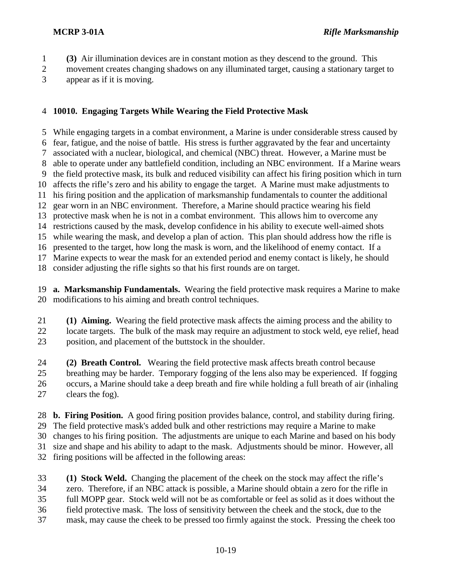**(3)** Air illumination devices are in constant motion as they descend to the ground. This

 movement creates changing shadows on any illuminated target, causing a stationary target to

 appear as if it is moving.

### **10010. Engaging Targets While Wearing the Field Protective Mask**

While engaging targets in a combat environment, a Marine is under considerable stress caused by

fear, fatigue, and the noise of battle. His stress is further aggravated by the fear and uncertainty

 associated with a nuclear, biological, and chemical (NBC) threat. However, a Marine must be

able to operate under any battlefield condition, including an NBC environment. If a Marine wears

 the field protective mask, its bulk and reduced visibility can affect his firing position which in turn affects the rifle's zero and his ability to engage the target. A Marine must make adjustments to

his firing position and the application of marksmanship fundamentals to counter the additional

gear worn in an NBC environment. Therefore, a Marine should practice wearing his field

 protective mask when he is not in a combat environment. This allows him to overcome any

restrictions caused by the mask, develop confidence in his ability to execute well-aimed shots

while wearing the mask, and develop a plan of action. This plan should address how the rifle is

presented to the target, how long the mask is worn, and the likelihood of enemy contact. If a

 Marine expects to wear the mask for an extended period and enemy contact is likely, he should

consider adjusting the rifle sights so that his first rounds are on target.

 **a. Marksmanship Fundamentals.** Wearing the field protective mask requires a Marine to make modifications to his aiming and breath control techniques.

 **(1) Aiming.** Wearing the field protective mask affects the aiming process and the ability to locate targets. The bulk of the mask may require an adjustment to stock weld, eye relief, head position, and placement of the buttstock in the shoulder.

 **(2) Breath Control.** Wearing the field protective mask affects breath control because

 breathing may be harder. Temporary fogging of the lens also may be experienced. If fogging occurs, a Marine should take a deep breath and fire while holding a full breath of air (inhaling clears the fog).

**b. Firing Position.** A good firing position provides balance, control, and stability during firing.

The field protective mask's added bulk and other restrictions may require a Marine to make

changes to his firing position. The adjustments are unique to each Marine and based on his body

size and shape and his ability to adapt to the mask. Adjustments should be minor. However, all

firing positions will be affected in the following areas:

 **(1) Stock Weld.** Changing the placement of the cheek on the stock may affect the rifle's

 zero. Therefore, if an NBC attack is possible, a Marine should obtain a zero for the rifle in

 full MOPP gear. Stock weld will not be as comfortable or feel as solid as it does without the

 field protective mask. The loss of sensitivity between the cheek and the stock, due to the

 mask, may cause the cheek to be pressed too firmly against the stock. Pressing the cheek too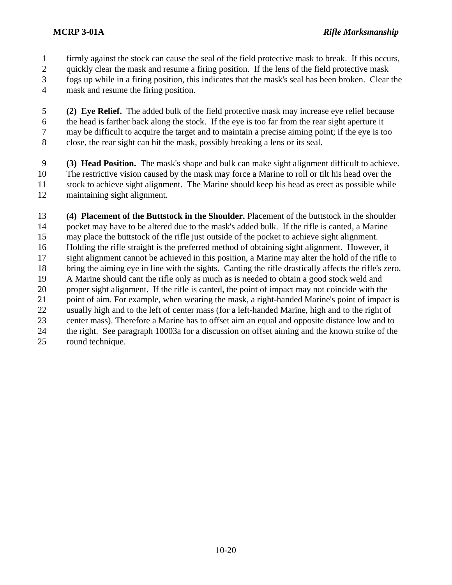1 firmly against the stock can cause the seal of the field protective mask to break. If this occurs,

2 quickly clear the mask and resume a firing position. If the lens of the field protective mask

3 fogs up while in a firing position, this indicates that the mask's seal has been broken. Clear the

4 mask and resume the firing position.

5 6 7 8 **(2) Eye Relief.** The added bulk of the field protective mask may increase eye relief because the head is farther back along the stock. If the eye is too far from the rear sight aperture it may be difficult to acquire the target and to maintain a precise aiming point; if the eye is too close, the rear sight can hit the mask, possibly breaking a lens or its seal.

9 10 11 12 **(3) Head Position.** The mask's shape and bulk can make sight alignment difficult to achieve. The restrictive vision caused by the mask may force a Marine to roll or tilt his head over the stock to achieve sight alignment. The Marine should keep his head as erect as possible while maintaining sight alignment.

13 14 15 16 17 18 19 20 21 22 23 24 25 **(4) Placement of the Buttstock in the Shoulder.** Placement of the buttstock in the shoulder pocket may have to be altered due to the mask's added bulk. If the rifle is canted, a Marine may place the buttstock of the rifle just outside of the pocket to achieve sight alignment. Holding the rifle straight is the preferred method of obtaining sight alignment. However, if sight alignment cannot be achieved in this position, a Marine may alter the hold of the rifle to bring the aiming eye in line with the sights. Canting the rifle drastically affects the rifle's zero. A Marine should cant the rifle only as much as is needed to obtain a good stock weld and proper sight alignment. If the rifle is canted, the point of impact may not coincide with the point of aim. For example, when wearing the mask, a right-handed Marine's point of impact is usually high and to the left of center mass (for a left-handed Marine, high and to the right of center mass). Therefore a Marine has to offset aim an equal and opposite distance low and to the right. See paragraph 10003a for a discussion on offset aiming and the known strike of the round technique.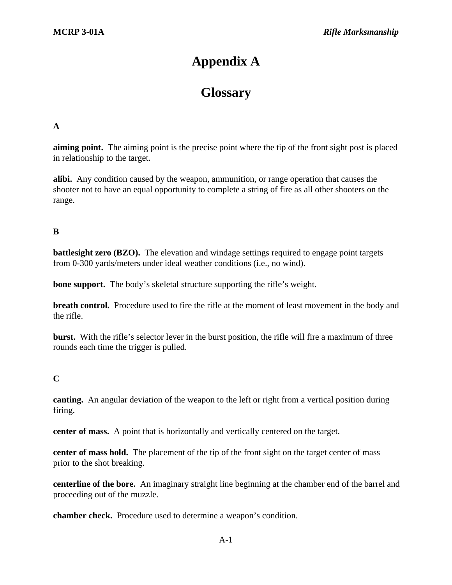# **Appendix A**

# **Glossary**

#### **A**

**aiming point.** The aiming point is the precise point where the tip of the front sight post is placed in relationship to the target.

**alibi.** Any condition caused by the weapon, ammunition, or range operation that causes the shooter not to have an equal opportunity to complete a string of fire as all other shooters on the range.

#### **B**

**battlesight zero (BZO).** The elevation and windage settings required to engage point targets from 0-300 yards/meters under ideal weather conditions (i.e., no wind).

**bone support.** The body's skeletal structure supporting the rifle's weight.

**breath control.** Procedure used to fire the rifle at the moment of least movement in the body and the rifle.

**burst.** With the rifle's selector lever in the burst position, the rifle will fire a maximum of three rounds each time the trigger is pulled.

#### **C**

**canting.** An angular deviation of the weapon to the left or right from a vertical position during firing.

**center of mass.** A point that is horizontally and vertically centered on the target.

**center of mass hold.** The placement of the tip of the front sight on the target center of mass prior to the shot breaking.

**centerline of the bore.** An imaginary straight line beginning at the chamber end of the barrel and proceeding out of the muzzle.

**chamber check.** Procedure used to determine a weapon's condition.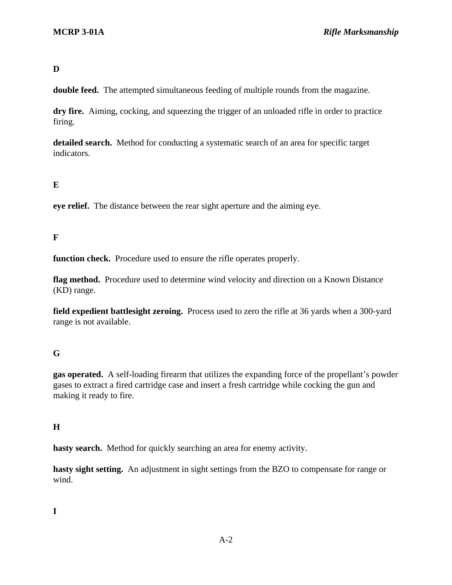#### **D**

**double feed.** The attempted simultaneous feeding of multiple rounds from the magazine.

**dry fire.** Aiming, cocking, and squeezing the trigger of an unloaded rifle in order to practice firing.

**detailed search.** Method for conducting a systematic search of an area for specific target indicators.

#### **E**

**eye relief.** The distance between the rear sight aperture and the aiming eye.

### **F**

**function check.** Procedure used to ensure the rifle operates properly.

**flag method.** Procedure used to determine wind velocity and direction on a Known Distance (KD) range.

**field expedient battlesight zeroing.** Process used to zero the rifle at 36 yards when a 300-yard range is not available.

### **G**

**gas operated.** A self-loading firearm that utilizes the expanding force of the propellant's powder gases to extract a fired cartridge case and insert a fresh cartridge while cocking the gun and making it ready to fire.

### **H**

**hasty search.** Method for quickly searching an area for enemy activity.

**hasty sight setting.** An adjustment in sight settings from the BZO to compensate for range or wind.

### **I**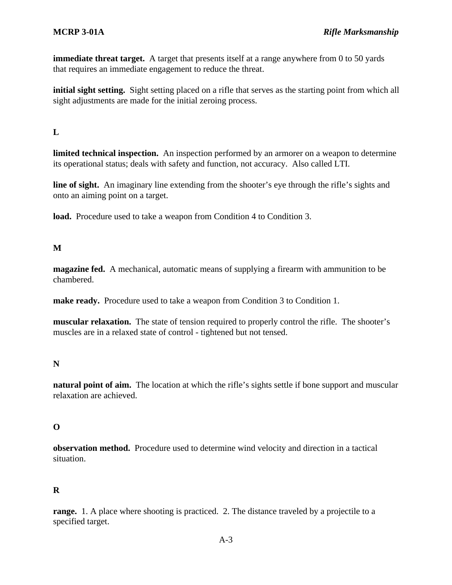**immediate threat target.** A target that presents itself at a range anywhere from 0 to 50 yards that requires an immediate engagement to reduce the threat.

**initial sight setting.** Sight setting placed on a rifle that serves as the starting point from which all sight adjustments are made for the initial zeroing process.

**L**

**limited technical inspection.** An inspection performed by an armorer on a weapon to determine its operational status; deals with safety and function, not accuracy. Also called LTI.

**line of sight.** An imaginary line extending from the shooter's eye through the rifle's sights and onto an aiming point on a target.

**load.** Procedure used to take a weapon from Condition 4 to Condition 3.

#### **M**

**magazine fed.** A mechanical, automatic means of supplying a firearm with ammunition to be chambered.

make ready. Procedure used to take a weapon from Condition 3 to Condition 1.

**muscular relaxation.** The state of tension required to properly control the rifle. The shooter's muscles are in a relaxed state of control - tightened but not tensed.

### **N**

**natural point of aim.** The location at which the rifle's sights settle if bone support and muscular relaxation are achieved.

#### **O**

**observation method.** Procedure used to determine wind velocity and direction in a tactical situation.

### **R**

**range.** 1. A place where shooting is practiced. 2. The distance traveled by a projectile to a specified target.

A-3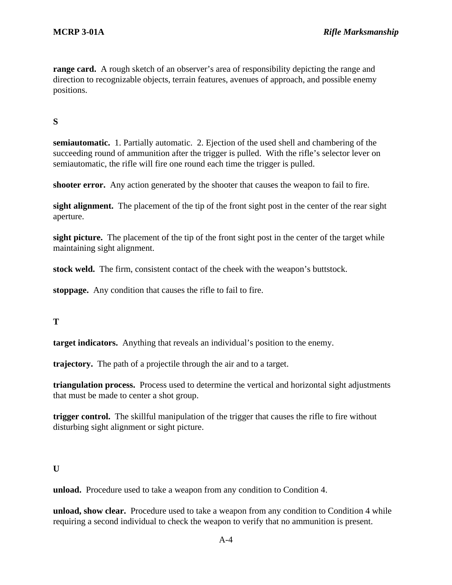**range card.** A rough sketch of an observer's area of responsibility depicting the range and direction to recognizable objects, terrain features, avenues of approach, and possible enemy positions.

#### **S**

**semiautomatic.** 1. Partially automatic. 2. Ejection of the used shell and chambering of the succeeding round of ammunition after the trigger is pulled. With the rifle's selector lever on semiautomatic, the rifle will fire one round each time the trigger is pulled.

**shooter error.** Any action generated by the shooter that causes the weapon to fail to fire.

**sight alignment.** The placement of the tip of the front sight post in the center of the rear sight aperture.

**sight picture.** The placement of the tip of the front sight post in the center of the target while maintaining sight alignment.

**stock weld.** The firm, consistent contact of the cheek with the weapon's buttstock.

**stoppage.** Any condition that causes the rifle to fail to fire.

**T**

**target indicators.** Anything that reveals an individual's position to the enemy.

**trajectory.** The path of a projectile through the air and to a target.

**triangulation process.** Process used to determine the vertical and horizontal sight adjustments that must be made to center a shot group.

**trigger control.** The skillful manipulation of the trigger that causes the rifle to fire without disturbing sight alignment or sight picture.

#### **U**

**unload.** Procedure used to take a weapon from any condition to Condition 4.

unload, show clear. Procedure used to take a weapon from any condition to Condition 4 while requiring a second individual to check the weapon to verify that no ammunition is present.